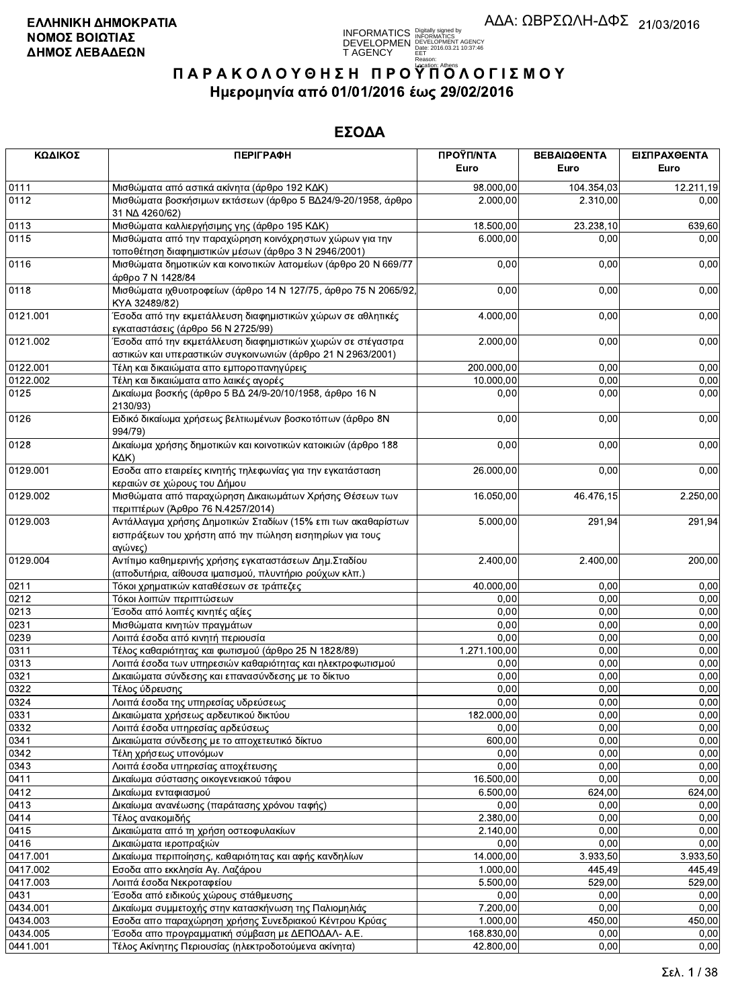INFORMATICS Digitally signed by<br>DEVELOPMEN DEVELOPMENT AGENCY<br>T AGENCY Edit: 2016.03.21 10:37:46<br>T AGENCY Edit: 2016.03.21 10:37:46

# ΠΑΡΑΚΟΛΟΥΘΗΣΗ ΠΡΟΥΠΌΛΟΓΙΣΜΟΥ Ημερομηνία από 01/01/2016 έως 29/02/2016

| ΚΩΔΙΚΟΣ      | <b>ПЕРІГРАФН</b>                                                                                                                    | ΠΡΟΫΠ/ΝΤΑ         | ΒΕΒΑΙΩΘΕΝΤΑ  | ΕΙΣΠΡΑΧΘΕΝΤΑ           |
|--------------|-------------------------------------------------------------------------------------------------------------------------------------|-------------------|--------------|------------------------|
|              |                                                                                                                                     | Euro              | Euro         | Euro                   |
| 0111         | Μισθώματα από αστικά ακίνητα (άρθρο 192 ΚΔΚ)                                                                                        | 98.000,00         | 104.354,03   | $\overline{12.211,19}$ |
| 0112         | Μισθώματα βοσκήσιμων εκτάσεων (άρθρο 5 ΒΔ24/9-20/1958, άρθρο<br>31 NA 4260/62)                                                      | 2.000,00          | 2.310,00     | 0,00                   |
| 0113         | Μισθώματα καλλιεργήσιμης γης (άρθρο 195 ΚΔΚ)                                                                                        | 18.500,00         | 23.238,10    | 639,60                 |
| 0115         | Μισθώματα από την παραχώρηση κοινόχρηστων χώρων για την<br>τοποθέτηση διαφημιστικών μέσων (άρθρο 3 Ν 2946/2001)                     | 6.000,00          | 0,00         | 0,00                   |
| 0116         | Μισθώματα δημοτικών και κοινοτικών λατομείων (άρθρο 20 Ν 669/77<br>άρθρο 7 Ν 1428/84                                                | 0,00              | 0,00         | 0,00                   |
| 0118         | Μισθώματα ιχθυοτροφείων (άρθρο 14 Ν 127/75, άρθρο 75 Ν 2065/92<br>KYA 32489/82)                                                     | 0,00              | 0,00         | 0,00                   |
| 0121.001     | Έσοδα από την εκμετάλλευση διαφημιστικών χώρων σε αθλητικές<br>εγκαταστάσεις (άρθρο 56 Ν 2725/99)                                   | 4.000,00          | 0,00         | 0,00                   |
| 0121.002     | Έσοδα από την εκμετάλλευση διαφημιστικών χωρών σε στέγαστρα<br>αστικών και υπεραστικών συγκοινωνιών (άρθρο 21 Ν 2963/2001)          | 2.000,00          | 0,00         | 0,00                   |
| 0122.001     | Τέλη και δικαιώματα απο εμποροπανηγύρεις                                                                                            | 200.000,00        | 0,00         | 0,00                   |
| 0122.002     | Τέλη και δικαιώματα απο λαικές αγορές                                                                                               | 10.000,00         | 0,00         | 0,00                   |
| 0125         | Δικαίωμα βοσκής (άρθρο 5 ΒΔ 24/9-20/10/1958, άρθρο 16 Ν<br>2130/93)                                                                 | 0,00              | 0,00         | 0,00                   |
| 0126         | Ειδικό δικαίωμα χρήσεως βελτιωμένων βοσκοτόπων (άρθρο 8Ν<br>994/79)                                                                 | 0,00              | 0,00         | 0,00                   |
| 0128         | Δικαίωμα χρήσης δημοτικών και κοινοτικών κατοικιών (άρθρο 188<br>$K\Delta K$                                                        | 0,00              | 0,00         | 0,00                   |
| 0129.001     | Εσοδα απο εταιρείες κινητής τηλεφωνίας για την εγκατάσταση<br>κεραιών σε χώρους του Δήμου                                           | 26.000,00         | 0,00         | 0,00                   |
| 0129.002     | Μισθώματα από παραχώρηση Δικαιωμάτων Χρήσης Θέσεων των<br>περιπτέρων (Άρθρο 76 Ν.4257/2014)                                         | 16.050,00         | 46.476,15    | 2.250,00               |
| 0129.003     | Αντάλλαγμα χρήσης Δημοτικών Σταδίων (15% επι των ακαθαρίστων<br>εισπράξεων του χρήστη από την πώληση εισητηρίων για τους<br>αγώνες) | 5.000,00          | 291,94       | 291,94                 |
| 0129.004     | Αντίτιμο καθημερινής χρήσης εγκαταστάσεων Δημ. Σταδίου<br>(αποδυτήρια, αίθουσα ιματισμού, πλυντήριο ρούχων κλπ.)                    | 2.400,00          | 2.400,00     | 200,00                 |
| 0211         | Τόκοι χρηματικών καταθέσεων σε τράπεζες                                                                                             | 40.000,00         | 0,00         | 0,00                   |
| 0212         | Τόκοι λοιπών περιπτώσεων                                                                                                            | 0,00              | 0,00         | 0,00                   |
| 0213         | Έσοδα από λοιπές κινητές αξίες                                                                                                      | 0,00              | 0,00         | 0,00                   |
| 0231         | Μισθώματα κινητών πραγμάτων                                                                                                         | 0,00              | 0,00         | 0,00                   |
| 0239         | Λοιπά έσοδα από κινητή περιουσία                                                                                                    | 0,00              | 0,00         | 0,00                   |
| 0311         | Τέλος καθαριότητας και φωτισμού (άρθρο 25 Ν 1828/89)                                                                                | 1.271.100,00      | 0,00         | 0,00                   |
| 0313         | Λοιπά έσοδα των υπηρεσιών καθαριότητας και ηλεκτροφωτισμού                                                                          | 0,00              | 0,00         | 0,00                   |
| 0321         | Δικαιώματα σύνδεσης και επανασύνδεσης με το δίκτυο                                                                                  | 0,00              | 0,00         | 0,00                   |
| 0322         | Τέλος ύδρευσης                                                                                                                      | 0,00              | 0,00         | 0,00                   |
| 0324         | Λοιπά έσοδα της υπηρεσίας υδρεύσεως                                                                                                 | 0,00              | 0,00         | 0,00                   |
| 0331         | Δικαιώματα χρήσεως αρδευτικού δικτύου                                                                                               | 182.000,00        | 0,00         | 0,00                   |
| 0332         | Λοιπά έσοδα υπηρεσίας αρδεύσεως                                                                                                     | 0,00              | 0,00         | 0,00                   |
| 0341         | Δικαιώματα σύνδεσης με το αποχετευτικό δίκτυο                                                                                       | 600,00<br>0.00    | 0,00         | 0,00                   |
| 0342         | Τέλη χρήσεως υπονόμων                                                                                                               |                   | 0,00         | 0,00                   |
| 0343<br>0411 | Λοιπά έσοδα υπηρεσίας αποχέτευσης                                                                                                   | 0,00<br>16.500,00 | 0,00<br>0,00 | 0,00<br>0,00           |
| 0412         | Δικαίωμα σύστασης οικογενειακού τάφου                                                                                               | 6.500,00          | 624,00       |                        |
| 0413         | Δικαίωμα ενταφιασμού                                                                                                                | 0,00              | 0,00         | 624,00<br>0,00         |
| 0414         | Δικαίωμα ανανέωσης (παράτασης χρόνου ταφής)                                                                                         |                   |              |                        |
|              | Τέλος ανακομιδής                                                                                                                    | 2.380,00          | 0,00         | 0,00                   |
| 0415<br>0416 | Δικαιώματα από τη χρήση οστεοφυλακίων                                                                                               | 2.140,00          | 0,00<br>0,00 | 0,00                   |
|              | Δικαιώματα ιεροπραξιών                                                                                                              | 0,00              |              | 0,00                   |
| 0417.001     | Δικαίωμα περιποίησης, καθαριότητας και αφής κανδηλίων                                                                               | 14.000,00         | 3.933,50     | 3.933,50               |
| 0417.002     | Εσοδα απο εκκλησία Αγ. Λαζάρου                                                                                                      | 1.000,00          | 445,49       | 445,49                 |
| 0417.003     | Λοιπά έσοδα Νεκροταφείου                                                                                                            | 5.500,00          | 529,00       | 529,00                 |
| 0431         | Έσοδα από ειδικούς χώρους στάθμευσης                                                                                                | 0,00              | 0,00         | 0,00                   |
| 0434.001     | Δικαίωμα συμμετοχής στην κατασκήνωση της Παλιομηλιάς                                                                                | 7.200,00          | 0,00         | 0,00                   |
| 0434.003     | Εσοδα απο παραχώρηση χρήσης Συνεδριακού Κέντρου Κρύας                                                                               | 1.000,00          | 450,00       | 450,00                 |
| 0434.005     | Έσοδα απο προγραμματική σύμβαση με ΔΕΠΟΔΑΛ- Α.Ε.                                                                                    | 168.830,00        | 0,00         | 0,00                   |
| 0441.001     | Τέλος Ακίνητης Περιουσίας (ηλεκτροδοτούμενα ακίνητα)                                                                                | 42.800,00         | 0,00         | 0.00                   |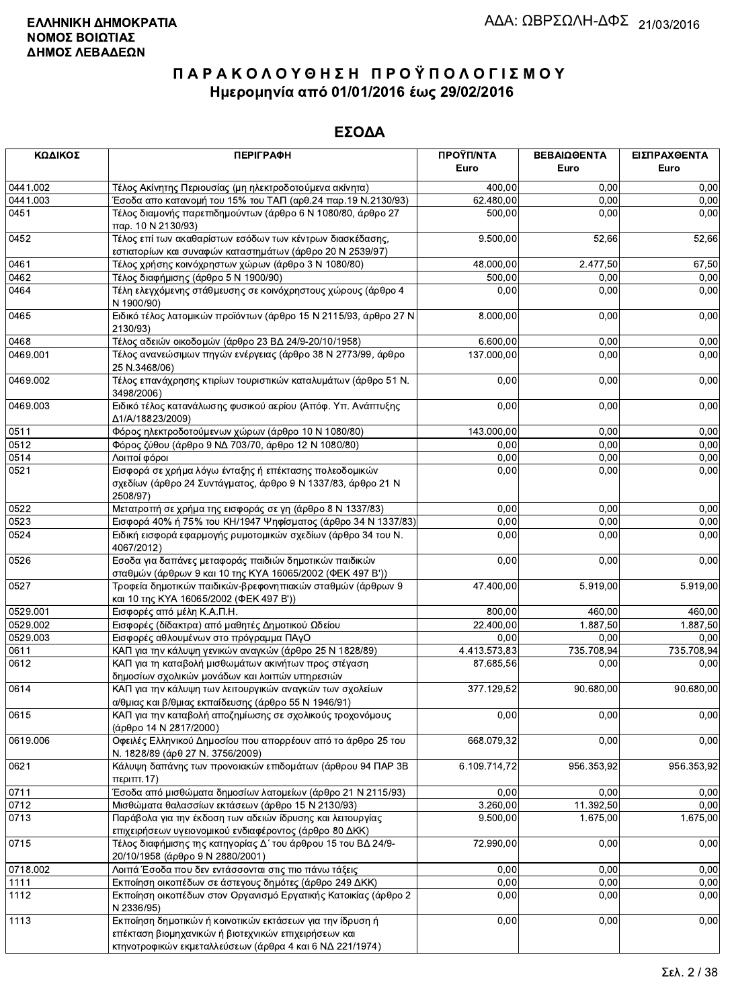| ΚΩΔΙΚΟΣ  | <b>ПЕРІГРАФН</b>                                                                                                                                                              | ΠΡΟΫΠ/ΝΤΑ<br>Euro | ΒΕΒΑΙΩΘΕΝΤΑ<br>Euro | ΕΙΣΠΡΑΧΘΕΝΤΑ<br>Euro |
|----------|-------------------------------------------------------------------------------------------------------------------------------------------------------------------------------|-------------------|---------------------|----------------------|
| 0441.002 | Τέλος Ακίνητης Περιουσίας (μη ηλεκτροδοτούμενα ακίνητα)                                                                                                                       | 400,00            | 0,00                | 0,00                 |
| 0441.003 | Έσοδα απο κατανομή του 15% του ΤΑΠ (αρθ.24 παρ.19 Ν.2130/93)                                                                                                                  | 62.480,00         | 0,00                | 0,00                 |
| 0451     | Τέλος διαμονής παρεπιδημούντων (άρθρο 6 Ν 1080/80, άρθρο 27<br>παρ. 10 Ν 2130/93)                                                                                             | 500,00            | 0,00                | 0,00                 |
| 0452     | Τέλος επί των ακαθαρίστων εσόδων των κέντρων διασκέδασης,<br>εστιατορίων και συναφών καταστημάτων (άρθρο 20 Ν 2539/97)                                                        | 9.500,00          | 52,66               | 52,66                |
| 0461     | Τέλος χρήσης κοινόχρηστων χώρων (άρθρο 3 Ν 1080/80)                                                                                                                           | 48.000,00         | 2.477,50            | 67,50                |
| 0462     | Τέλος διαφήμισης (άρθρο 5 Ν 1900/90)                                                                                                                                          | 500,00            | 0,00                | 0,00                 |
| 0464     | Τέλη ελεγχόμενης στάθμευσης σε κοινόχρηστους χώρους (άρθρο 4<br>N 1900/90)                                                                                                    | 0,00              | 0,00                | 0,00                 |
| 0465     | Ειδικό τέλος λατομικών προϊόντων (άρθρο 15 Ν 2115/93, άρθρο 27 Ν<br>2130/93)                                                                                                  | 8.000,00          | 0,00                | 0,00                 |
| 0468     | Τέλος αδειών οικοδομών (άρθρο 23 ΒΔ 24/9-20/10/1958)                                                                                                                          | 6.600,00          | 0,00                | 0,00                 |
| 0469.001 | Τέλος ανανεώσιμων πηγών ενέργειας (άρθρο 38 Ν 2773/99, άρθρο<br>25 N.3468/06)                                                                                                 | 137.000,00        | 0,00                | 0,00                 |
| 0469.002 | Τέλος επανάχρησης κτιρίων τουριστικών καταλυμάτων (άρθρο 51 Ν.<br>3498/2006)                                                                                                  | 0,00              | 0,00                | 0,00                 |
| 0469.003 | Ειδικό τέλος κατανάλωσης φυσικού αερίου (Απόφ. Υπ. Ανάπτυξης<br>Δ1/A/18823/2009)                                                                                              | 0,00              | 0,00                | 0,00                 |
| 0511     | Φόρος ηλεκτροδοτούμενων χώρων (άρθρο 10 Ν 1080/80)                                                                                                                            | 143.000,00        | 0,00                | 0,00                 |
| 0512     | Φόρος ζύθου (άρθρο 9 ΝΔ 703/70, άρθρο 12 Ν 1080/80)                                                                                                                           | 0,00              | 0,00                | 0,00                 |
| 0514     | Λοιποί φόροι                                                                                                                                                                  | 0,00              | 0,00                | 0,00                 |
| 0521     | Εισφορά σε χρήμα λόγω ένταξης ή επέκτασης πολεοδομικών<br>σχεδίων (άρθρο 24 Συντάγματος, άρθρο 9 Ν 1337/83, άρθρο 21 Ν<br>2508/97)                                            | 0,00              | 0,00                | 0,00                 |
| 0522     | Μετατροπή σε χρήμα της εισφοράς σε γη (άρθρο 8 Ν 1337/83)                                                                                                                     | 0,00              | 0,00                | 0,00                 |
| 0523     | Εισφορά 40% ή 75% του ΚΗ/1947 Ψηφίσματος (άρθρο 34 Ν 1337/83)                                                                                                                 | 0,00              | 0,00                | 0,00                 |
| 0524     | Ειδική εισφορά εφαρμογής ρυμοτομικών σχεδίων (άρθρο 34 του Ν.<br>4067/2012)                                                                                                   | 0,00              | 0,00                | 0,00                 |
| 0526     | Εσοδα για δαπάνες μεταφοράς παιδιών δημοτικών παιδικών<br>σταθμών (άρθρων 9 και 10 της ΚΥΑ 16065/2002 (ΦΕΚ 497 Β'))                                                           | 0,00              | 0,00                | 0,00                 |
| 0527     | Τροφεία δημοτικών παιδικών-βρεφονηπιακών σταθμών (άρθρων 9<br>και 10 της ΚΥΑ 16065/2002 (ΦΕΚ 497 Β'))                                                                         | 47.400,00         | 5.919,00            | 5.919,00             |
| 0529.001 | Εισφορές από μέλη Κ.Α.Π.Η.                                                                                                                                                    | 800,00            | 460,00              | 460,00               |
| 0529.002 | Εισφορές (δίδακτρα) από μαθητές Δημοτικού Ωδείου                                                                                                                              | 22.400,00         | 1.887,50            | 1.887,50             |
| 0529.003 | Εισφορές αθλουμένων στο πρόγραμμα ΠΑγΟ                                                                                                                                        | 0,00              | 0.00                | 0,00                 |
| 0611     | ΚΑΠ για την κάλυψη γενικών αναγκών (άρθρο 25 Ν 1828/89)                                                                                                                       | 4.413.573,83      | 735.708,94          | 735.708,94           |
| 0612     | ΚΑΠ για τη καταβολή μισθωμάτων ακινήτων προς στέγαση<br>δημοσίων σχολικών μονάδων και λοιπών υπηρεσιών                                                                        | 87.685,56         | 0,00                | 0,00                 |
| 0614     | ΚΑΠ για την κάλυψη των λειτουργικών αναγκών των σχολείων<br>α/θμιας και β/θμιας εκπαίδευσης (άρθρο 55 Ν 1946/91)                                                              | 377.129,52        | 90.680.00           | 90.680,00            |
| 0615     | ΚΑΠ για την καταβολή αποζημίωσης σε σχολικούς τροχονόμους<br>(άρθρο 14 Ν 2817/2000)                                                                                           | 0,00              | 0,00                | 0,00                 |
| 0619.006 | Οφειλές Ελληνικού Δημοσίου που απορρέουν από το άρθρο 25 του<br>Ν. 1828/89 (άρθ 27 Ν. 3756/2009)                                                                              | 668.079,32        | 0,00                | 0,00                 |
| 0621     | Κάλυψη δαπάνης των προνοιακών επιδομάτων (άρθρου 94 ΠΑΡ 3Β<br>περιπτ.17)                                                                                                      | 6.109.714,72      | 956.353,92          | 956.353,92           |
| 0711     | Έσοδα από μισθώματα δημοσίων λατομείων (άρθρο 21 Ν 2115/93)                                                                                                                   | 0,00              | 0,00                | 0,00                 |
| 0712     | Μισθώματα θαλασσίων εκτάσεων (άρθρο 15 Ν 2130/93)                                                                                                                             | 3.260,00          | 11.392,50           | 0.00                 |
| 0713     | Παράβολα για την έκδοση των αδειών ίδρυσης και λειτουργίας                                                                                                                    | 9.500,00          | 1.675,00            | 1.675,00             |
|          | επιχειρήσεων υγειονομικού ενδιαφέροντος (άρθρο 80 ΔΚΚ)                                                                                                                        |                   |                     |                      |
| 0715     | Τέλος διαφήμισης της κατηγορίας Δ΄ του άρθρου 15 του ΒΔ 24/9-<br>20/10/1958 (άρθρο 9 Ν 2880/2001)                                                                             | 72.990,00         | 0,00                | 0,00                 |
| 0718.002 | Λοιπά Έσοδα που δεν εντάσσονται στις πιο πάνω τάξεις                                                                                                                          | 0,00              | 0,00                | 0,00                 |
| 1111     | Εκποίηση οικοπέδων σε άστεγους δημότες (άρθρο 249 ΔΚΚ)                                                                                                                        | 0,00              | 0,00                | 0,00                 |
| 1112     | Εκποίηση οικοπέδων στον Οργανισμό Εργατικής Κατοικίας (άρθρο 2<br>N 2336/95)                                                                                                  | 0,00              | 0,00                | 0,00                 |
| 1113     | Εκποίηση δημοτικών ή κοινοτικών εκτάσεων για την ίδρυση ή<br>επέκταση βιομηχανικών ή βιοτεχνικών επιχειρήσεων και<br>κτηνοτροφικών εκμεταλλεύσεων (άρθρα 4 και 6 ΝΔ 221/1974) | 0,00              | 0,00                | 0,00                 |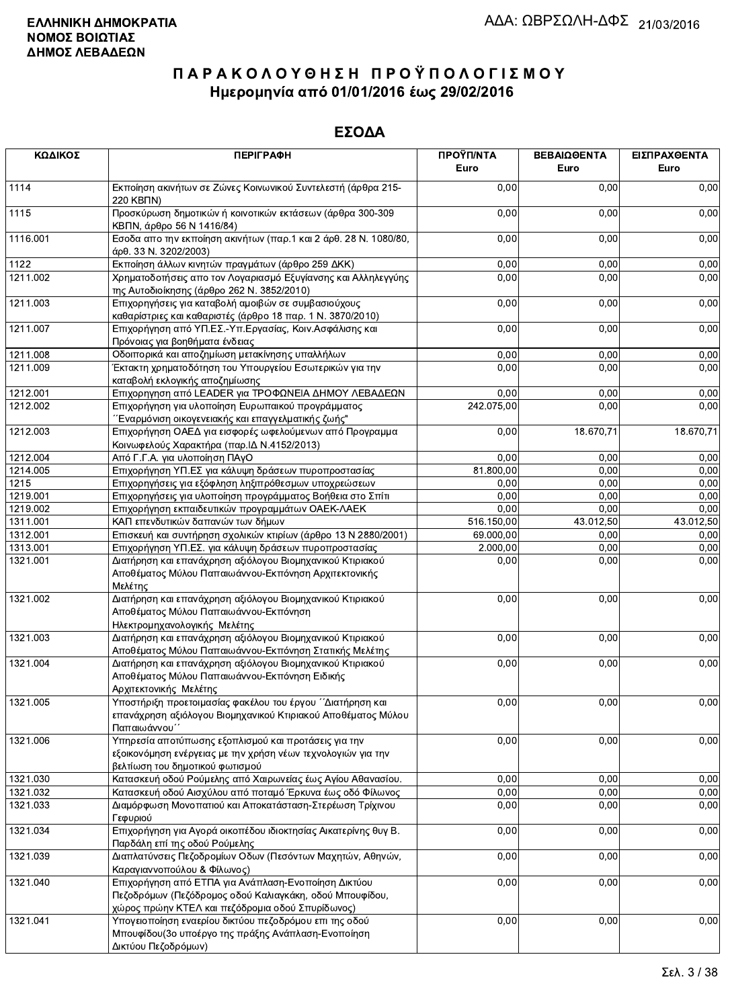| ΚΩΔΙΚΟΣ  | <b>ПЕРІГРАФН</b>                                                                                                                                                   | ΠΡΟΫΠ/ΝΤΑ<br>Euro | ΒΕΒΑΙΩΘΕΝΤΑ<br>Euro | ΕΙΣΠΡΑΧΘΕΝΤΑ<br>Euro |
|----------|--------------------------------------------------------------------------------------------------------------------------------------------------------------------|-------------------|---------------------|----------------------|
| 1114     | Εκποίηση ακινήτων σε Ζώνες Κοινωνικού Συντελεστή (άρθρα 215-<br>220 KBNN)                                                                                          | 0,00              | 0,00                | 0,00                 |
| 1115     | Προσκύρωση δημοτικών ή κοινοτικών εκτάσεων (άρθρα 300-309<br>ΚΒΠΝ, άρθρο 56 Ν 1416/84)                                                                             | 0,00              | 0,00                | 0,00                 |
| 1116.001 | Εσοδα απο την εκποίηση ακινήτων (παρ.1 και 2 άρθ. 28 Ν. 1080/80,<br>άρθ. 33 Ν. 3202/2003)                                                                          | 0,00              | 0,00                | 0,00                 |
| 1122     | Εκποίηση άλλων κινητών πραγμάτων (άρθρο 259 ΔΚΚ)                                                                                                                   | 0,00              | 0,00                | 0,00                 |
| 1211.002 | Χρηματοδοτήσεις απο τον Λογαριασμό Εξυγίανσης και Αλληλεγγύης<br>της Αυτοδιοίκησης (άρθρο 262 Ν. 3852/2010)                                                        | 0,00              | 0,00                | 0,00                 |
| 1211.003 | Επιχορηγήσεις για καταβολή αμοιβών σε συμβασιούχους<br>καθαρίστριες και καθαριστές (άρθρο 18 παρ. 1 Ν. 3870/2010)                                                  | 0,00              | 0,00                | 0,00                 |
| 1211.007 | Επιχορήγηση από ΥΠ.ΕΣ.-Υπ.Εργασίας, Κοιν.Ασφάλισης και<br>Πρόνοιας για βοηθήματα ένδειας                                                                           | 0,00              | 0,00                | 0,00                 |
| 1211.008 | Οδοιπορικά και αποζημίωση μετακίνησης υπαλλήλων                                                                                                                    | 0,00              | 0,00                | 0,00                 |
| 1211.009 | Έκτακτη χρηματοδότηση του Υπουργείου Εσωτερικών για την<br>καταβολή εκλογικής αποζημίωσης                                                                          | 0,00              | 0,00                | 0,00                 |
| 1212.001 | Επιχορηγηση από LEADER για ΤΡΟΦΩΝΕΙΑ ΔΗΜΟΥ ΛΕΒΑΔΕΩΝ                                                                                                                | 0,00              | 0,00                | 0,00                 |
| 1212.002 | Επιχορήγηση για υλοποίηση Ευρωπαικού προγράμματος<br>΄΄Εναρμόνιση οικογενειακής και επαγγελματικής ζωής"                                                           | 242.075,00        | 0,00                | 0,00                 |
| 1212.003 | Επιχορήγηση ΟΑΕΔ για εισφορές ωφελούμενων από Προγραμμα<br>Κοινωφελούς Χαρακτήρα (παρ. ΙΔ Ν.4152/2013)                                                             | 0,00              | 18.670,71           | 18.670,71            |
| 1212.004 | Από Γ.Γ.Α. για υλοποίηση ΠΑγΟ                                                                                                                                      | 0,00              | 0,00                | 0,00                 |
| 1214.005 | Επιχορήγηση ΥΠ.ΕΣ για κάλυψη δράσεων πυροπροστασίας                                                                                                                | 81.800,00         | 0,00                | 0,00                 |
| 1215     | Επιχορηγήσεις για εξόφληση ληξιπρόθεσμων υποχρεώσεων                                                                                                               | 0,00              | 0,00                | 0,00                 |
| 1219.001 | Επιχορηγήσεις για υλοποίηση προγράμματος Βοήθεια στο Σπίτι                                                                                                         | 0,00              | 0,00                | 0,00                 |
| 1219.002 | Επιχορήγηση εκπαιδευτικών προγραμμάτων ΟΑΕΚ-ΛΑΕΚ                                                                                                                   | 0,00              | 0,00                | 0,00                 |
| 1311.001 | ΚΑΠ επενδυτικών δαπανών των δήμων                                                                                                                                  | 516.150,00        | 43.012,50           | 43.012,50            |
| 1312.001 | Επισκευή και συντήρηση σχολικών κτιρίων (άρθρο 13 Ν 2880/2001)                                                                                                     | 69.000,00         | 0,00                | 0,00                 |
| 1313.001 | Επιχορήγηση ΥΠ.ΕΣ. για κάλυψη δράσεων πυροπροστασίας                                                                                                               | 2.000,00          | 0,00                | 0,00                 |
| 1321.001 | Διατήρηση και επανάχρηση αξιόλογου Βιομηχανικού Κτιριακού<br>Αποθέματος Μύλου Παπαιωάννου-Εκπόνηση Αρχιτεκτονικής<br>Μελέτης                                       | 0,00              | 0,00                | 0,00                 |
| 1321.002 | Διατήρηση και επανάχρηση αξιόλογου Βιομηχανικού Κτιριακού<br>Αποθέματος Μύλου Παπαιωάννου-Εκπόνηση<br>Ηλεκτρομηχανολογικής Μελέτης                                 | 0,00              | 0,00                | 0,00                 |
| 1321.003 | Διατήρηση και επανάχρηση αξιόλογου Βιομηχανικού Κτιριακού<br>Αποθέματος Μύλου Παπαιωάννου-Εκπόνηση Στατικής Μελέτης                                                | 0,00              | 0,00                | 0,00                 |
| 1321.004 | Διατήρηση και επανάχρηση αξιόλογου Βιομηχανικού Κτιριακού<br>Αποθέματος Μύλου Παπαιωάννου-Εκπόνηση Ειδικής<br>Αρχιτεκτονικής Μελέτης                               | 0,00              | 0,00                | 0,00                 |
| 1321.005 | Υποστήριξη προετοιμασίας φακέλου του έργου ΄΄Διατήρηση και<br>επανάχρηση αξιόλογου Βιομηχανικού Κτιριακού Αποθέματος Μύλου<br>Παπαιωάννου΄                         | 0,00              | 0,00                | 0,00                 |
| 1321.006 | Υπηρεσία αποτύπωσης εξοπλισμού και προτάσεις για την<br>εξοικονόμηση ενέργειας με την χρήση νέων τεχνολογιών για την<br>βελτίωση του δημοτικού φωτισμού            | 0,00              | 0,00                | 0,00                 |
| 1321.030 | Κατασκευή οδού Ρούμελης από Χαιρωνείας έως Αγίου Αθανασίου.                                                                                                        | 0,00              | 0,00                | 0,00                 |
| 1321.032 | Κατασκευή οδού Αισχύλου από ποταμό Έρκυνα έως οδό Φίλωνος                                                                                                          | 0,00              | 0,00                | 0.00                 |
| 1321.033 | Διαμόρφωση Μονοπατιού και Αποκατάσταση-Στερέωση Τρίχινου<br>Γεφυριού                                                                                               | 0,00              | 0,00                | 0,00                 |
| 1321.034 | Επιχορήγηση για Αγορά οικοπέδου ιδιοκτησίας Αικατερίνης θυγ Β.<br>Παρδάλη επί της οδού Ρούμελης                                                                    | 0,00              | 0,00                | 0,00                 |
| 1321.039 | Διαπλατύνσεις Πεζοδρομίων Οδων (Πεσόντων Μαχητών, Αθηνών,<br>Καραγιαννοπούλου & Φίλωνος)                                                                           | 0,00              | 0,00                | 0,00                 |
| 1321.040 | Επιχορήγηση από ΕΤΠΑ για Ανάπλαση-Ενοποίηση Δικτύου<br>Πεζοδρόμων (Πεζόδρομος οδού Καλιαγκάκη, οδού Μπουφίδου,<br>χώρος πρώην ΚΤΕΛ και πεζόδρομια οδού Σπυρίδωνος) | 0,00              | 0,00                | 0,00                 |
| 1321.041 | Υπογειοποίηση εναερίου δικτύου πεζοδρόμου επι της οδού<br>Μπουφίδου (3ο υποέργο της πράξης Ανάπλαση-Ενοποίηση<br>Δικτύου Πεζοδρόμων)                               | 0,00              | 0,00                | 0,00                 |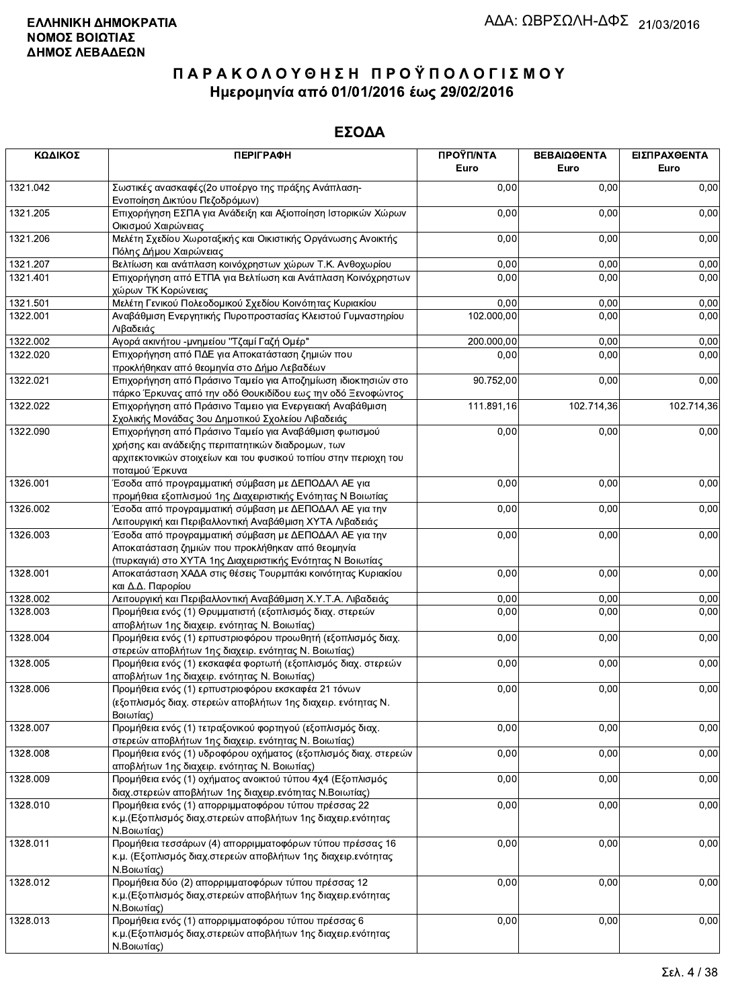| ΚΩΔΙΚΟΣ  | <b>ПЕРІГРАФН</b>                                                                                                                                                                | ΠΡΟΫΠ/ΝΤΑ<br>Euro | ΒΕΒΑΙΩΘΕΝΤΑ<br>Euro | ΕΙΣΠΡΑΧΘΕΝΤΑ<br>Euro |
|----------|---------------------------------------------------------------------------------------------------------------------------------------------------------------------------------|-------------------|---------------------|----------------------|
| 1321.042 | Σωστικές ανασκαφές (2ο υποέργο της πράξης Ανάπλαση-<br>Ενοποίηση Δικτύου Πεζοδρόμων)                                                                                            | 0,00              | 0,00                | 0,00                 |
| 1321.205 | Επιχορήγηση ΕΣΠΑ για Ανάδειξη και Αξιοποίηση Ιστορικών Χώρων<br>Οικισμού Χαιρώνειας                                                                                             | 0,00              | 0,00                | 0,00                 |
| 1321.206 | Μελέτη Σχεδίου Χωροταξικής και Οικιστικής Οργάνωσης Ανοικτής<br>Πόλης Δήμου Χαιρώνειας                                                                                          | 0,00              | 0,00                | 0,00                 |
| 1321.207 | Βελτίωση και ανάπλαση κοινόχρηστων χώρων Τ.Κ. Ανθοχωρίου                                                                                                                        | 0,00              | 0,00                | 0,00                 |
| 1321.401 | Επιχορήγηση από ΕΤΠΑ για Βελτίωση και Ανάπλαση Κοινόχρηστων<br>χώρων ΤΚ Κορώνειας                                                                                               | 0,00              | 0,00                | 0,00                 |
| 1321.501 | Μελέτη Γενικού Πολεοδομικού Σχεδίου Κοινότητας Κυριακίου                                                                                                                        | 0,00              | 0,00                | 0,00                 |
| 1322.001 | Αναβάθμιση Ενεργητικής Πυροπροστασίας Κλειστού Γυμναστηρίου<br>Λιβαδειάς                                                                                                        | 102.000,00        | 0,00                | 0,00                 |
| 1322.002 | Αγορά ακινήτου -μνημείου "Τζαμί Γαζή Ομέρ"                                                                                                                                      | 200.000,00        | 0,00                | 0,00                 |
| 1322.020 | Επιχορήγηση από ΠΔΕ για Αποκατάσταση ζημιών που<br>προκλήθηκαν από θεομηνία στο Δήμο Λεβαδέων                                                                                   | 0,00              | 0,00                | 0,00                 |
| 1322.021 | Επιχορήγηση από Πράσινο Ταμείο για Αποζημίωση ιδιοκτησιών στο<br>πάρκο Έρκυνας από την οδό Θουκιδίδου εως την οδό Ξενοφώντος                                                    | 90.752,00         | 0,00                | 0,00                 |
| 1322.022 | Επιχορήγηση από Πράσινο Ταμειο για Ενεργειακή Αναβάθμιση<br>Σχολικής Μονάδας 3ου Δημοτικού Σχολείου Λιβαδειάς                                                                   | 111.891,16        | 102.714,36          | 102.714,36           |
| 1322.090 | Επιχορήγηση από Πράσινο Ταμείο για Αναβάθμιση φωτισμού<br>χρήσης και ανάδειξης περιπατητικών διαδρομων, των<br>αρχιτεκτονικών στοιχείων και του φυσικού τοπίου στην περιοχη του | 0,00              | 0,00                | 0,00                 |
| 1326.001 | ποταμού Έρκυνα<br>Έσοδα από προγραμματική σύμβαση με ΔΕΠΟΔΑΛ ΑΕ για<br>προμήθεια εξοπλισμού 1ης Διαχειριστικής Ενότητας Ν Βοιωτίας                                              | 0,00              | 0,00                | 0,00                 |
| 1326.002 | Έσοδα από προγραμματική σύμβαση με ΔΕΠΟΔΑΛ ΑΕ για την<br>Λειτουργική και Περιβαλλοντική Αναβάθμιση ΧΥΤΑ Λιβαδειάς                                                               | 0,00              | 0,00                | 0,00                 |
| 1326.003 | Έσοδα από προγραμματική σύμβαση με ΔΕΠΟΔΑΛ ΑΕ για την<br>Αποκατάσταση ζημιών που προκλήθηκαν από θεομηνία<br>(πυρκαγιά) στο ΧΥΤΑ 1ης Διαχειριστικής Ενότητας Ν Βοιωτίας         | 0,00              | 0,00                | 0,00                 |
| 1328.001 | Αποκατάσταση ΧΑΔΑ στις θέσεις Τουρμπάκι κοινότητας Κυριακίου<br>και Δ.Δ. Παρορίου                                                                                               | 0,00              | 0,00                | 0,00                 |
| 1328.002 | Λειτουργική και Περιβαλλοντική Αναβάθμιση Χ.Υ.Τ.Α. Λιβαδειάς                                                                                                                    | 0,00              | 0,00                | 0,00                 |
| 1328.003 | Προμήθεια ενός (1) Θρυμματιστή (εξοπλισμός διαχ. στερεών<br>αποβλήτων 1ης διαχειρ. ενότητας Ν. Βοιωτίας)                                                                        | 0,00              | 0,00                | 0,00                 |
| 1328.004 | Προμήθεια ενός (1) ερπυστριοφόρου προωθητή (εξοπλισμός διαχ.<br>στερεών αποβλήτων 1ης διαχειρ. ενότητας Ν. Βοιωτίας)                                                            | 0,00              | 0,00                | 0,00                 |
| 1328.005 | Προμήθεια ενός (1) εκσκαφέα φορτωτή (εξοπλισμός διαχ. στερεών<br>αποβλήτων 1ης διαχειρ. ενότητας Ν. Βοιωτίας)                                                                   | 0,00              | 0,00                | 0,00                 |
| 1328.006 | Προμήθεια ενός (1) ερπυστριοφόρου εκσκαφέα 21 τόνων<br>(εξοπλισμός διαχ. στερεών αποβλήτων 1ης διαχειρ. ενότητας Ν.<br>Βοιωτίας)                                                | 0,00              | 0,00                | 0,00                 |
| 1328.007 | Προμήθεια ενός (1) τετραξονικού φορτηγού (εξοπλισμός διαχ.<br>στερεών αποβλήτων 1ης διαχειρ. ενότητας Ν. Βοιωτίας)                                                              | 0,00              | 0,00                | 0,00                 |
| 1328.008 | Προμήθεια ενός (1) υδροφόρου οχήματος (εξοπλισμός διαχ. στερεών<br>αποβλήτων 1ης διαχειρ. ενότητας Ν. Βοιωτίας)                                                                 | 0,00              | 0,00                | 0,00                 |
| 1328.009 | Προμήθεια ενός (1) οχήματος ανοικτού τύπου 4χ4 (Εξοπλισμός<br>διαχ.στερεών αποβλήτων 1ης διαχειρ.ενότητας Ν.Βοιωτίας)                                                           | 0,00              | 0,00                | 0,00                 |
| 1328.010 | Προμήθεια ενός (1) απορριμματοφόρου τύπου πρέσσας 22<br>κ.μ. (Εξοπλισμός διαχ.στερεών αποβλήτων 1ης διαχειρ.ενότητας<br>Ν.Βοιωτίας)                                             | 0,00              | 0,00                | 0,00                 |
| 1328.011 | Προμήθεια τεσσάρων (4) απορριμματοφόρων τύπου πρέσσας 16<br>κ.μ. (Εξοπλισμός διαχ.στερεών αποβλήτων 1ης διαχειρ.ενότητας<br>Ν.Βοιωτίας)                                         | 0,00              | 0,00                | 0,00                 |
| 1328.012 | Προμήθεια δύο (2) απορριμματοφόρων τύπου πρέσσας 12<br>κ.μ. (Εξοπλισμός διαχ.στερεών αποβλήτων 1ης διαχειρ.ενότητας<br>Ν.Βοιωτίας)                                              | 0,00              | 0,00                | 0,00                 |
| 1328.013 | Προμήθεια ενός (1) απορριμματοφόρου τύπου πρέσσας 6<br>κ.μ. (Εξοπλισμός διαχ.στερεών αποβλήτων 1ης διαχειρ.ενότητας<br>Ν.Βοιωτίας)                                              | 0,00              | 0,00                | 0,00                 |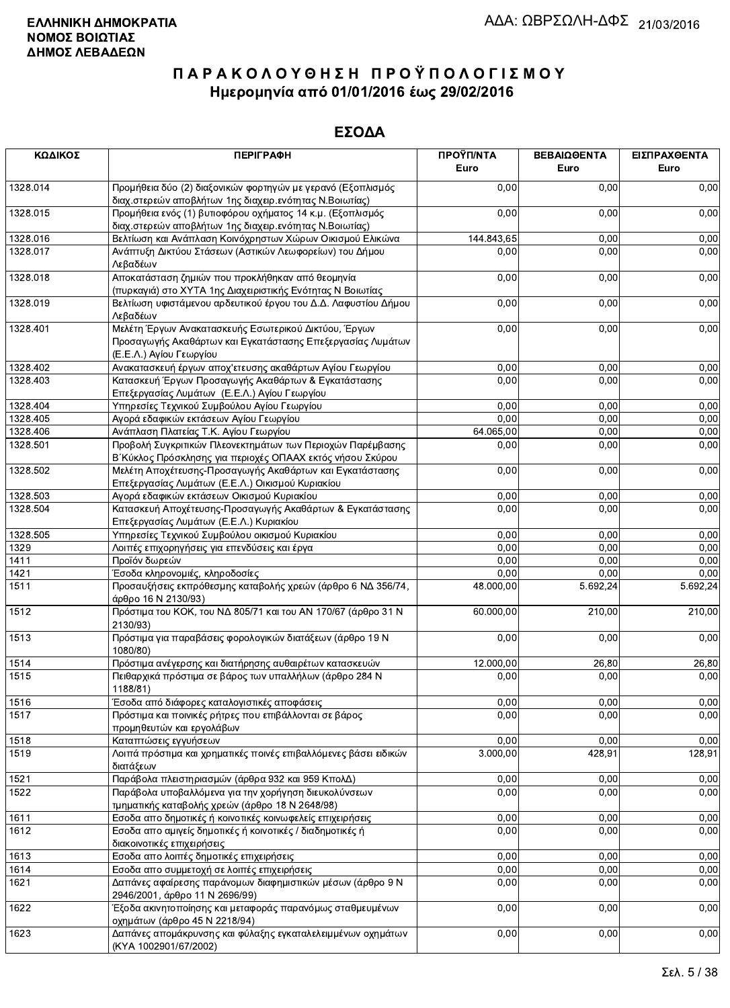| ΚΩΔΙΚΟΣ      | <b>ПЕРІГРАФН</b>                                                                                                                              | ΠΡΟΫΠ/ΝΤΑ<br>Euro | ΒΕΒΑΙΩΘΕΝΤΑ<br>Euro | ΕΙΣΠΡΑΧΘΕΝΤΑ<br>Euro |
|--------------|-----------------------------------------------------------------------------------------------------------------------------------------------|-------------------|---------------------|----------------------|
| 1328.014     | Προμήθεια δύο (2) διαξονικών φορτηγών με γερανό (Εξοπλισμός<br>διαχ.στερεών αποβλήτων 1ης διαχειρ.ενότητας Ν.Βοιωτίας)                        | 0.00              | 0,00                | 0,00                 |
| 1328.015     | Προμήθεια ενός (1) βυτιοφόρου οχήματος 14 κ.μ. (Εξοπλισμός<br>διαχ.στερεών αποβλήτων 1ης διαχειρ.ενότητας Ν.Βοιωτίας)                         | 0,00              | 0,00                | 0,00                 |
| 1328.016     | Βελτίωση και Ανάπλαση Κοινόχρηστων Χώρων Οικισμού Ελικώνα                                                                                     | 144 843,65        | 0,00                | 0,00                 |
| 1328.017     | Ανάπτυξη Δικτύου Στάσεων (Αστικών Λεωφορείων) του Δήμου<br>Λεβαδέων                                                                           | 0,00              | 0,00                | 0,00                 |
| 1328.018     | Αποκατάσταση ζημιών που προκλήθηκαν από θεομηνία<br>(πυρκαγιά) στο ΧΥΤΑ 1ης Διαχειριστικής Ενότητας Ν Βοιωτίας                                | 0,00              | 0,00                | 0,00                 |
| 1328.019     | Βελτίωση υφιστάμενου αρδευτικού έργου του Δ.Δ. Λαφυστίου Δήμου<br>Λεβαδέων                                                                    | 0,00              | 0,00                | 0,00                 |
| 1328.401     | Μελέτη Έργων Ανακατασκευής Εσωτερικού Δικτύου, Έργων<br>Προσαγωγής Ακαθάρτων και Εγκατάστασης Επεξεργασίας Λυμάτων<br>(Ε.Ε.Λ.) Αγίου Γεωργίου | 0,00              | 0,00                | 0,00                 |
| 1328.402     | Ανακατασκευή έργων αποχ'ετευσης ακαθάρτων Αγίου Γεωργίου                                                                                      | 0,00              | 0,00                | 0,00                 |
| 1328.403     | Κατασκευή Έργων Προσαγωγής Ακαθάρτων & Εγκατάστασης<br>Επεξεργασίας Λυμάτων (Ε.Ε.Λ.) Αγίου Γεωργίου                                           | 0,00              | 0,00                | 0,00                 |
| 1328.404     | Υπηρεσίες Τεχνικού Συμβούλου Αγίου Γεωργίου                                                                                                   | 0,00              | 0,00                | 0,00                 |
| 1328.405     | Αγορά εδαφικών εκτάσεων Αγίου Γεωργίου                                                                                                        | 0,00              | 0,00                | 0,00                 |
| 1328.406     | Ανάπλαση Πλατείας Τ.Κ. Αγίου Γεωργίου                                                                                                         | 64.065,00         | 0,00                | 0,00                 |
| 1328.501     | Προβολή Συγκριτικών Πλεονεκτημάτων των Περιοχών Παρέμβασης<br>Β΄ Κύκλος Πρόσκλησης για περιοχές ΟΠΑΑΧ εκτός νήσου Σκύρου                      | 0,00              | 0,00                | 0,00                 |
| 1328.502     | Μελέτη Αποχέτευσης-Προσαγωγής Ακαθάρτων και Εγκατάστασης<br>Επεξεργασίας Λυμάτων (Ε.Ε.Λ.) Οικισμού Κυριακίου                                  | 0,00              | 0,00                | 0,00                 |
| 1328.503     | Αγορά εδαφικών εκτάσεων Οικισμού Κυριακίου                                                                                                    | 0,00              | 0,00                | 0,00                 |
| 1328.504     | Κατασκευή Αποχέτευσης-Προσαγωγής Ακαθάρτων & Εγκατάστασης                                                                                     | 0,00              | 0,00                | 0,00                 |
|              | Επεξεργασίας Λυμάτων (Ε.Ε.Λ.) Κυριακίου                                                                                                       |                   |                     |                      |
| 1328.505     | Υπηρεσίες Τεχνικού Συμβούλου οικισμού Κυριακίου                                                                                               | 0,00<br>0,00      | 0,00                | 0,00                 |
| 1329<br>1411 | Λοιπές επιχορηγήσεις για επενδύσεις και έργα<br>Προϊόν δωρεών                                                                                 | 0,00              | 0,00<br>0,00        | 0,00<br>0,00         |
| 1421         |                                                                                                                                               | 0,00              | 0,00                | 0,00                 |
| 1511         | Έσοδα κληρονομιές, κληροδοσίες<br>Προσαυξήσεις εκπρόθεσμης καταβολής χρεών (άρθρο 6 ΝΔ 356/74,                                                | 48.000,00         | 5.692,24            | 5.692,24             |
| 1512         | άρθρο 16 Ν 2130/93)<br>Πρόστιμα του ΚΟΚ, του ΝΔ 805/71 και του ΑΝ 170/67 (άρθρο 31 Ν<br>2130/93)                                              | 60.000,00         | 210,00              | 210,00               |
| 1513         | Πρόστιμα για παραβάσεις φορολογικών διατάξεων (άρθρο 19 Ν<br>1080/80)                                                                         | 0,00              | 0,00                | 0,00                 |
| 1514         | Πρόστιμα ανέγερσης και διατήρησης αυθαιρέτων κατασκευών                                                                                       | 12.000,00         | 26,80               | 26,80                |
| 1515         | Πειθαρχικά πρόστιμα σε βάρος των υπαλλήλων (άρθρο 284 Ν<br>1188/81)                                                                           | 0,00              | 0,00                | 0,00                 |
| 1516         | Έσοδα από διάφορες καταλογιστικές αποφάσεις                                                                                                   | 0,00              | 0,00                | 0,00                 |
| 1517         | Πρόστιμα και ποινικές ρήτρες που επιβάλλονται σε βάρος<br>προμηθευτών και εργολάβων                                                           | 0,00              | 0,00                | 0,00                 |
| 1518         | Καταπτώσεις εγγυήσεων                                                                                                                         | 0,00              | 0,00                | 0,00                 |
| 1519         | Λοιπά πρόστιμα και χρηματικές ποινές επιβαλλόμενες βάσει ειδικών<br>διατάξεων                                                                 | 3.000,00          | 428,91              | 128,91               |
| 1521         | Παράβολα πλειστηριασμών (άρθρα 932 και 959 ΚπολΔ)                                                                                             | 0,00              | 0,00                | 0,00                 |
| 1522         | Παράβολα υποβαλλόμενα για την χορήγηση διευκολύνσεων                                                                                          | 0,00              | 0,00                | 0,00                 |
|              | τμηματικής καταβολής χρεών (άρθρο 18 Ν 2648/98)                                                                                               |                   |                     |                      |
| 1611         | Εσοδα απο δημοτικές ή κοινοτικές κοινωφελείς επιχειρήσεις                                                                                     | 0,00              | 0,00                | 0,00                 |
| 1612         | Εσοδα απο αμιγείς δημοτικές ή κοινοτικές / διαδημοτικές ή<br>διακοινοτικές επιχειρήσεις                                                       | 0,00              | 0,00                | 0,00                 |
| 1613         | Εσοδα απο λοιπές δημοτικές επιχειρήσεις                                                                                                       | 0,00              | 0,00                | 0,00                 |
| 1614         | Εσοδα απο συμμετοχή σε λοιπές επιχειρήσεις                                                                                                    | 0,00              | 0,00                | 0,00                 |
| 1621         | Δαπάνες αφαίρεσης παράνομων διαφημιστικών μέσων (άρθρο 9 Ν<br>2946/2001, άρθρο 11 Ν 2696/99)                                                  | 0,00              | 0,00                | 0,00                 |
| 1622         | Έξοδα ακινητοποίησης και μεταφοράς παρανόμως σταθμευμένων<br>οχημάτων (άρθρο 45 Ν 2218/94)                                                    | 0,00              | 0,00                | 0,00                 |
| 1623         | Δαπάνες απομάκρυνσης και φύλαξης εγκαταλελειμμένων οχημάτων<br>(KYA 1002901/67/2002)                                                          | 0,00              | 0,00                | 0,00                 |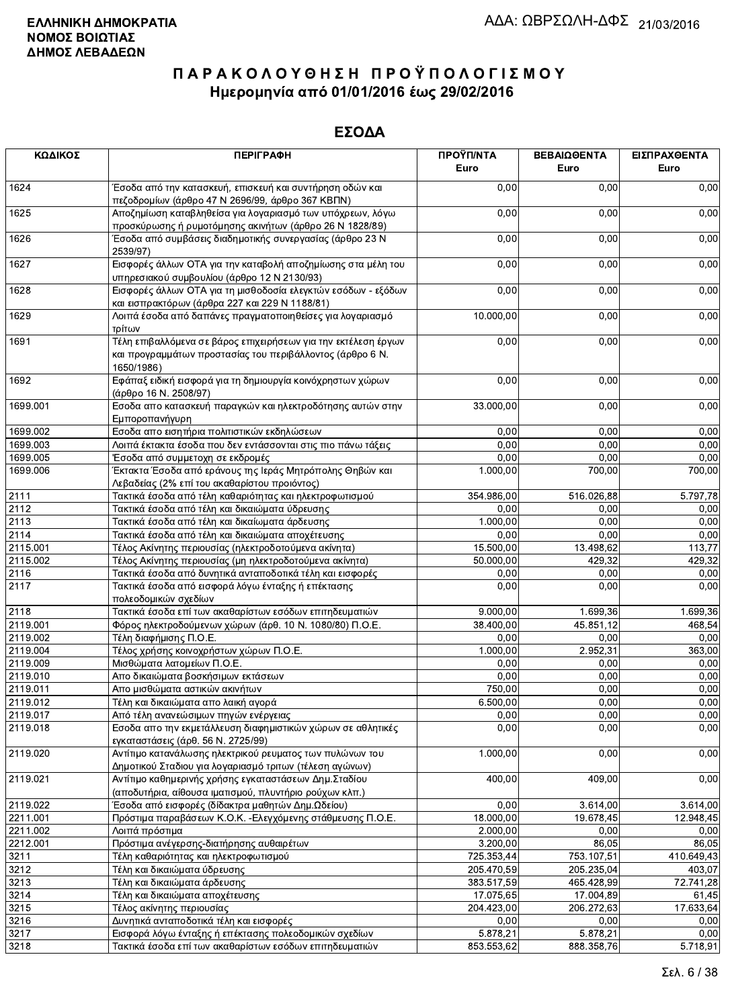| ΚΩΔΙΚΟΣ  | <b>ПЕРІГРАФН</b>                                                                                                                          | ΠΡΟΫΠ/ΝΤΑ<br>Euro | ΒΕΒΑΙΩΘΕΝΤΑ<br>Euro | ΕΙΣΠΡΑΧΘΕΝΤΑ<br>Euro |
|----------|-------------------------------------------------------------------------------------------------------------------------------------------|-------------------|---------------------|----------------------|
| 1624     | Έσοδα από την κατασκευή, επισκευή και συντήρηση οδών και<br>πεζοδρομίων (άρθρο 47 Ν 2696/99, άρθρο 367 ΚΒΠΝ)                              | 0,00              | 0,00                | 0,00                 |
| 1625     | Αποζημίωση καταβληθείσα για λογαριασμό των υπόχρεων, λόγω<br>προσκύρωσης ή ρυμοτόμησης ακινήτων (άρθρο 26 Ν 1828/89)                      | 0,00              | 0,00                | 0,00                 |
| 1626     | Έσοδα από συμβάσεις διαδημοτικής συνεργασίας (άρθρο 23 Ν<br>2539/97)                                                                      | 0,00              | 0,00                | 0,00                 |
| 1627     | Εισφορές άλλων ΟΤΑ για την καταβολή αποζημίωσης στα μέλη του<br>υπηρεσιακού συμβουλίου (άρθρο 12 Ν 2130/93)                               | 0,00              | 0,00                | 0,00                 |
| 1628     | Εισφορές άλλων ΟΤΑ για τη μισθοδοσία ελεγκτών εσόδων - εξόδων<br>και εισπρακτόρων (άρθρα 227 και 229 Ν 1188/81)                           | 0,00              | 0,00                | 0,00                 |
| 1629     | Λοιπά έσοδα από δαπάνες πραγματοποιηθείσες για λογαριασμό<br>τρίτων                                                                       | 10.000,00         | 0,00                | 0,00                 |
| 1691     | Τέλη επιβαλλόμενα σε βάρος επιχειρήσεων για την εκτέλεση έργων<br>και προγραμμάτων προστασίας του περιβάλλοντος (άρθρο 6 Ν.<br>1650/1986) | 0,00              | 0,00                | 0,00                 |
| 1692     | Εφάπαξ ειδική εισφορά για τη δημιουργία κοινόχρηστων χώρων<br>(άρθρο 16 Ν. 2508/97)                                                       | 0,00              | 0,00                | 0,00                 |
| 1699.001 | Εσοδα απο κατασκευή παραγκών και ηλεκτροδότησης αυτών στην<br>Εμποροπανήγυρη                                                              | 33.000,00         | 0,00                | 0,00                 |
| 1699.002 | Εσοδα απο εισητήρια πολιτιστικών εκδηλώσεων                                                                                               | 0,00              | 0,00                | 0,00                 |
| 1699.003 | Λοιπά έκτακτα έσοδα που δεν εντάσσονται στις πιο πάνω τάξεις                                                                              | 0,00              | 0,00                | 0,00                 |
| 1699.005 | Έσοδα από συμμετοχη σε εκδρομές                                                                                                           | 0,00              | 0,00                | 0,00                 |
| 1699.006 | Έκτακτα Έσοδα από εράνους της Ιεράς Μητρόπολης Θηβών και<br>Λεβαδείας (2% επί του ακαθαρίστου προιόντος)                                  | 1.000,00          | 700,00              | 700,00               |
| 2111     | Τακτικά έσοδα από τέλη καθαριότητας και ηλεκτροφωτισμού                                                                                   | 354.986,00        | 516.026,88          | 5.797,78             |
| 2112     | Τακτικά έσοδα από τέλη και δικαιώματα ύδρευσης                                                                                            | 0,00              | 0,00                | 0,00                 |
| 2113     | Τακτικά έσοδα από τέλη και δικαίωματα άρδευσης                                                                                            | 1.000,00          | 0,00                | 0,00                 |
| 2114     | Τακτικά έσοδα από τέλη και δικαιώματα αποχέτευσης                                                                                         | 0,00              | 0.00                | 0,00                 |
| 2115.001 | Τέλος Ακίνητης περιουσίας (ηλεκτροδοτούμενα ακίνητα)                                                                                      | 15.500,00         | 13.498,62           | 113,77               |
| 2115.002 | Τέλος Ακίνητης περιουσίας (μη ηλεκτροδοτούμενα ακίνητα)                                                                                   | 50.000,00         | 429,32              | 429,32               |
| 2116     | Τακτικά έσοδα από δυνητικά ανταποδοτικά τέλη και εισφορές                                                                                 | 0,00              | 0,00                | 0,00                 |
| 2117     | Τακτικά έσοδα από εισφορά λόγω ένταξης ή επέκτασης<br>πολεοδομικών σχεδίων                                                                | 0,00              | 0,00                | 0,00                 |
| 2118     | Τακτικά έσοδα επί των ακαθαρίστων εσόδων επιτηδευματιών                                                                                   | 9.000,00          | 1.699,36            | 1.699,36             |
| 2119.001 | Φόρος ηλεκτροδούμενων χώρων (άρθ. 10 Ν. 1080/80) Π.Ο.Ε.                                                                                   | 38.400,00         | 45.851,12           | 468,54               |
| 2119.002 | Τέλη διαφήμισης Π.Ο.Ε.                                                                                                                    | 0,00              | 0,00                | 0,00                 |
| 2119.004 | Τέλος χρήσης κοινοχρήστων χώρων Π.Ο.Ε.                                                                                                    | 1.000,00          | 2.952,31            | 363,00               |
| 2119.009 | Μισθώματα λατομείων Π.Ο.Ε.                                                                                                                | 0,00              | 0,00                | 0,00                 |
| 2119.010 | Απο δικαιώματα βοσκήσιμων εκτάσεων                                                                                                        | 0,00              | 0,00                | 0,00                 |
| 2119.011 | Απο μισθώματα αστικών ακινήτων                                                                                                            | 750,00            | 0.00                | 0,00                 |
| 2119.012 | Τέλη και δικαιώματα απο λαική αγορά                                                                                                       | 6.500,00          | 0,00                | 0,00                 |
| 2119.017 | Από τέλη ανανεώσιμων πηγών ενέργειας                                                                                                      | 0,00              | 0,00                | 0,00                 |
| 2119.018 | Εσοδα απο την εκμετάλλευση διαφημιστικών χώρων σε αθλητικές<br>εγκαταστάσεις (άρθ. 56 Ν. 2725/99)                                         | 0,00              | 0,00                | 0,00                 |
| 2119.020 | Αντίτιμο κατανάλωσης ηλεκτρικού ρευματος των πυλώνων του<br>Δημοτικού Σταδιου για λογαριασμό τριτων (τέλεση αγώνων)                       | 1.000,00          | 0,00                | 0,00                 |
| 2119.021 | Αντίτιμο καθημερινής χρήσης εγκαταστάσεων Δημ.Σταδίου<br>(αποδυτήρια, αίθουσα ιματισμού, πλυντήριο ρούχων κλπ.)                           | 400,00            | 409,00              | 0,00                 |
| 2119.022 | Έσοδα από εισφορές (δίδακτρα μαθητών Δημ.Ωδείου)                                                                                          | 0,00              | 3.614,00            | 3.614,00             |
| 2211.001 | Πρόστιμα παραβάσεων Κ.Ο.Κ. - Ελεγχόμενης στάθμευσης Π.Ο.Ε.                                                                                | 18.000,00         | 19.678,45           | 12.948,45            |
| 2211.002 | Λοιπά πρόστιμα                                                                                                                            | 2.000,00          | 0,00                | 0,00                 |
| 2212.001 | Πρόστιμα ανέγερσης-διατήρησης αυθαιρέτων                                                                                                  | 3.200,00          | 86,05               | 86,05                |
| 3211     | Τέλη καθαριότητας και ηλεκτροφωτισμού                                                                                                     | 725.353,44        | 753.107,51          | 410.649,43           |
| 3212     | Τέλη και δικαιώματα ύδρευσης                                                                                                              | 205.470,59        | 205.235,04          | 403,07               |
| 3213     | Τέλη και δικαιώματα άρδευσης                                                                                                              | 383.517,59        | 465.428,99          | 72.741,28            |
| 3214     | Τέλη και δικαιώματα αποχέτευσης                                                                                                           | 17.075,65         | 17.004,89           | 61,45                |
| 3215     | Τέλος ακίνητης περιουσίας                                                                                                                 | 204.423,00        | 206.272,63          | 17.633,64            |
| 3216     | Δυνητικά ανταποδοτικά τέλη και εισφορές                                                                                                   | 0,00              | 0.00                | 0,00                 |
| 3217     | Εισφορά λόγω ένταξης ή επέκτασης πολεοδομικών σχεδίων                                                                                     | 5.878,21          | 5.878,21            | 0,00                 |
| 3218     | Τακτικά έσοδα επί των ακαθαρίστων εσόδων επιτηδευματιών                                                                                   | 853.553,62        | 888.358.76          | 5.718,91             |
|          |                                                                                                                                           |                   |                     |                      |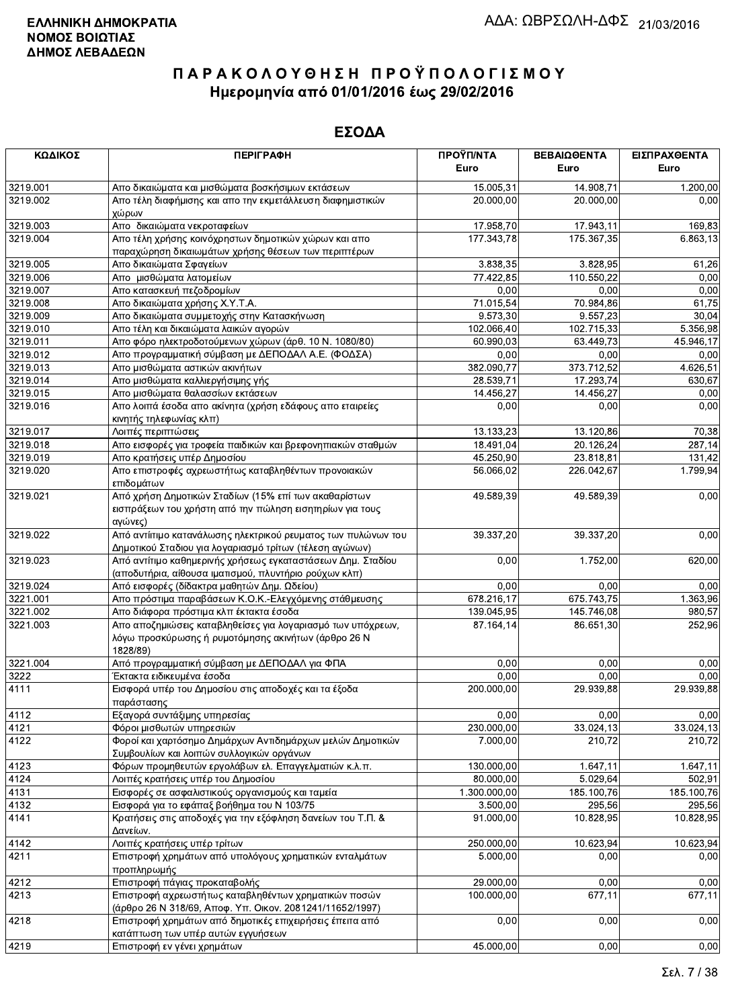| ΚΩΔΙΚΟΣ  | <b>ПЕРІГРАФН</b>                                                                                                               | ΠΡΟΫΠ/ΝΤΑ<br>Euro | ΒΕΒΑΙΩΘΕΝΤΑ<br>Euro | ΕΙΣΠΡΑΧΘΕΝΤΑ<br>Euro |
|----------|--------------------------------------------------------------------------------------------------------------------------------|-------------------|---------------------|----------------------|
|          |                                                                                                                                |                   |                     |                      |
| 3219.001 | Απο δικαιώματα και μισθώματα βοσκήσιμων εκτάσεων                                                                               | 15.005,31         | 14.908,71           | 1.200,00             |
| 3219.002 | Απο τέλη διαφήμισης και απο την εκμετάλλευση διαφημιστικών<br>χώρων                                                            | 20.000,00         | 20.000,00           | 0,00                 |
| 3219.003 | Απο δικαιώματα νεκροταφείων                                                                                                    | 17.958,70         | 17.943,11           | 169,83               |
| 3219.004 | Απο τέλη χρήσης κοινόχρηστων δημοτικών χώρων και απο<br>παραχώρηση δικαιωμάτων χρήσης θέσεων των περιπτέρων                    | 177.343,78        | 175.367,35          | 6.863,13             |
| 3219.005 | Απο δικαιώματα Σφαγείων                                                                                                        | 3.838,35          | 3.828,95            | 61,26                |
| 3219.006 | Απο μισθώματα λατομείων                                                                                                        | 77.422,85         | 110.550,22          | 0,00                 |
| 3219.007 | Απο κατασκευή πεζοδρομίων                                                                                                      | 0,00              | 0,00                | 0,00                 |
| 3219.008 | Απο δικαιώματα χρήσης Χ.Υ.Τ.Α.                                                                                                 | 71.015,54         | 70.984,86           | 61,75                |
| 3219.009 | Απο δικαιώματα συμμετοχής στην Κατασκήνωση                                                                                     | 9.573,30          | 9.557,23            | 30,04                |
| 3219.010 | Απο τέλη και δικαιώματα λαικών αγορών                                                                                          | 102.066,40        | 102.715,33          | 5.356,98             |
| 3219.011 | Απο φόρο ηλεκτροδοτούμενων χώρων (άρθ. 10 Ν. 1080/80)                                                                          | 60.990,03         | 63.449,73           | 45.946,17            |
| 3219.012 | Απο προγραμματική σύμβαση με ΔΕΠΟΔΑΛ Α.Ε. (ΦΟΔΣΑ)                                                                              | 0,00              | 0,00                | 0,00                 |
| 3219.013 | Απο μισθώματα αστικών ακινήτων                                                                                                 | 382.090,77        | 373.712,52          | 4.626,51             |
| 3219.014 | Απο μισθώματα καλλιεργήσιμης γής                                                                                               | 28.539,71         | 17.293,74           | 630,67               |
| 3219.015 | Απο μισθώματα θαλασσίων εκτάσεων                                                                                               | 14.456,27         | 14.456,27           | 0,00                 |
| 3219.016 | Απο λοιπά έσοδα απο ακίνητα (χρήση εδάφους απο εταιρείες<br>κινητής τηλεφωνίας κλπ)                                            | 0,00              | 0,00                | 0,00                 |
| 3219.017 | Λοιπές περιπτώσεις                                                                                                             | 13.133,23         | 13.120,86           | 70,38                |
| 3219.018 | Απο εισφορές για τροφεία παιδικών και βρεφονηπιακών σταθμών                                                                    | 18.491,04         | 20.126,24           | 287,14               |
| 3219.019 | Απο κρατήσεις υπέρ Δημοσίου                                                                                                    | 45.250,90         | 23.818,81           | 131,42               |
| 3219.020 | Απο επιστροφές αχρεωστήτως καταβληθέντων προνοιακών<br>επιδομάτων                                                              | 56.066,02         | 226.042,67          | 1.799,94             |
| 3219.021 | Από χρήση Δημοτικών Σταδίων (15% επί των ακαθαρίστων<br>εισπράξεων του χρήστη από την πώληση εισητηρίων για τους<br>αγώνες)    | 49.589,39         | 49.589,39           | 0,00                 |
| 3219.022 | Από αντίιτιμο κατανάλωσης ηλεκτρικού ρευματος των πυλώνων του<br>Δημοτικού Σταδιου για λογαριασμό τρίτων (τέλεση αγώνων)       | 39.337,20         | 39.337,20           | 0,00                 |
| 3219.023 | Από αντίτιμο καθημερινής χρήσεως εγκαταστάσεων Δημ. Σταδίου<br>(αποδυτήρια, αίθουσα ιματισμού, πλυντήριο ρούχων κλπ)           | 0,00              | 1.752,00            | 620,00               |
| 3219.024 | Από εισφορές (δίδακτρα μαθητών Δημ. Ωδείου)                                                                                    | 0,00              | 0,00                | 0,00                 |
| 3221.001 | Απο πρόστιμα παραβάσεων Κ.Ο.Κ.-Ελεγχόμενης στάθμευσης                                                                          | 678.216,17        | 675.743,75          | 1.363,96             |
| 3221.002 | Απο διάφορα πρόστιμα κλπ έκτακτα έσοδα                                                                                         | 139.045,95        | 145.746,08          | 980,57               |
| 3221.003 | Απο αποζημιώσεις καταβληθείσες για λογαριασμό των υπόχρεων,<br>λόγω προσκύρωσης ή ρυμοτόμησης ακινήτων (άρθρο 26 Ν<br>1828/89) | 87.164,14         | 86.651,30           | 252,96               |
| 3221.004 | Από προγραμματική σύμβαση με ΔΕΠΟΔΑΛ για ΦΠΑ                                                                                   | 0,00              | 0,00                | 0,00                 |
| 3222     | Έκτακτα ειδικευμένα έσοδα                                                                                                      | 0,00              | 0,00                | 0,00                 |
| 4111     | Εισφορά υπέρ του Δημοσίου στις αποδοχές και τα έξοδα<br>παράστασης                                                             | 200.000,00        | 29.939,88           | 29.939,88            |
| 4112     | Εξαγορά συντάξιμης υπηρεσίας                                                                                                   | 0,00              | 0,00                | 0,00                 |
| 4121     | Φόροι μισθωτών υπηρεσιών                                                                                                       | 230.000,00        | 33.024,13           | 33.024,13            |
| 4122     | Φοροί και χαρτόσημο Δημάρχων Αντιδημάρχων μελών Δημοτικών<br>Συμβουλίων και λοιπών συλλογικών οργάνων                          | 7.000,00          | 210,72              | 210,72               |
| 4123     | Φόρων προμηθευτών εργολάβων ελ. Επαγγελματιών κ.λ.π.                                                                           | 130.000,00        | 1.647, 11           | 1.647,11             |
| 4124     | Λοιπές κρατήσεις υπέρ του Δημοσίου                                                                                             | 80.000,00         | 5.029,64            | 502,91               |
| 4131     | Εισφορές σε ασφαλιστικούς οργανισμούς και ταμεία                                                                               | 1.300.000,00      | 185.100,76          | 185.100,76           |
| 4132     | Εισφορά για το εφάπαξ βοήθημα του Ν 103/75                                                                                     | 3.500,00          | 295,56              | 295,56               |
| 4141     | Κρατήσεις στις αποδοχές για την εξόφληση δανείων του Τ.Π. &<br>Δανείων.                                                        | 91.000,00         | 10.828,95           | 10.828,95            |
| 4142     | Λοιπές κρατήσεις υπέρ τρίτων                                                                                                   | 250.000,00        | 10.623,94           | 10.623,94            |
| 4211     | Επιστροφή χρημάτων από υπολόγους χρηματικών ενταλμάτων                                                                         | 5.000,00          | 0,00                | 0,00                 |
| 4212     | προπληρωμής<br>Επιστροφή πάγιας προκαταβολής                                                                                   | 29.000,00         | 0,00                | 0,00                 |
| 4213     | Επιστροφή αχρεωστήτως καταβληθέντων χρηματικών ποσών                                                                           | 100.000,00        | 677,11              | 677,11               |
|          | (άρθρο 26 Ν 318/69, Αποφ. Υπ. Οικον. 2081241/11652/1997)                                                                       |                   |                     |                      |
| 4218     | Επιστροφή χρημάτων από δημοτικές επιχειρήσεις έπειτα από<br>κατάπτωση των υπέρ αυτών εγγυήσεων                                 | 0,00              | 0,00                | 0,00                 |
| 4219     | Επιστροφή εν νένει χρημάτων                                                                                                    | 45.000,00         | 0.00                | 0.00                 |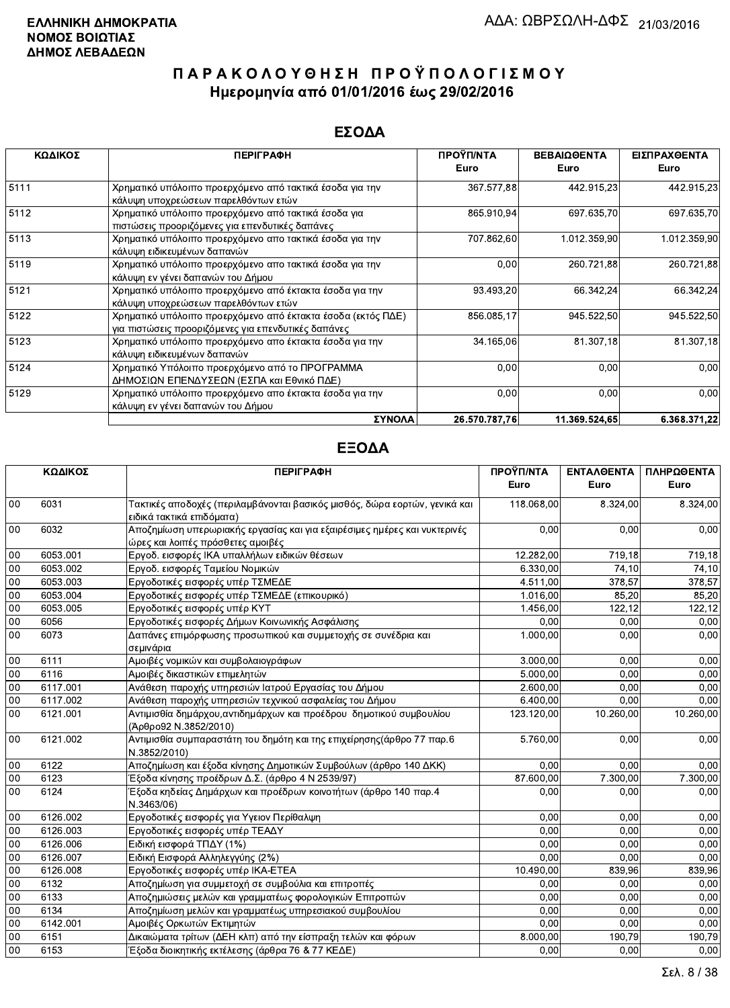### ΕΣΟΔΑ

| ΚΩΔΙΚΟΣ | <b>ПЕРІГРАФН</b>                                                                                                    | ΠΡΟΫΠ/ΝΤΑ<br>Euro | ΒΕΒΑΙΩΘΕΝΤΑ<br>Euro | ΕΙΣΠΡΑΧΘΕΝΤΑ<br>Euro |
|---------|---------------------------------------------------------------------------------------------------------------------|-------------------|---------------------|----------------------|
| 5111    | Χρηματικό υπόλοιπο προερχόμενο από τακτικά έσοδα για την<br>κάλυψη υποχρεώσεων παρελθόντων ετών                     | 367.577,88        | 442.915.23          | 442.915,23           |
| 5112    | Χρηματικό υπόλοιπο προερχόμενο από τακτικά έσοδα για<br>πιστώσεις προοριζόμενες για επενδυτικές δαπάνες             | 865.910,94        | 697.635,70          | 697.635,70           |
| 5113    | Χρηματικό υπόλοιπο προερχόμενο απο τακτικά έσοδα για την<br>κάλυψη ειδικευμένων δαπανών                             | 707 862,60        | 1.012.359,90        | 1.012.359,90         |
| 5119    | Χρηματικό υπόλοιπο προερχόμενο απο τακτικά έσοδα για την<br>κάλυψη εν γένει δαπανών του Δήμου                       | 0,00              | 260.721,88          | 260.721,88           |
| 5121    | Χρηματικό υπόλοιπο προερχόμενο από έκτακτα έσοδα για την<br>κάλυψη υποχρεώσεων παρελθόντων ετών                     | 93.493,20         | 66 342,24           | 66.342,24            |
| 5122    | Χρηματικό υπόλοιπο προερχόμενο από έκτακτα έσοδα (εκτός ΠΔΕ)<br>για πιστώσεις προοριζόμενες για επενδυτικές δαπάνες | 856.085,17        | 945.522,50          | 945.522,50           |
| 5123    | Χρηματικό υπόλοιπο προερχόμενο απο έκτακτα έσοδα για την<br>κάλυψη ειδικευμένων δαπανών                             | 34.165,06         | 81.307,18           | 81.307,18            |
| 5124    | Χρηματικό Υπόλοιπο προερχόμενο από το ΠΡΟΓΡΑΜΜΑ<br>ΔΗΜΟΣΙΩΝ ΕΠΕΝΔΥΣΕΩΝ (ΕΣΠΑ και Εθνικό ΠΔΕ)                        | 0,00              | 0,00                | 0,00                 |
| 5129    | Χρηματικό υπόλοιπο προερχόμενο απο έκτακτα έσοδα για την<br>κάλυψη εν γένει δαπανών του Δήμου                       | 0,00              | 0,00                | 0,00                 |
|         | ΣΥΝΟΛΑ                                                                                                              | 26.570.787.76     | 11.369.524.65       | 6.368.371.22         |

|        | ΚΩΔΙΚΟΣ  | <b>ПЕРІГРАФН</b>                                                                             | ΠΡΟΫΠ/ΝΤΑ  | ΕΝΤΑΛΘΕΝΤΑ | ΠΛΗΡΩΘΕΝΤΑ |
|--------|----------|----------------------------------------------------------------------------------------------|------------|------------|------------|
|        |          |                                                                                              | Euro       | Euro       | Euro       |
| 00     | 6031     | Τακτικές αποδοχές (περιλαμβάνονται βασικός μισθός, δώρα εορτών, γενικά και                   | 118.068,00 | 8.324,00   | 8.324,00   |
|        |          | ειδικά τακτικά επιδόματα)                                                                    |            |            |            |
| 00     | 6032     | Αποζημίωση υπερωριακής εργασίας και για εξαιρέσιμες ημέρες και νυκτερινές                    | 0,00       | 0,00       | 0,00       |
|        |          | ώρες και λοιπές πρόσθετες αμοιβές                                                            |            |            |            |
| 00     | 6053.001 | Εργοδ. εισφορές ΙΚΑ υπαλλήλων ειδικών θέσεων                                                 | 12.282,00  | 719.18     | 719,18     |
| 00     | 6053.002 | Εργοδ. εισφορές Ταμείου Νομικών                                                              | 6.330,00   | 74,10      | 74,10      |
| 00     | 6053.003 | Εργοδοτικές εισφορές υπέρ ΤΣΜΕΔΕ                                                             | 4.511,00   | 378,57     | 378,57     |
| 00     | 6053.004 | Εργοδοτικές εισφορές υπέρ ΤΣΜΕΔΕ (επικουρικό)                                                | 1.016,00   | 85.20      | 85,20      |
| 00     | 6053.005 | Εργοδοτικές εισφορές υπέρ ΚΥΤ                                                                | 1.456.00   | 122,12     | 122,12     |
| 00     | 6056     | Εργοδοτικές εισφορές Δήμων Κοινωνικής Ασφάλισης                                              | 0,00       | 0,00       | 0,00       |
| $00\,$ | 6073     | Δαπάνες επιμόρφωσης προσωπικού και συμμετοχής σε συνέδρια και                                | 1.000.00   | 0,00       | 0,00       |
|        |          | σεμινάρια                                                                                    |            |            |            |
| 00     | 6111     | Αμοιβές νομικών και συμβολαιογράφων                                                          | 3.000,00   | 0,00       | 0,00       |
| 00     | 6116     | Αμοιβές δικαστικών επιμελητών                                                                | 5.000,00   | 0,00       | 0.00       |
| 00     | 6117.001 | Ανάθεση παροχής υπηρεσιών Ιατρού Εργασίας του Δήμου                                          | 2.600,00   | 0,00       | 0,00       |
| 00     | 6117.002 | Ανάθεση παροχής υπηρεσιών τεχνικού ασφαλείας του Δήμου                                       | 6.400,00   | 0,00       | 0,00       |
| 00     | 6121.001 | Αντιμισθία δημάρχου, αντιδημάρχων και προέδρου δημοτικού συμβουλίου<br>(Άρθρο92 Ν.3852/2010) | 123.120,00 | 10.260,00  | 10.260,00  |
| 00     | 6121.002 | Αντιμισθία συμπαραστάτη του δημότη και της επιχείρησης (άρθρο 77 παρ.6<br>N.3852/2010)       | 5.760,00   | 0.00       | 0,00       |
| 00     | 6122     | Αποζημίωση και έξοδα κίνησης Δημοτικών Συμβούλων (άρθρο 140 ΔΚΚ)                             | 0.00       | 0.00       | 0,00       |
| $00\,$ | 6123     | Έξοδα κίνησης προέδρων Δ.Σ. (άρθρο 4 Ν 2539/97)                                              | 87.600,00  | 7.300,00   | 7.300,00   |
| $00\,$ | 6124     | Έξοδα κηδείας Δημάρχων και προέδρων κοινοτήτων (άρθρο 140 παρ.4<br>N.3463/06)                | 0,00       | 0,00       | 0,00       |
| $00\,$ | 6126.002 | Εργοδοτικές εισφορές για Υγειον Περίθαλψη                                                    | 0.00       | 0.00       | 0.00       |
| $00\,$ | 6126.003 | Εργοδοτικές εισφορές υπέρ ΤΕΑΔΥ                                                              | 0.00       | 0.00       | 0.00       |
| $00\,$ | 6126.006 | Ειδική εισφορά ΤΠΔΥ (1%)                                                                     | 0.00       | 0.00       | 0.00       |
| 00     | 6126.007 | Ειδική Εισφορά Αλληλεγγύης (2%)                                                              | 0.00       | 0.00       | 0.00       |
| 00     | 6126.008 | Εργοδοτικές εισφορές υπέρ ΙΚΑ-ΕΤΕΑ                                                           | 10.490,00  | 839,96     | 839,96     |
| 00     | 6132     | Αποζημίωση για συμμετοχή σε συμβούλια και επιτροπές                                          | 0.00       | 0.00       | 0,00       |
| 00     | 6133     | Αποζημιώσεις μελών και γραμματέως φορολογικών Επιτροπών                                      | 0.00       | 0,00       | 0,00       |
| 00     | 6134     | Αποζημίωση μελών και γραμματέως υπηρεσιακού συμβουλίου                                       | 0.00       | 0,00       | 0,00       |
| $00\,$ | 6142.001 | Αμοιβές Ορκωτών Εκτιμητών                                                                    | 0.00       | 0.00       | 0.00       |
| $00\,$ | 6151     | Δικαιώματα τρίτων (ΔΕΗ κλπ) από την είσπραξη τελών και φόρων                                 | 8.000,00   | 190,79     | 190,79     |
| 00     | 6153     | Έξοδα διοικητικής εκτέλεσης (άρθρα 76 & 77 ΚΕΔΕ)                                             | 0,00       | 0,00       | 0,00       |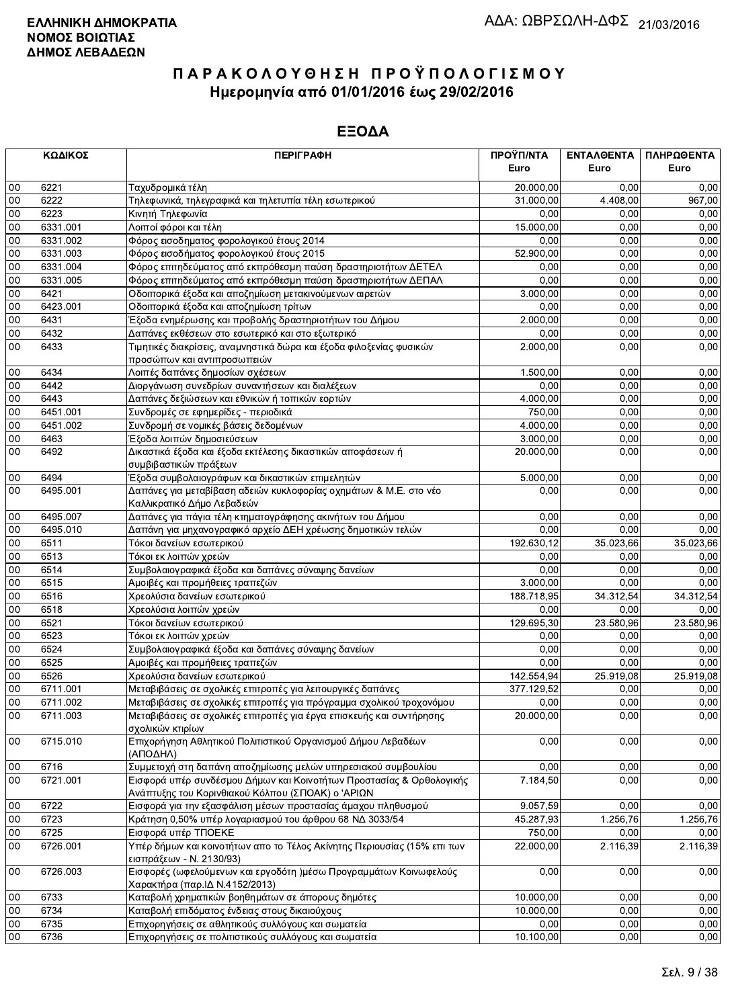|        | ΚΩΔΙΚΟΣ  | <b>ПЕРІГРАФН</b>                                                                    | ΠΡΟΫΠ/ΝΤΑ  | ΕΝΤΑΛΘΕΝΤΑ | ΠΛΗΡΩΘΕΝΤΑ |
|--------|----------|-------------------------------------------------------------------------------------|------------|------------|------------|
|        |          |                                                                                     | Euro       | Euro       | Euro       |
| 00     | 6221     | Ταχυδρομικά τέλη                                                                    | 20.000,00  | 0,00       | 0,00       |
| 00     | 6222     | Τηλεφωνικά, τηλεγραφικά και τηλετυπία τέλη εσωτερικού                               | 31.000,00  | 4.408,00   | 967,00     |
| 00     | 6223     | Κινητή Τηλεφωνία                                                                    | 0.00       | 0,00       | 0,00       |
| 00     | 6331.001 | Λοιποί φόροι και τέλη                                                               | 15.000,00  | 0,00       | 0,00       |
| 00     | 6331.002 | Φόρος εισοδηματος φορολογικού έτους 2014                                            | 0.00       | 0,00       | 0,00       |
| 00     | 6331.003 | Φόρος εισοδήματος φορολογικού έτους 2015                                            | 52.900,00  | 0,00       | 0,00       |
| 00     | 6331.004 | Φόρος επιτηδεύματος από εκπρόθεσμη παύση δραστηριοτήτων ΔΕΤΕΛ                       | 0,00       | 0,00       | 0,00       |
| 00     | 6331.005 | Φόρος επιτηδεύματος από εκπρόθεσμη παύση δραστηριοτήτων ΔΕΠΑΛ                       | 0,00       | 0,00       | 0,00       |
| 00     | 6421     | Οδοιπορικά έξοδα και αποζημίωση μετακινούμενων αιρετών                              | 3.000,00   | 0,00       | 0,00       |
| 00     | 6423.001 | Οδοιπορικά έξοδα και αποζημίωση τρίτων                                              | 0,00       | 0,00       | 0,00       |
| 00     | 6431     | Έξοδα ενημέρωσης και προβολής δραστηριοτήτων του Δήμου                              | 2.000,00   | 0,00       | 0,00       |
| 00     | 6432     | Δαπάνες εκθέσεων στο εσωτερικό και στο εξωτερικό                                    | 0,00       | 0,00       | 0,00       |
| 00     | 6433     | Τιμητικές διακρίσεις, αναμνηστικά δώρα και έξοδα φιλοξενίας φυσικών                 | 2.000,00   | 0,00       | 0,00       |
|        |          | προσώπων και αντιπροσωπειών                                                         |            |            |            |
| $00\,$ | 6434     | Λοιπές δαπάνες δημοσίων σχέσεων                                                     | 1.500,00   | 0.00       | 0,00       |
| 00     | 6442     | Διοργάνωση συνεδρίων συναντήσεων και διαλέξεων                                      | 0,00       | 0,00       | 0,00       |
| 00     | 6443     | Δαπάνες δεξιώσεων και εθνικών ή τοπικών εορτών                                      | 4.000,00   | 0,00       | 0,00       |
| 00     | 6451.001 | Συνδρομές σε εφημερίδες - περιοδικά                                                 | 750,00     | 0,00       | 0,00       |
| 00     | 6451.002 | Συνδρομή σε νομικές βάσεις δεδομένων                                                | 4.000,00   | 0,00       | 0,00       |
| 00     | 6463     | Έξοδα λοιπών δημοσιεύσεων                                                           | 3.000,00   | 0,00       | 0,00       |
| 00     | 6492     | Δικαστικά έξοδα και έξοδα εκτέλεσης δικαστικών αποφάσεων ή                          | 20.000,00  | 0,00       | 0,00       |
|        |          | συμβιβαστικών πράξεων                                                               |            |            |            |
| 00     | 6494     | Έξοδα συμβολαιογράφων και δικαστικών επιμελητών                                     | 5.000,00   | 0,00       | 0,00       |
| 00     | 6495.001 | Δαπάνες για μεταβίβαση αδειών κυκλοφορίας οχημάτων & Μ.Ε. στο νέο                   | 0,00       | 0,00       | 0,00       |
|        |          | Καλλικρατικό Δήμο Λεβαδεών                                                          |            |            |            |
| 00     | 6495.007 | Δαπάνες για πάγια τέλη κτηματογράφησης ακινήτων του Δήμου                           | 0.00       | 0,00       | 0,00       |
| 00     | 6495.010 | Δαπάνη για μηχανογραφικό αρχείο ΔΕΗ χρέωσης δημοτικών τελών                         | 0,00       | 0,00       | 0,00       |
| 00     | 6511     | Τόκοι δανείων εσωτερικού                                                            | 192.630,12 | 35.023,66  | 35.023,66  |
| 00     | 6513     | Τόκοι εκ λοιπών χρεών                                                               | 0,00       | 0,00       | 0,00       |
| 00     | 6514     | Συμβολαιογραφικά έξοδα και δαπάνες σύναψης δανείων                                  | 0,00       | 0,00       | 0,00       |
| 00     | 6515     | Αμοιβές και προμήθειες τραπεζών                                                     | 3.000,00   | 0,00       | 0,00       |
| 00     | 6516     | Χρεολύσια δανείων εσωτερικού                                                        | 188.718,95 | 34.312,54  | 34.312,54  |
| 00     | 6518     | Χρεολύσια λοιπών χρεών                                                              | 0,00       | 0.00       | 0,00       |
| 00     | 6521     | Τόκοι δανείων εσωτερικού                                                            | 129.695,30 | 23.580,96  | 23.580,96  |
| 00     | 6523     | Τόκοι εκ λοιπών χρεών                                                               | 0,00       | 0,00       | 0,00       |
| 00     | 6524     | Συμβολαιογραφικά έξοδα και δαπάνες σύναψης δανείων                                  | 0,00       | 0,00       | 0,00       |
| 00     | 6525     | Αμοιβές και προμήθειες τραπεζών                                                     | 0,00       | 0,00       | 0,00       |
| 00     | 6526     | Χρεολύσια δανείων εσωτερικού                                                        | 142.554,94 | 25.919,08  | 25.919,08  |
| 00     | 6711.001 | Μεταβιβάσεις σε σχολικές επιτροπές για λειτουργικές δαπάνες                         | 377.129,52 | 0,00       | 0,00       |
| 00     | 6711.002 | Μεταβιβάσεις σε σχολικές επιτροπές για πρόγραμμα σχολικού τροχονόμου                | 0,00       | 0,00       | 0,00       |
| 00     | 6711.003 | Μεταβιβάσεις σε σχολικές επιτροπές για έργα επισκευής και συντήρησης                | 20.000,00  | 0,00       | 0,00       |
|        |          | σχολικών κτιρίων                                                                    |            |            |            |
| 00     | 6715.010 | Επιχορήγηση Αθλητικού Πολιτιστικού Οργανισμού Δήμου Λεβαδέων                        | 0,00       | 0,00       | 0,00       |
|        |          | (ΑΠΟΔΗΛ)                                                                            |            |            |            |
| 00     | 6716     | Συμμετοχή στη δαπάνη αποζημίωσης μελών υπηρεσιακού συμβουλίου                       | 0,00       | 0,00       | 0,00       |
| $00\,$ | 6721.001 | Εισφορά υπέρ συνδέσμου Δήμων και Κοινοτήτων Προστασίας & Ορθολογικής                | 7.184,50   | 0,00       | 0,00       |
|        |          | Ανάπτυξης του Κορινθιακού Κόλπου (ΣΠΟΑΚ) ο 'ΑΡΙΩΝ                                   |            |            |            |
| 00     | 6722     | Εισφορά για την εξασφάλιση μέσων προστασίας άμαχου πληθυσμού                        | 9.057,59   | 0,00       | 0,00       |
| $00\,$ | 6723     | Κράτηση 0,50% υπέρ λογαριασμού του άρθρου 68 ΝΔ 3033/54                             | 45.287,93  | 1.256,76   | 1.256,76   |
| $00\,$ | 6725     | Εισφορά υπέρ ΤΠΟΕΚΕ                                                                 | 750,00     | 0,00       | 0,00       |
| 00     | 6726.001 | Υπέρ δήμων και κοινοτήτων απο το Τέλος Ακίνητης Περιουσίας (15% επι των             | 22.000,00  | 2.116,39   | 2.116,39   |
|        |          | εισπράξεων - Ν. 2130/93)                                                            |            |            |            |
| 00     | 6726.003 | Εισφορές (ωφελούμενων και εργοδότη )μέσω Προγραμμάτων Κοινωφελούς                   | 0,00       | 0,00       | 0,00       |
| 00     | 6733     | Χαρακτήρα (παρ.ΙΔ Ν.4152/2013)<br>Καταβολή χρηματικών βοηθημάτων σε άπορους δημότες | 10.000,00  | 0,00       | 0,00       |
| 00     | 6734     | Καταβολή επιδόματος ένδειας στους δικαιούχους                                       | 10.000,00  | 0,00       | 0,00       |
| 00     | 6735     | Επιχορηγήσεις σε αθλητικούς συλλόγους και σωματεία                                  | 0,00       | 0,00       | 0,00       |
| $00\,$ |          |                                                                                     |            |            | 0,00       |
|        | 6736     | Επιχορηγήσεις σε πολιτιστικούς συλλόγους και σωματεία                               | 10.100,00  | 0,00       |            |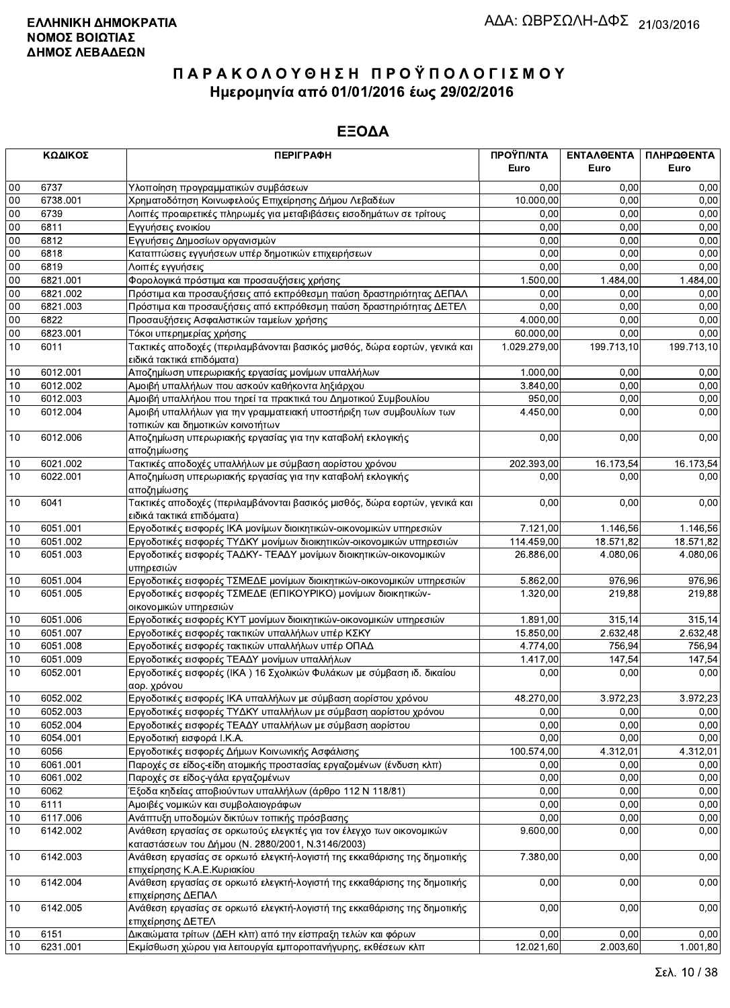|        | ΚΩΔΙΚΟΣ  | <b>ПЕРІГРАФН</b>                                                                                                          | ΠΡΟΫΠ/ΝΤΑ<br>Euro | ΕΝΤΑΛΘΕΝΤΑ<br>Euro | ΠΛΗΡΩΘΕΝΤΑ<br>Euro |
|--------|----------|---------------------------------------------------------------------------------------------------------------------------|-------------------|--------------------|--------------------|
| 00     | 6737     | Υλοποίηση προγραμματικών συμβάσεων                                                                                        | 0,00              | 0.00               | 0,00               |
| 00     | 6738.001 | Χρηματοδότηση Κοινωφελούς Επιχείρησης Δήμου Λεβαδέων                                                                      | 10.000,00         | 0.00               | 0,00               |
| 00     | 6739     | Λοιπές προαιρετικές πληρωμές για μεταβιβάσεις εισοδημάτων σε τρίτους                                                      | 0,00              | 0,00               | 0,00               |
| 00     | 6811     | Εγγυήσεις ενοικίου                                                                                                        | 0.00              | 0,00               | 0,00               |
| 00     | 6812     | Εγγυήσεις Δημοσίων οργανισμών                                                                                             | 0,00              | 0,00               | 0,00               |
| 00     | 6818     | Καταπτώσεις εγγυήσεων υπέρ δημοτικών επιχειρήσεων                                                                         | 0,00              | 0,00               | 0,00               |
| 00     | 6819     | Λοιπές εγγυήσεις                                                                                                          | 0,00              | 0,00               | 0,00               |
| 00     | 6821.001 | Φορολογικά πρόστιμα και προσαυξήσεις χρήσης                                                                               | 1.500,00          | 1.484,00           | 1.484,00           |
| $00\,$ | 6821.002 | Πρόστιμα και προσαυξήσεις από εκπρόθεσμη παύση δραστηριότητας ΔΕΠΑΛ                                                       | 0,00              | 0.00               | 0,00               |
| 00     | 6821.003 | Πρόστιμα και προσαυξήσεις από εκπρόθεσμη παύση δραστηριότητας ΔΕΤΕΛ                                                       | 0,00              | 0,00               | 0,00               |
| 00     | 6822     | Προσαυξήσεις Ασφαλιστικών ταμείων χρήσης                                                                                  | 4.000,00          | 0,00               | 0,00               |
| 00     | 6823.001 | Τόκοι υπερημερίας χρήσης                                                                                                  | 60.000,00         | 0,00               | 0,00               |
| 10     | 6011     | Τακτικές αποδοχές (περιλαμβάνονται βασικός μισθός, δώρα εορτών, γενικά και<br>ειδικά τακτικά επιδόματα)                   | 1.029.279,00      | 199.713,10         | 199.713,10         |
| 10     | 6012.001 | Αποζημίωση υπερωριακής εργασίας μονίμων υπαλλήλων                                                                         | 1.000,00          | 0,00               | 0,00               |
| 10     | 6012.002 | Αμοιβή υπαλλήλων που ασκούν καθήκοντα ληξιάρχου                                                                           | 3.840,00          | 0,00               | 0,00               |
| 10     | 6012.003 | Αμοιβή υπαλλήλου που τηρεί τα πρακτικά του Δημοτικού Συμβουλίου                                                           | 950,00            | 0,00               | 0,00               |
| 10     | 6012.004 | Αμοιβή υπαλλήλων για την γραμματειακή υποστήριξη των συμβουλίων των<br>τοπικών και δημοτικών κοινοτήτων                   | 4.450,00          | 0,00               | 0,00               |
| 10     | 6012.006 | Αποζημίωση υπερωριακής εργασίας για την καταβολή εκλογικής<br>αποζημίωσης                                                 | 0,00              | 0,00               | 0,00               |
| 10     | 6021.002 | Τακτικές αποδοχές υπαλλήλων με σύμβαση αορίστου χρόνου                                                                    | 202.393,00        | 16.173,54          | 16.173,54          |
| 10     | 6022.001 | Αποζημίωση υπερωριακής εργασίας για την καταβολή εκλογικής<br>αποζημίωσης                                                 | 0,00              | 0,00               | 0,00               |
| 10     | 6041     | Τακτικές αποδοχές (περιλαμβάνονται βασικός μισθός, δώρα εορτών, γενικά και<br>ειδικά τακτικά επιδόματα)                   | 0,00              | 0,00               | 0,00               |
| 10     | 6051.001 | Εργοδοτικές εισφορές ΙΚΑ μονίμων διοικητικών-οικονομικών υπηρεσιών                                                        | 7.121,00          | 1.146,56           | 1.146,56           |
| 10     | 6051.002 | Εργοδοτικές εισφορές ΤΥΔΚΥ μονίμων διοικητικών-οικονομικών υπηρεσιών                                                      | 114.459,00        | 18.571,82          | 18.571,82          |
| 10     | 6051.003 | Εργοδοτικές εισφορές ΤΑΔΚΥ- ΤΕΑΔΥ μονίμων διοικητικών-οικονομικών<br>υπηρεσιών                                            | 26.886,00         | 4.080,06           | 4.080,06           |
| 10     | 6051.004 | Εργοδοτικές εισφορές ΤΣΜΕΔΕ μονίμων διοικητικών-οικονομικών υπηρεσιών                                                     | 5.862,00          | 976,96             | 976,96             |
| 10     | 6051.005 | Εργοδοτικές εισφορές ΤΣΜΕΔΕ (ΕΠΙΚΟΥΡΙΚΟ) μονίμων διοικητικών-<br>οικονομικών υπηρεσιών                                    | 1.320,00          | 219,88             | 219,88             |
| 10     | 6051.006 | Εργοδοτικές εισφορές ΚΥΤ μονίμων διοικητικών-οικονομικών υπηρεσιών                                                        | 1.891,00          | 315,14             | 315,14             |
| 10     | 6051.007 | Εργοδοτικές εισφορές τακτικών υπαλλήλων υπέρ ΚΣΚΥ                                                                         | 15.850,00         | 2.632,48           | 2.632,48           |
| 10     | 6051.008 | Εργοδοτικές εισφορές τακτικών υπαλλήλων υπέρ ΟΠΑΔ                                                                         | 4.774,00          | 756,94             | 756,94             |
| 10     | 6051.009 | Εργοδοτικές εισφορές ΤΕΑΔΥ μονίμων υπαλλήλων                                                                              | 1.417,00          | 147,54             | 147,54             |
| 10     | 6052.001 | Εργοδοτικές εισφορές (ΙΚΑ) 16 Σχολικών Φυλάκων με σύμβαση ιδ. δικαίου<br>αορ. χρόνου                                      | 0,00              | 0,00               | 0,00               |
| 10     | 6052.002 | Εργοδοτικές εισφορές ΙΚΑ υπαλλήλων με σύμβαση αορίστου χρόνου                                                             | 48.270,00         | 3.972,23           | 3.972,23           |
| 10     | 6052.003 | Εργοδοτικές εισφορές ΤΥΔΚΥ υπαλλήλων με σύμβαση αορίστου χρόνου                                                           | 0,00              | 0,00               | 0,00               |
| 10     | 6052.004 | Εργοδοτικές εισφορές ΤΕΑΔΥ υπαλλήλων με σύμβαση αορίστου                                                                  | 0,00              | 0,00               | 0,00               |
| 10     | 6054.001 | Εργοδοτική εισφορά Ι.Κ.Α.                                                                                                 | 0,00              | 0,00               | 0,00               |
| 10     | 6056     | Εργοδοτικές εισφορές Δήμων Κοινωνικής Ασφάλισης                                                                           | 100.574,00        | 4.312,01           | 4.312,01           |
| 10     | 6061.001 | Παροχές σε είδος-είδη ατομικής προστασίας εργαζομένων (ένδυση κλπ)                                                        | 0,00              | 0,00               | 0,00               |
| 10     | 6061.002 | Παροχές σε είδος-γάλα εργαζομένων                                                                                         | 0,00              | 0,00               | 0,00               |
| 10     | 6062     | Έξοδα κηδείας αποβιούντων υπαλλήλων (άρθρο 112 Ν 118/81)                                                                  | 0,00              | 0,00               | 0,00               |
| 10     | 6111     | Αμοιβές νομικών και συμβολαιογράφων                                                                                       | 0,00              | 0.00               | 0,00               |
| 10     | 6117.006 | Ανάπτυξη υποδομών δικτύων τοπικής πρόσβασης                                                                               | 0,00              | 0,00               | 0,00               |
| 10     | 6142.002 | Ανάθεση εργασίας σε ορκωτούς ελεγκτές για τον έλεγχο των οικονομικών<br>καταστάσεων του Δήμου (Ν. 2880/2001, Ν.3146/2003) | 9.600,00          | 0,00               | 0,00               |
| 10     | 6142.003 | Ανάθεση εργασίας σε ορκωτό ελεγκτή-λογιστή της εκκαθάρισης της δημοτικής<br>επιχείρησης Κ.Α.Ε.Κυριακίου                   | 7.380,00          | 0,00               | 0,00               |
| 10     | 6142.004 | Ανάθεση εργασίας σε ορκωτό ελεγκτή-λογιστή της εκκαθάρισης της δημοτικής<br>επιχείρησης ΔΕΠΑΛ                             | 0,00              | 0,00               | 0,00               |
| 10     | 6142.005 | Ανάθεση εργασίας σε ορκωτό ελεγκτή-λογιστή της εκκαθάρισης της δημοτικής<br>επιχείρησης ΔΕΤΕΛ                             | 0,00              | 0,00               | 0,00               |
| 10     | 6151     | Δικαιώματα τρίτων (ΔΕΗ κλπ) από την είσπραξη τελών και φόρων                                                              | 0,00              | 0,00               | 0,00               |
| 10     | 6231.001 | Εκμίσθωση χώρου για λειτουργία εμποροπανήγυρης, εκθέσεων κλπ                                                              | 12.021,60         | 2.003,60           | 1.001,80           |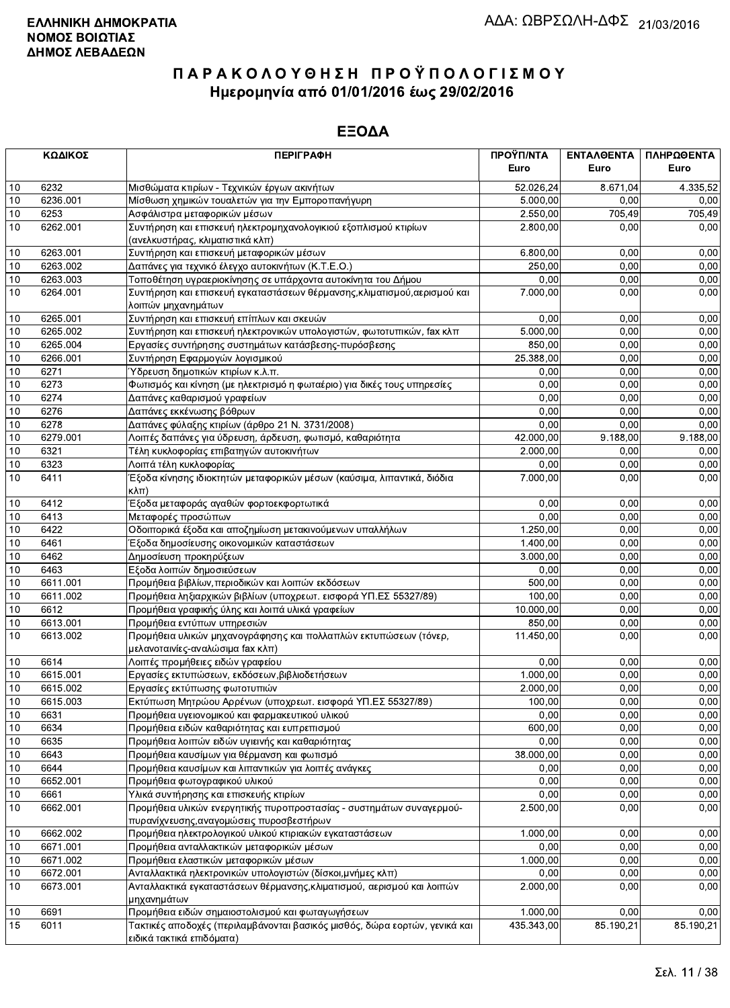|      | ΚΩΔΙΚΟΣ  | <b>ПЕРІГРАФН</b>                                                                                | ΠΡΟΫΠ/ΝΤΑ  | ΕΝΤΑΛΘΕΝΤΑ | ΠΛΗΡΩΘΕΝΤΑ |
|------|----------|-------------------------------------------------------------------------------------------------|------------|------------|------------|
|      |          |                                                                                                 | Euro       | Euro       | Euro       |
| 10   | 6232     | Μισθώματα κτιρίων - Τεχνικών έργων ακινήτων                                                     | 52.026,24  | 8.671.04   | 4.335,52   |
| 10   | 6236.001 | Μίσθωση χημικών τουαλετών για την Εμποροπανήγυρη                                                | 5.000,00   | 0.00       | 0,00       |
| 10   | 6253     | Ασφάλιστρα μεταφορικών μέσων                                                                    | 2.550,00   | 705,49     | 705,49     |
| 10   | 6262.001 | Συντήρηση και επισκευή ηλεκτρομηχανολογικιού εξοπλισμού κτιρίων                                 | 2.800,00   | 0,00       | 0,00       |
|      |          | (ανελκυστήρας, κλιματιστικά κλπ)                                                                |            |            |            |
| 10   | 6263.001 | Συντήρηση και επισκευή μεταφορικών μέσων                                                        | 6.800,00   | 0,00       | 0,00       |
| 10   | 6263.002 | Δαπάνες για τεχνικό έλεγχο αυτοκινήτων (Κ.Τ.Ε.Ο.)                                               | 250,00     | 0,00       | 0,00       |
| 10   | 6263.003 | Τοποθέτηση υγραεριοκίνησης σε υπάρχοντα αυτοκίνητα του Δήμου                                    | 0,00       | 0,00       | 0,00       |
| 10   | 6264.001 | Συντήρηση και επισκευή εγκαταστάσεων θέρμανσης, κλιματισμού, αερισμού και<br>λοιπών μηχανημάτων | 7.000,00   | 0,00       | 0,00       |
| 10   | 6265.001 | Συντήρηση και επισκευή επίπλων και σκευών                                                       | 0,00       | 0,00       | 0,00       |
| 10   | 6265.002 | Συντήρηση και επισκευή ηλεκτρονικών υπολογιστών, φωτοτυπικών, fax κλπ                           | 5.000,00   | 0,00       | 0,00       |
| 10   | 6265.004 | Εργασίες συντήρησης συστημάτων κατάσβεσης-πυρόσβεσης                                            | 850,00     | 0,00       | 0,00       |
| 10   | 6266.001 | Συντήρηση Εφαρμογών λογισμικού                                                                  | 25.388,00  | 0,00       | 0,00       |
| 10   | 6271     | Ύδρευση δημοτικών κτιρίων κ.λ.π.                                                                | 0,00       | 0,00       | 0,00       |
| 10   | 6273     | Φωτισμός και κίνηση (με ηλεκτρισμό η φωταέριο) για δικές τους υπηρεσίες                         | 0,00       | 0,00       | 0,00       |
| 10   | 6274     | Δαπάνες καθαρισμού γραφείων                                                                     | 0,00       | 0,00       | 0,00       |
| 10   | 6276     | Δαπάνες εκκένωσης βόθρων                                                                        | 0,00       | 0,00       | 0,00       |
| 10   | 6278     | Δαπάνες φύλαξης κτιρίων (άρθρο 21 Ν. 3731/2008)                                                 | 0,00       | 0,00       | 0,00       |
| 10   | 6279.001 | Λοιπές δαπάνες για ύδρευση, άρδευση, φωτισμό, καθαριότητα                                       | 42.000,00  | 9.188,00   | 9.188,00   |
| 10   | 6321     | Τέλη κυκλοφορίας επιβατηγών αυτοκινήτων                                                         | 2.000,00   | 0,00       | 0,00       |
| 10   | 6323     | Λοιπά τέλη κυκλοφορίας                                                                          | 0,00       | 0,00       | 0,00       |
| 10   | 6411     | Έξοδα κίνησης ιδιοκτητών μεταφορικών μέσων (καύσιμα, λιπαντικά, διόδια<br>$K\lambda\pi$ )       | 7.000,00   | 0,00       | 0,00       |
| 10   | 6412     | Έξοδα μεταφοράς αγαθών φορτοεκφορτωτικά                                                         | 0.00       | 0,00       | 0,00       |
| 10   | 6413     | Μεταφορές προσώπων                                                                              | 0,00       | 0.00       | 0.00       |
| 10   | 6422     | Οδοιπορικά έξοδα και αποζημίωση μετακινούμενων υπαλλήλων                                        | 1.250,00   | 0,00       | 0,00       |
| 10   | 6461     | Έξοδα δημοσίευσης οικονομικών καταστάσεων                                                       | 1.400,00   | 0,00       | 0,00       |
| 10   | 6462     | Δημοσίευση προκηρύξεων                                                                          | 3.000,00   | 0,00       | 0,00       |
| 10   | 6463     | Εξοδα λοιπών δημοσιεύσεων                                                                       | 0,00       | 0,00       | 0,00       |
| 10   | 6611.001 | Προμήθεια βιβλίων, περιοδικών και λοιπών εκδόσεων                                               | 500,00     | 0,00       | 0,00       |
| 10   | 6611.002 | Προμήθεια ληξιαρχικών βιβλίων (υποχρεωτ. εισφορά ΥΠ.ΕΣ 55327/89)                                | 100,00     | 0,00       | 0,00       |
| 10   | 6612     | Προμήθεια γραφικής ύλης και λοιπά υλικά γραφείων                                                | 10.000,00  | 0,00       | 0,00       |
| 10   | 6613.001 | Προμήθεια εντύπων υπηρεσιών                                                                     | 850,00     | 0,00       | 0,00       |
| 10   | 6613.002 | Προμήθεια υλικών μηχανογράφησης και πολλαπλών εκτυπώσεων (τόνερ,                                | 11.450,00  | 0,00       | 0,00       |
|      |          | μελανοταινίες-αναλώσιμα fax κλπ)                                                                |            |            |            |
| 10   | 6614     | Λοιπές προμήθειες ειδών γραφείου                                                                | 0,00       | 0,00       | 0,00       |
| 10   | 6615.001 | Εργασίες εκτυπώσεων, εκδόσεων, βιβλιοδετήσεων                                                   | 1.000,00   | 0,00       | 0,00       |
| 10   | 6615.002 | Εργασίες εκτύπωσης φωτοτυπιών                                                                   | 2.000,00   | 0,00       | 0,00       |
| 10   | 6615.003 | Εκτύπωση Μητρώου Αρρένων (υποχρεωτ. εισφορά ΥΠ.ΕΣ 55327/89)                                     | 100,00     | 0,00       | 0,00       |
| $10$ | 6631     | Προμήθεια υγειονομικού και φαρμακευτικού υλικού                                                 | 0,00       | 0,00       | 0,00       |
| 10   | 6634     | Προμήθεια ειδών καθαριότητας και ευπρεπισμού                                                    | 600,00     | 0,00       | 0,00       |
| 10   | 6635     | Προμήθεια λοιπών ειδών υγιεινής και καθαριότητας                                                | 0,00       | 0,00       | 0,00       |
| 10   | 6643     | Προμήθεια καυσίμων για θέρμανση και φωτισμό                                                     | 38.000,00  | 0,00       | 0,00       |
| 10   | 6644     | Προμήθεια καυσίμων και λιπαντικών για λοιπές ανάγκες                                            | 0,00       | 0,00       | 0,00       |
| 10   | 6652.001 | Προμήθεια φωτογραφικού υλικού                                                                   | 0,00       | 0,00       | 0,00       |
| 10   | 6661     | Υλικά συντήρησης και επισκευής κτιρίων                                                          | 0,00       | 0,00       | 0,00       |
| 10   | 6662.001 | Προμήθεια υλικών ενεργητικής πυροπροστασίας - συστημάτων συναγερμού-                            | 2.500,00   | 0,00       | 0,00       |
|      |          | πυρανίχνευσης, αναγομώσεις πυροσβεστήρων                                                        |            |            |            |
| 10   | 6662.002 | Προμήθεια ηλεκτρολογικού υλικού κτιριακών εγκαταστάσεων                                         | 1.000,00   | 0,00       | 0,00       |
| 10   | 6671.001 | Προμήθεια ανταλλακτικών μεταφορικών μέσων                                                       | 0,00       | 0,00       | 0,00       |
| 10   | 6671.002 | Προμήθεια ελαστικών μεταφορικών μέσων                                                           | 1.000,00   | 0,00       | 0,00       |
| 10   | 6672.001 | Ανταλλακτικά ηλεκτρονικών υπολογιστών (δίσκοι, μνήμες κλπ)                                      | 0,00       | 0,00       | 0,00       |
| 10   | 6673.001 | Ανταλλακτικά εγκαταστάσεων θέρμανσης, κλιματισμού, αερισμού και λοιπών<br>μηχανημάτων           | 2.000,00   | 0,00       | 0,00       |
| 10   | 6691     | Προμήθεια ειδών σημαιοστολισμού και φωταγωγήσεων                                                | 1.000,00   | 0,00       | 0,00       |
| 15   | 6011     | Τακτικές αποδοχές (περιλαμβάνονται βασικός μισθός, δώρα εορτών, γενικά και                      | 435.343,00 | 85.190,21  | 85.190,21  |
|      |          | ειδικά τακτικά επιδόματα)                                                                       |            |            |            |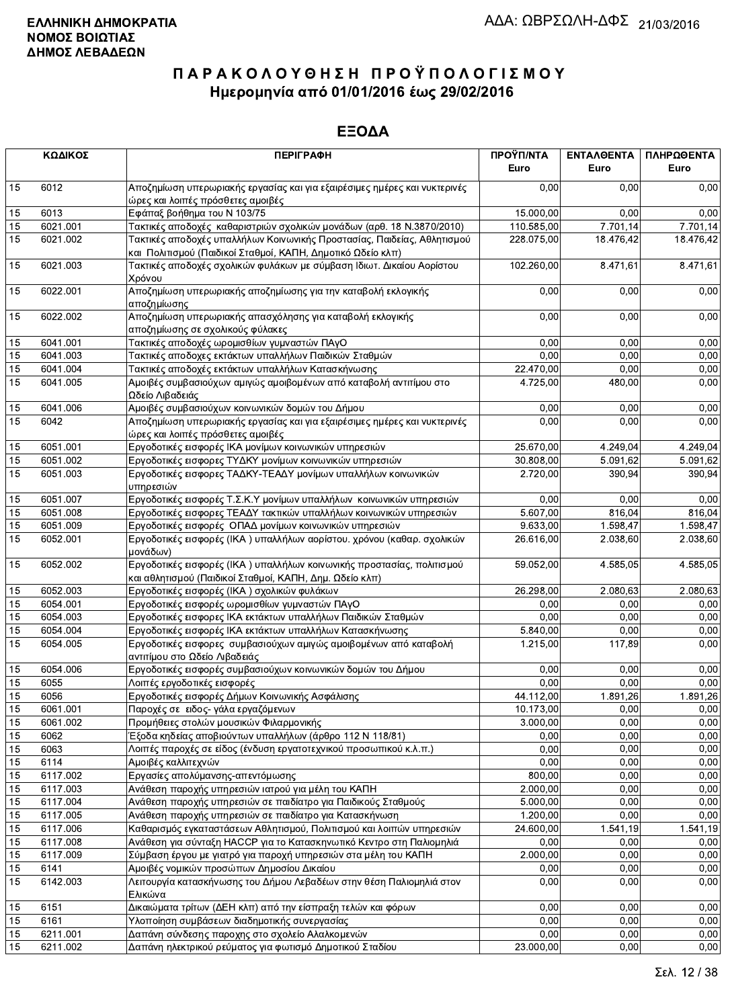|                 | ΚΩΔΙΚΟΣ  | <b>ПЕРІГРАФН</b>                                                                                                                       | ΠΡΟΫΠ/ΝΤΑ<br>Euro | ΕΝΤΑΛΘΕΝΤΑ<br>Euro | ΠΛΗΡΩΘΕΝΤΑ<br>Euro |
|-----------------|----------|----------------------------------------------------------------------------------------------------------------------------------------|-------------------|--------------------|--------------------|
| 15              | 6012     | Αποζημίωση υπερωριακής εργασίας και για εξαιρέσιμες ημέρες και νυκτερινές<br>ώρες και λοιπές πρόσθετες αμοιβές                         | 0.00              | 0.00               | 0,00               |
| 15              | 6013     | Εφάπαξ βοήθημα του Ν 103/75                                                                                                            | 15.000,00         | 0.00               | 0,00               |
| 15              | 6021.001 | Τακτικές αποδοχές καθαριστριών σχολικών μονάδων (αρθ. 18 Ν.3870/2010)                                                                  | 110.585,00        | 7.701,14           | 7.701,14           |
| 15              | 6021.002 | Τακτικές αποδοχές υπαλλήλων Κοινωνικής Προστασίας, Παιδείας, Αθλητισμού<br>και Πολιτισμού (Παιδικοί Σταθμοί, ΚΑΠΗ, Δημοτικό Ωδείο κλπ) | 228.075,00        | 18.476,42          | 18.476,42          |
| 15              | 6021.003 | Τακτικές αποδοχές σχολικών φυλάκων με σύμβαση Ιδιωτ. Δικαίου Αορίστου<br>Χρόνου                                                        | 102.260,00        | 8.471,61           | 8.471,61           |
| 15              | 6022.001 | Αποζημίωση υπερωριακής αποζημίωσης για την καταβολή εκλογικής<br>αποζημίωσης                                                           | 0.00              | 0,00               | 0,00               |
| 15              | 6022.002 | Αποζημίωση υπερωριακής απασχόλησης για καταβολή εκλογικής<br>αποζημίωσης σε σχολικούς φύλακες                                          | 0,00              | 0,00               | 0,00               |
| 15              | 6041.001 | Τακτικές αποδοχές ωρομισθίων γυμναστών ΠΑγΟ                                                                                            | 0.00              | 0,00               | 0,00               |
| 15              | 6041.003 | Τακτικές αποδοχες εκτάκτων υπαλλήλων Παιδικών Σταθμών                                                                                  | 0,00              | 0,00               | 0,00               |
| 15              | 6041.004 | Τακτικές αποδοχές εκτάκτων υπαλλήλων Κατασκήνωσης                                                                                      | 22.470,00         | 0.00               | 0,00               |
| 15              | 6041.005 | Αμοιβές συμβασιούχων αμιγώς αμοιβομένων από καταβολή αντιτίμου στο<br>Ωδείο Λιβαδειάς                                                  | 4.725,00          | 480,00             | 0,00               |
| 15              | 6041.006 | Αμοιβές συμβασιούχων κοινωνικών δομών του Δήμου                                                                                        | 0,00              | 0.00               | 0,00               |
| $\overline{15}$ | 6042     | Αποζημίωση υπερωριακής εργασίας και για εξαιρέσιμες ημέρες και νυκτερινές                                                              | 0,00              | 0,00               | 0,00               |
|                 |          | ώρες και λοιπές πρόσθετες αμοιβές                                                                                                      |                   |                    |                    |
| 15              | 6051.001 | Εργοδοτικές εισφορές ΙΚΑ μονίμων κοινωνικών υπηρεσιών                                                                                  | 25.670,00         | 4.249,04           | 4.249,04           |
| 15              | 6051.002 | Εργοδοτικές εισφορες ΤΥΔΚΥ μονίμων κοινωνικών υπηρεσιών                                                                                | 30.808,00         | 5.091,62           | 5.091,62           |
| 15              | 6051.003 | Εργοδοτικές εισφορες ΤΑΔΚΥ-ΤΕΑΔΥ μονίμων υπαλλήλων κοινωνικών<br>υπηρεσιών                                                             | 2.720.00          | 390,94             | 390,94             |
| 15              | 6051.007 | Εργοδοτικές εισφορές Τ.Σ.Κ.Υ μονίμων υπαλλήλων κοινωνικών υπηρεσιών                                                                    | 0,00              | 0,00               | 0,00               |
| 15              | 6051.008 | Εργοδοτικές εισφορες ΤΕΑΔΥ τακτικών υπαλλήλων κοινωνικών υπηρεσιών                                                                     | 5.607,00          | 816,04             | 816,04             |
| 15              | 6051.009 | Εργοδοτικές εισφορές ΟΠΑΔ μονίμων κοινωνικών υπηρεσιών                                                                                 | 9.633,00          | 1.598,47           | 1.598,47           |
| 15              | 6052.001 | Εργοδοτικές εισφορές (ΙΚΑ) υπαλλήλων αορίστου. χρόνου (καθαρ. σχολικών<br>μονάδων)                                                     | 26.616,00         | 2.038,60           | 2.038,60           |
| 15              | 6052.002 | Εργοδοτικές εισφορές (ΙΚΑ) υπαλλήλων κοινωνικής προστασίας, πολιτισμού<br>και αθλητισμού (Παιδικοί Σταθμοί, ΚΑΠΗ, Δημ. Ωδείο κλπ)      | 59.052,00         | 4.585,05           | 4.585,05           |
| 15              | 6052.003 | Εργοδοτικές εισφορές (ΙΚΑ) σχολικών φυλάκων                                                                                            | 26.298,00         | 2.080,63           | 2.080,63           |
| 15              | 6054.001 | Εργοδοτικές εισφορές ωρομισθίων γυμναστών ΠΑγΟ                                                                                         | 0,00              | 0,00               | 0,00               |
| 15              | 6054.003 | Εργοδοτικές εισφορες ΙΚΑ εκτάκτων υπαλλήλων Παιδικών Σταθμών                                                                           | 0.00              | 0,00               | 0,00               |
| 15              | 6054.004 | Εργοδοτικές εισφορές ΙΚΑ εκτάκτων υπαλλήλων Κατασκήνωσης                                                                               | 5.840,00          | 0,00               | 0,00               |
| 15              | 6054.005 | Εργοδοτικές εισφορες συμβασιούχων αμιγώς αμοιβομένων από καταβολή<br>αντιτίμου στο Ωδείο Λιβαδειάς                                     | 1.215,00          | 117,89             | 0,00               |
| 15              | 6054.006 | Εργοδοτικές εισφορές συμβασιούχων κοινωνικών δομών του Δήμου                                                                           | 0,00              | 0,00               | 0,00               |
| 15              | 6055     | Λοιπές εργοδοτικές εισφορές                                                                                                            | 0,00              | 0,00               | 0,00               |
| 15              | 6056     | Εργοδοτικές εισφορές Δήμων Κοινωνικής Ασφάλισης                                                                                        | 44.112,00         | 1.891,26           | 1.891,26           |
| 15              | 6061.001 | Παροχές σε ειδος- γάλα εργαζόμενων                                                                                                     | 10.173,00         | 0.00               | 0,00               |
| 15              | 6061.002 | Προμήθειες στολών μουσικών Φιλαρμονικής                                                                                                | 3.000,00          | 0,00               | 0,00               |
| 15              | 6062     | Έξοδα κηδείας αποβιούντων υπαλλήλων (άρθρο 112 Ν 118/81)                                                                               | 0,00              | 0,00               | 0,00               |
| 15              | 6063     | Λοιπές παροχές σε είδος (ένδυση εργατοτεχνικού προσωπικού κ.λ.π.)                                                                      | 0,00              | 0,00               | 0,00               |
| 15              | 6114     | Αμοιβές καλλιτεχνών                                                                                                                    | 0,00              | 0,00               | 0,00               |
| 15              | 6117.002 | Εργασίες απολύμανσης-απεντόμωσης                                                                                                       | 800,00            | 0,00               | 0,00               |
| 15              | 6117.003 | Ανάθεση παροχής υπηρεσιών ιατρού για μέλη του ΚΑΠΗ                                                                                     | 2.000,00          | 0,00               | 0,00               |
| 15              | 6117.004 | Ανάθεση παροχής υπηρεσιών σε παιδίατρο για Παιδικούς Σταθμούς                                                                          | 5.000,00          | 0,00               | 0,00               |
| 15              | 6117.005 | Ανάθεση παροχής υπηρεσιών σε παιδίατρο για Κατασκήνωση                                                                                 | 1.200,00          | 0,00               | 0,00               |
| 15              | 6117.006 | Καθαρισμός εγκαταστάσεων Αθλητισμού, Πολιτισμού και λοιπών υπηρεσιών                                                                   | 24.600,00         | 1.541,19           | 1.541,19           |
| 15              | 6117.008 | Ανάθεση για σύνταξη ΗΑCCP για το Κατασκηνωτικό Κεντρο στη Παλιομηλιά                                                                   | 0.00              | 0,00               | 0,00               |
| 15              | 6117.009 | Σύμβαση έργου με γιατρό για παροχή υπηρεσιών στα μέλη του ΚΑΠΗ                                                                         | 2.000,00          | 0,00               | 0,00               |
| 15              | 6141     | Αμοιβές νομικών προσώπων Δημοσίου Δικαίου                                                                                              | 0,00              | 0,00               | 0,00               |
| 15              | 6142.003 | Λειτουργία κατασκήνωσης του Δήμου Λεβαδέων στην θέση Παλιομηλιά στον<br>Ελικώνα                                                        | 0,00              | 0,00               | 0,00               |
| 15              | 6151     | Δικαιώματα τρίτων (ΔΕΗ κλπ) από την είσπραξη τελών και φόρων                                                                           | 0,00              | 0,00               | 0,00               |
| 15              | 6161     | Υλοποίηση συμβάσεων διαδημοτικής συνεργασίας                                                                                           | 0,00              | 0.00               | 0,00               |
| 15              | 6211.001 | Δαπάνη σύνδεσης παροχης στο σχολείο Αλαλκομενών                                                                                        | 0,00              | 0,00               | 0,00               |
| 15              | 6211.002 | Δαπάνη ηλεκτρικού ρεύματος για φωτισμό Δημοτικού Σταδίου                                                                               | 23.000,00         | 0,00               | 0,00               |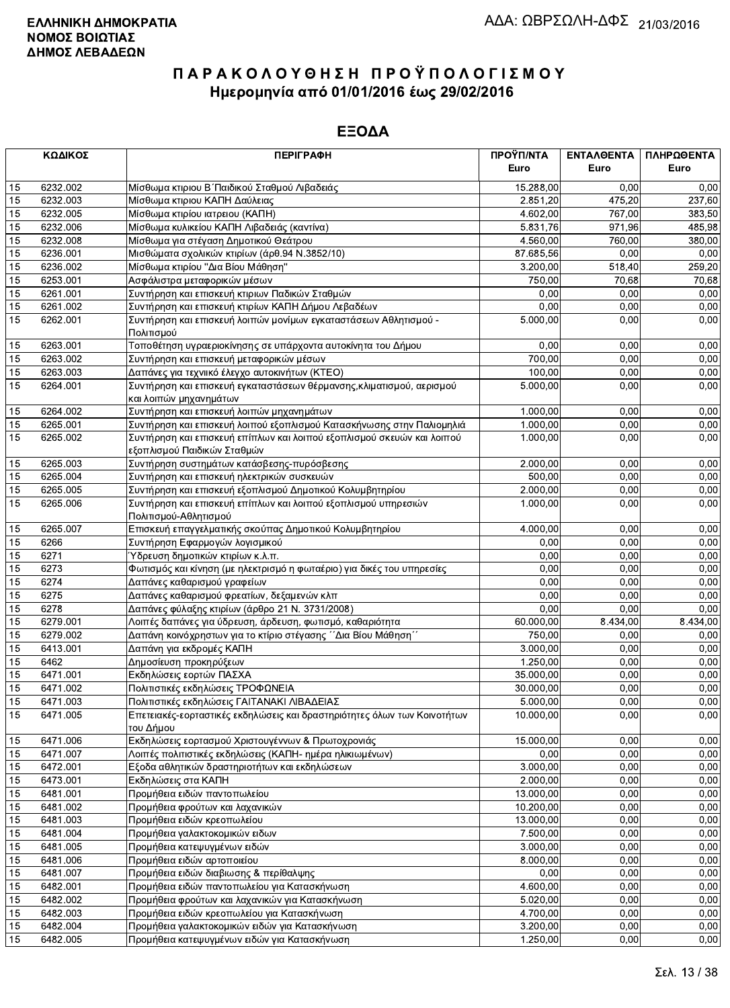|          | ΚΩΔΙΚΟΣ              | <b>ПЕРІГРАФН</b>                                                                                                        | ΠΡΟΫΠ/ΝΤΑ             | ΕΝΤΑΛΘΕΝΤΑ   | ΠΛΗΡΩΘΕΝΤΑ   |
|----------|----------------------|-------------------------------------------------------------------------------------------------------------------------|-----------------------|--------------|--------------|
|          |                      |                                                                                                                         | Euro                  | Euro         | Euro         |
| 15       | 6232.002             | Μίσθωμα κτιριου Β΄ Παιδικού Σταθμού Λιβαδειάς                                                                           | 15.288,00             | 0.00         | 0,00         |
| 15       | 6232.003             | Μίσθωμα κτιριου ΚΑΠΗ Δαύλειας                                                                                           | 2.851,20              | 475,20       | 237,60       |
| 15       | 6232.005             | Μίσθωμα κτιρίου ιατρειου (ΚΑΠΗ)                                                                                         | 4.602,00              | 767,00       | 383,50       |
| 15       | 6232.006             | Μίσθωμα κυλικείου ΚΑΠΗ Λιβαδειάς (καντίνα)                                                                              | 5.831,76              | 971,96       | 485,98       |
| 15       | 6232.008             | Μίσθωμα για στέγαση Δημοτικού Θεάτρου                                                                                   | 4.560,00              | 760,00       | 380,00       |
| 15       | 6236.001             | Μισθώματα σχολικών κτιρίων (άρθ.94 Ν.3852/10)                                                                           | 87.685,56             | 0,00         | 0,00         |
| 15       | 6236.002             | Μίσθωμα κτιρίου "Δια Βίου Μάθηση"                                                                                       | 3.200,00              | 518,40       | 259,20       |
| 15       | 6253.001             | Ασφάλιστρα μεταφορικών μέσων                                                                                            | 750,00                | 70,68        | 70,68        |
| 15       | 6261.001             | Συντήρηση και επισκευή κτιριων Παδικών Σταθμών                                                                          | 0,00                  | 0,00         | 0,00         |
| 15       | 6261.002             | Συντήρηση και επισκευή κτιρίων ΚΑΠΗ Δήμου Λεβαδέων                                                                      | 0,00                  | 0,00         | 0,00         |
| 15       | 6262.001             | Συντήρηση και επισκευή λοιπών μονίμων εγκαταστάσεων Αθλητισμού -                                                        | 5.000,00              | 0,00         | 0,00         |
|          |                      | Πολιτισμού                                                                                                              |                       |              |              |
| 15       | 6263.001             | Τοποθέτηση υγραεριοκίνησης σε υπάρχοντα αυτοκίνητα του Δήμου                                                            | 0,00                  | 0,00         | 0,00         |
| 15       | 6263.002             | Συντήρηση και επισκευή μεταφορικών μέσων                                                                                | 700,00                | 0,00         | 0,00         |
| 15       | 6263.003             | Δαπάνες για τεχνιικό έλεγχο αυτοκινήτων (ΚΤΕΟ)                                                                          | 100,00                | 0,00         | 0,00         |
| 15       | 6264.001             | Συντήρηση και επισκευή εγκαταστάσεων θέρμανσης, κλιματισμού, αερισμού                                                   | 5.000,00              | 0,00         | 0,00         |
|          |                      | και λοιπών μηχανημάτων                                                                                                  |                       |              |              |
| 15       | 6264.002             | Συντήρηση και επισκευή λοιπών μηχανημάτων                                                                               | 1.000,00              | 0,00         | 0,00         |
| 15       | 6265.001             | Συντήρηση και επισκευή λοιπού εξοπλισμού Κατασκήνωσης στην Παλιομηλιά                                                   | 1.000,00              | 0,00         | 0,00         |
| 15       | 6265.002             | Συντήρηση και επισκευή επίπλων και λοιπού εξοπλισμού σκευών και λοιπού                                                  | 1.000,00              | 0,00         | 0,00         |
|          |                      | εξοπλισμού Παιδικών Σταθμών                                                                                             |                       |              |              |
| 15       | 6265.003             | Συντήρηση συστημάτων κατάσβεσης-πυρόσβεσης                                                                              | 2.000,00              | 0,00         | 0,00         |
| 15       | 6265.004             | Συντήρηση και επισκευή ηλεκτρικών συσκευών                                                                              | 500,00                | 0,00         | 0,00         |
| 15       | 6265.005             | Συντήρηση και επισκευή εξοπλισμού Δημοτικού Κολυμβητηρίου                                                               | 2.000,00              | 0,00         | 0,00         |
| 15       | 6265.006             | Συντήρηση και επισκευή επίπλων και λοιπού εξοπλισμού υπηρεσιών                                                          | 1.000,00              | 0,00         | 0,00         |
|          |                      | Πολιτισμού-Αθλητισμού                                                                                                   |                       |              |              |
| 15       | 6265.007             | Επισκευή επαγγελματικής σκούπας Δημοτικού Κολυμβητηρίου                                                                 | 4.000,00              | 0,00         | 0,00         |
| 15       | 6266                 | Συντήρηση Εφαρμογών λογισμικού                                                                                          | 0,00                  | 0,00         | 0,00         |
| 15       | 6271                 | Ύδρευση δημοτικών κτιρίων κ.λ.π.                                                                                        | 0,00                  | 0.00         | 0,00         |
| 15       | 6273                 | Φωτισμός και κίνηση (με ηλεκτρισμό η φωταέριο) για δικές του υπηρεσίες                                                  | 0,00                  | 0,00         | 0,00         |
| 15       | 6274                 | Δαπάνες καθαρισμού γραφείων                                                                                             | 0,00                  | 0,00         | 0,00         |
| 15       | 6275                 | Δαπάνες καθαρισμού φρεατίων, δεξαμενών κλπ                                                                              | 0,00                  | 0,00         | 0,00         |
| 15       | 6278                 | Δαπάνες φύλαξης κτιρίων (άρθρο 21 Ν. 3731/2008)                                                                         | 0,00                  | 0,00         | 0,00         |
| 15       | 6279.001             | Λοιπές δαπάνες για ύδρευση, άρδευση, φωτισμό, καθαριότητα                                                               | 60.000,00             | 8.434,00     | 8.434,00     |
| 15       | 6279.002             | Δαπάνη κοινόχρηστων για το κτίριο στέγασης ΄΄Δια Βίου Μάθηση΄΄                                                          | 750,00                | 0,00         | 0,00         |
| 15       | 6413.001             | Δαπάνη για εκδρομές ΚΑΠΗ                                                                                                | 3.000,00              | 0,00         | 0,00         |
| 15       | 6462                 | Δημοσίευση προκηρύξεων                                                                                                  | 1.250,00              | 0,00         | 0,00         |
| 15       | 6471.001             | Εκδηλώσεις εορτών ΠΑΣΧΑ                                                                                                 | 35.000,00             | 0,00         | 0,00         |
| 15       | 6471.002             | Πολιτιστικές εκδηλώσεις ΤΡΟΦΩΝΕΙΑ                                                                                       | 30.000,00             | 0,00         | 0,00         |
| 15<br>15 | 6471.003<br>6471.005 | Πολιτιστικές εκδηλώσεις ΓΑΙΤΑΝΑΚΙ ΛΙΒΑΔΕΙΑΣ<br>Επετειακές-εορταστικές εκδηλώσεις και δραστηριότητες όλων των Κοινοτήτων | 5.000,00<br>10.000,00 | 0,00<br>0,00 | 0,00<br>0,00 |
|          |                      | του Δήμου                                                                                                               |                       |              |              |
| 15       | 6471.006             | Εκδηλώσεις εορτασμού Χριστουγέννων & Πρωτοχρονιάς                                                                       | 15.000,00             | 0,00         | 0,00         |
| 15       | 6471.007             | Λοιπές πολιτιστικές εκδηλώσεις (ΚΑΠΗ- ημέρα ηλικιωμένων)                                                                | 0,00                  | 0,00         | 0,00         |
| 15       | 6472.001             | Εξοδα αθλητικών δραστηριοτήτων και εκδηλώσεων                                                                           | 3.000,00              | 0,00         | 0,00         |
| 15       | 6473.001             | Εκδηλώσεις στα ΚΑΠΗ                                                                                                     | 2.000,00              | 0,00         | 0,00         |
| 15       | 6481.001             | Προμήθεια ειδών παντοπωλείου                                                                                            | 13.000,00             | 0,00         | 0,00         |
| 15       | 6481.002             | Προμήθεια φρούτων και λαχανικών                                                                                         | 10.200,00             | 0,00         | 0,00         |
| 15       | 6481.003             | Προμήθεια ειδών κρεοπωλείου                                                                                             | 13.000,00             | 0,00         | 0,00         |
| 15       | 6481.004             | Προμήθεια γαλακτοκομικών ειδων                                                                                          | 7.500,00              | 0,00         | 0,00         |
| 15       | 6481.005             | Προμήθεια κατεψυγμένων ειδών                                                                                            | 3.000,00              | 0,00         | 0,00         |
| 15       | 6481.006             | Προμήθεια ειδών αρτοποιείου                                                                                             | 8.000,00              | 0,00         | 0,00         |
| 15       | 6481.007             | Προμήθεια ειδών διαβιωσης & περίθαλψης                                                                                  | 0,00                  | 0,00         | 0,00         |
| 15       | 6482.001             | Προμήθεια ειδών παντοπωλείου για Κατασκήνωση                                                                            | 4.600,00              | 0,00         | 0,00         |
| 15       | 6482.002             | Προμήθεια φρούτων και λαχανικών για Κατασκήνωση                                                                         | 5.020,00              | 0,00         | 0,00         |
| 15       | 6482.003             | Προμήθεια ειδών κρεοπωλείου για Κατασκήνωση                                                                             | 4.700,00              | 0,00         | 0,00         |
| 15       | 6482.004             | Προμήθεια γαλακτοκομικών ειδών για Κατασκήνωση                                                                          | 3.200,00              | 0,00         | 0,00         |
| 15       | 6482.005             | Προμήθεια κατεψυγμένων ειδών για Κατασκήνωση                                                                            | 1.250,00              | 0,00         | 0,00         |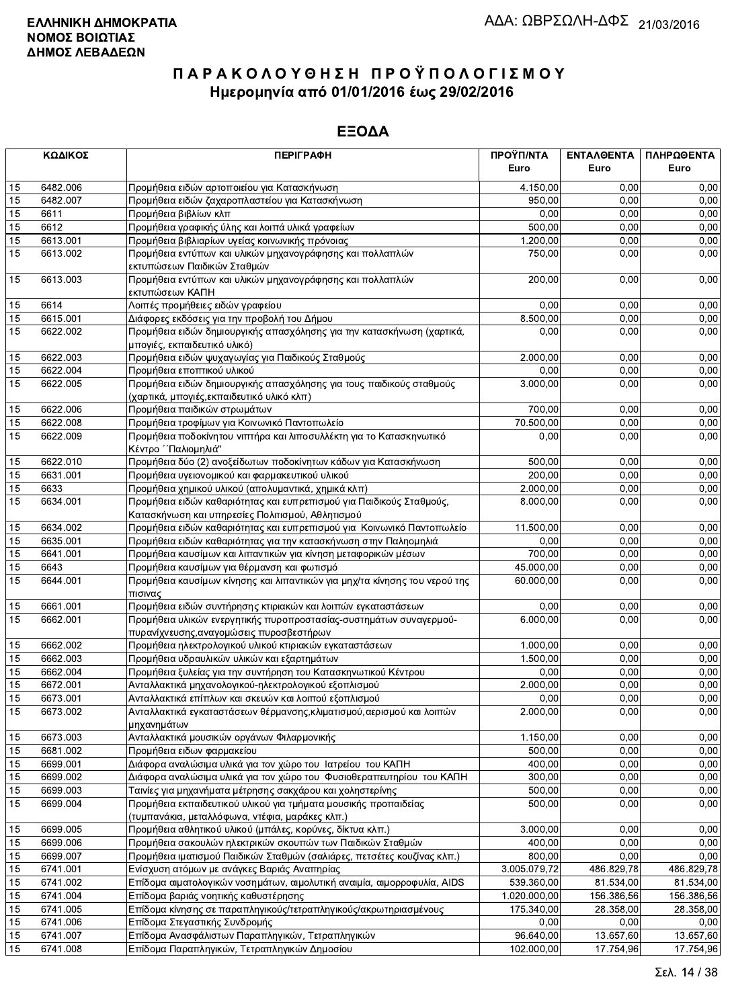|          | ΚΩΔΙΚΟΣ  | <b>ПЕРІГРАФН</b>                                                                               | ΠΡΟΫΠ/ΝΤΑ<br>Euro | ΕΝΤΑΛΘΕΝΤΑ<br>Euro | ΠΛΗΡΩΘΕΝΤΑ<br>Euro |
|----------|----------|------------------------------------------------------------------------------------------------|-------------------|--------------------|--------------------|
|          | 6482.006 |                                                                                                | 4.150,00          | 0.00               | 0,00               |
| 15<br>15 | 6482.007 | Προμήθεια ειδών αρτοποιείου για Κατασκήνωση<br>Προμήθεια ειδών ζαχαροπλαστείου για Κατασκήνωση | 950,00            | 0,00               | 0,00               |
| 15       | 6611     | Προμήθεια βιβλίων κλπ                                                                          | 0.00              | 0,00               | 0,00               |
| 15       | 6612     | Προμήθεια γραφικής ύλης και λοιπά υλικά γραφείων                                               | 500,00            | 0,00               | 0,00               |
| 15       | 6613.001 | Προμήθεια βιβλιαρίων υγείας κοινωνικής πρόνοιας                                                | 1.200,00          | 0,00               | 0,00               |
| 15       | 6613.002 | Προμήθεια εντύπων και υλικών μηχανογράφησης και πολλαπλών                                      | 750,00            | 0,00               | 0,00               |
|          |          | εκτυπώσεων Παιδικών Σταθμών                                                                    |                   |                    |                    |
| 15       | 6613.003 | Προμήθεια εντύπων και υλικών μηχανογράφησης και πολλαπλών                                      | 200,00            | 0,00               | 0,00               |
|          |          | εκτυπώσεων ΚΑΠΗ                                                                                |                   |                    |                    |
| 15       | 6614     | Λοιπές προμήθειες ειδών γραφείου                                                               | 0,00              | 0,00               | 0,00               |
| 15       | 6615.001 | Διάφορες εκδόσεις για την προβολή του Δήμου                                                    | 8.500,00          | 0,00               | 0,00               |
| 15       | 6622.002 | Προμήθεια ειδών δημιουργικής απασχόλησης για την κατασκήνωση (χαρτικά,                         | 0,00              | 0,00               | 0,00               |
|          |          | μπογιές, εκπαιδευτικό υλικό)                                                                   |                   |                    |                    |
| 15       | 6622.003 | Προμήθεια ειδών ψυχαγωγίας για Παιδικούς Σταθμούς                                              | 2.000,00          | 0.00               | 0,00               |
| 15       | 6622.004 | Προμήθεια εποπτικού υλικού                                                                     | 0,00              | 0,00               | 0,00               |
| 15       | 6622.005 | Προμήθεια ειδών δημιουργικής απασχόλησης για τους παιδικούς σταθμούς                           | 3.000,00          | 0,00               | 0,00               |
|          |          | (χαρτικά, μπογιές, εκπαιδευτικό υλικό κλπ)                                                     |                   |                    |                    |
| 15       | 6622.006 | Προμήθεια παιδικών στρωμάτων                                                                   | 700,00            | 0.00               | 0,00               |
| 15       | 6622.008 | Προμήθεια τροφίμων για Κοινωνικό Παντοπωλείο                                                   | 70.500,00         | 0,00               | 0,00               |
| 15       | 6622.009 | Προμήθεια ποδοκίνητου νιπτήρα και λιποσυλλέκτη για το Κατασκηνωτικό<br>Κέντρο ΄΄ Παλιομηλιά"   | 0,00              | 0,00               | 0,00               |
| 15       | 6622.010 | Προμήθεια δύο (2) ανοξείδωτων ποδοκίνητων κάδων για Κατασκήνωση                                | 500,00            | 0,00               | 0,00               |
| 15       | 6631.001 | Προμήθεια υγειονομικού και φαρμακευτικού υλικού                                                | 200,00            | 0.00               | 0,00               |
| 15       | 6633     | Προμήθεια χημικού υλικού (απολυμαντικά, χημικά κλπ)                                            | 2.000,00          | 0,00               | 0,00               |
| 15       | 6634.001 | Προμήθεια ειδών καθαριότητας και ευπρεπισμού για Παιδικούς Σταθμούς,                           | 8.000,00          | 0,00               | 0,00               |
|          |          | Κατασκήνωση και υπηρεσίες Πολιτισμού, Αθλητισμού                                               |                   |                    |                    |
| 15       | 6634.002 | Προμήθεια ειδών καθαριότητας και ευπρεπισμού για Κοινωνικό Παντοπωλείο                         | 11.500,00         | 0,00               | 0,00               |
| 15       | 6635.001 | Προμήθεια ειδών καθαριότητας για την κατασκήνωση στην Παληομηλιά                               | 0,00              | 0,00               | 0,00               |
| 15       | 6641.001 | Προμήθεια καυσίμων και λιπαντικών για κίνηση μεταφορικών μέσων                                 | 700,00            | 0,00               | 0,00               |
| 15       | 6643     | Προμήθεια καυσίμων για θέρμανση και φωτισμό                                                    | 45.000,00         | 0,00               | 0,00               |
| 15       | 6644.001 | Προμήθεια καυσίμων κίνησης και λιπαντικών για μηχ/τα κίνησης του νερού της<br>πισινας          | 60.000,00         | 0,00               | 0,00               |
| 15       | 6661.001 | Προμήθεια ειδών συντήρησης κτιριακών και λοιπών εγκαταστάσεων                                  | 0,00              | 0,00               | 0,00               |
| 15       | 6662.001 | Προμήθεια υλικών ενεργητικής πυροπροστασίας-συστημάτων συναγερμού-                             | 6.000,00          | 0.00               | 0,00               |
|          |          | πυρανίχνευσης, αναγομώσεις πυροσβεστήρων                                                       |                   |                    |                    |
| 15       | 6662.002 | Προμήθεια ηλεκτρολογικού υλικού κτιριακών εγκαταστάσεων                                        | 1.000,00          | 0.00               | 0,00               |
| 15       | 6662.003 | Προμήθεια υδραυλικών υλικών και εξαρτημάτων                                                    | 1.500,00          | 0,00               | 0,00               |
| 15       | 6662.004 | Προμήθεια ξυλείας για την συντήρηση του Κατασκηνωτικού Κέντρου                                 | 0,00              | 0,00               | 0,00               |
| 15       | 6672.001 | Ανταλλακτικά μηχανολογικού-ηλεκτρολογικού εξοπλισμού                                           | 2.000,00          | 0,00               | 0,00               |
| 15       | 6673.001 | Ανταλλακτικά επίπλων και σκευών και λοιπού εξοπλισμού                                          | 0,00              | 0,00               | 0,00               |
| 15       | 6673.002 | Ανταλλακτικά εγκαταστάσεων θέρμανσης, κλιματισμού, αερισμού και λοιπών<br>μηχανημάτων          | 2.000,00          | 0,00               | 0,00               |
| 15       | 6673.003 | Ανταλλακτικά μουσικών οργάνων Φιλαρμονικής                                                     | 1.150,00          | 0,00               | 0,00               |
| 15       | 6681.002 | Προμήθεια ειδων φαρμακείου                                                                     | 500,00            | 0,00               | 0,00               |
| 15       | 6699.001 | Διάφορα αναλώσιμα υλικά για τον χώρο του Ιατρείου του ΚΑΠΗ                                     | 400,00            | 0.00               | 0,00               |
| 15       | 6699.002 | Διάφορα αναλώσιμα υλικά για τον χώρο του Φυσιοθεραπευτηρίου του ΚΑΠΗ                           | 300,00            | 0,00               | 0,00               |
| 15       | 6699.003 | Ταινίες για μηχανήματα μέτρησης σακχάρου και χοληστερίνης                                      | 500,00            | 0,00               | 0,00               |
| 15       | 6699.004 | Προμήθεια εκπαιδευτικού υλικού για τμήματα μουσικής προπαιδείας                                | 500,00            | 0,00               | 0,00               |
|          |          | (τυμπανάκια, μεταλλόφωνα, ντέφια, μαράκες κλπ.)                                                |                   |                    |                    |
| 15       | 6699.005 | Προμήθεια αθλητικού υλικού (μπάλες, κορύνες, δίκτυα κλπ.)                                      | 3.000,00          | 0,00               | 0,00               |
| 15       | 6699.006 | Προμήθεια σακουλών ηλεκτρικών σκουπών των Παιδικών Σταθμών                                     | 400,00            | 0,00               | 0,00               |
| 15       | 6699.007 | Προμήθεια ιματισμού Παιδικών Σταθμών (σαλιάρες, πετσέτες κουζίνας κλπ.)                        | 800,00            | 0,00               | 0,00               |
| 15       | 6741.001 | Ενίσχυση ατόμων με ανάγκες Βαριάς Αναπηρίας                                                    | 3.005.079,72      | 486.829,78         | 486.829,78         |
| 15       | 6741.002 | Επίδομα αιματολογικών νοσημάτων, αιμολυτική αναιμία, αιμορροφυλία, AIDS                        | 539.360,00        | 81.534,00          | 81.534,00          |
| 15       | 6741.004 | Επίδομα βαριάς νοητικής καθυστέρησης                                                           | 1.020.000,00      | 156.386,56         | 156.386,56         |
| 15       | 6741.005 | Επίδομα κίνησης σε παραπληγικούς/τετραπληγικούς/ακρωτηριασμένους                               | 175.340,00        | 28.358,00          | 28.358,00          |
| 15       | 6741.006 | Επίδομα Στεγαστικής Συνδρομής                                                                  | 0,00              | 0,00               | 0,00               |
| 15       | 6741.007 | Επίδομα Ανασφάλιστων Παραπληγικών, Τετραπληγικών                                               | 96.640,00         | 13.657,60          | 13.657,60          |
| 15       | 6741.008 | Επίδομα Παραπληγικών, Τετραπληγικών Δημοσίου                                                   | 102.000,00        | 17.754,96          | 17.754,96          |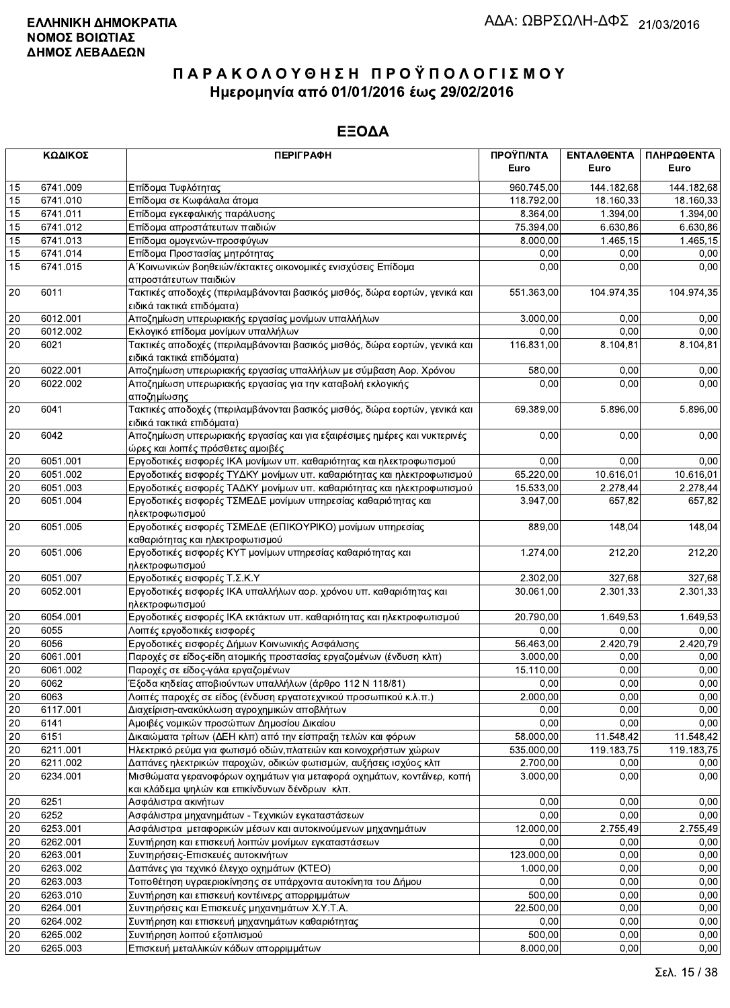|                 | ΚΩΔΙΚΟΣ  | <b>ПЕРІГРАФН</b>                                                                                                        | ΠΡΟΫΠ/ΝΤΑ<br>Euro | ΕΝΤΑΛΘΕΝΤΑ<br>Euro | ΠΛΗΡΩΘΕΝΤΑ<br>Euro |
|-----------------|----------|-------------------------------------------------------------------------------------------------------------------------|-------------------|--------------------|--------------------|
| 15              | 6741.009 | Επίδομα Τυφλότητας                                                                                                      | 960.745,00        | 144.182,68         | 144.182,68         |
| 15              | 6741.010 | Επίδομα σε Κωφάλαλα άτομα                                                                                               | 118.792,00        | 18.160,33          | 18.160,33          |
| 15              | 6741.011 | Επίδομα εγκεφαλικής παράλυσης                                                                                           | 8.364,00          | 1.394,00           | 1.394,00           |
| 15              | 6741.012 | Επίδομα απροστάτευτων παιδιών                                                                                           | 75.394,00         | 6.630,86           | 6.630,86           |
| 15              | 6741.013 | Επίδομα ομογενών-προσφύγων                                                                                              | 8.000,00          | 1.465, 15          | 1.465,15           |
| 15              | 6741.014 | Επίδομα Προστασίας μητρότητας                                                                                           | 0,00              | 0,00               | 0,00               |
| 15              | 6741.015 | Α΄ Κοινωνικών βοηθειών/έκτακτες οικονομικές ενισχύσεις Επίδομα                                                          | 0,00              | 0,00               | 0,00               |
|                 |          | απροστάτευτων παιδιών                                                                                                   |                   |                    |                    |
| 20              | 6011     | Τακτικές αποδοχές (περιλαμβάνονται βασικός μισθός, δώρα εορτών, γενικά και<br>ειδικά τακτικά επιδόματα)                 | 551.363,00        | 104.974,35         | 104.974,35         |
| 20              | 6012.001 | Αποζημίωση υπερωριακής εργασίας μονίμων υπαλλήλων                                                                       | 3.000,00          | 0.00               | 0,00               |
| 20              | 6012.002 | Εκλογικό επίδομα μονίμων υπαλλήλων                                                                                      | 0,00              | 0.00               | 0,00               |
| 20              | 6021     | Τακτικές αποδοχές (περιλαμβάνονται βασικός μισθός, δώρα εορτών, γενικά και                                              | 116.831,00        | 8.104,81           | 8.104,81           |
|                 |          | ειδικά τακτικά επιδόματα)                                                                                               |                   |                    |                    |
| 20              | 6022.001 | Αποζημίωση υπερωριακής εργασίας υπαλλήλων με σύμβαση Αορ. Χρόνου                                                        | 580,00            | 0,00               | 0,00               |
| 20              | 6022.002 | Αποζημίωση υπερωριακής εργασίας για την καταβολή εκλογικής                                                              | 0,00              | 0,00               | 0,00               |
|                 |          | αποζημίωσης                                                                                                             |                   |                    |                    |
| 20              | 6041     | Τακτικές αποδοχές (περιλαμβάνονται βασικός μισθός, δώρα εορτών, γενικά και                                              | 69.389,00         | 5.896,00           | 5.896,00           |
|                 |          | ειδικά τακτικά επιδόματα)                                                                                               |                   |                    |                    |
| 20              | 6042     | Αποζημίωση υπερωριακής εργασίας και για εξαιρέσιμες ημέρες και νυκτερινές<br>ώρες και λοιπές πρόσθετες αμοιβές          | 0,00              | 0,00               | 0,00               |
| 20              | 6051.001 | Εργοδοτικές εισφορές ΙΚΑ μονίμων υπ. καθαριότητας και ηλεκτροφωτισμού                                                   | 0,00              | 0,00               | 0,00               |
| 20              | 6051.002 | Εργοδοτικές εισφορές ΤΥΔΚΥ μονίμων υπ. καθαριότητας και ηλεκτροφωτισμού                                                 | 65.220,00         | 10.616,01          | 10.616,01          |
| 20              | 6051.003 | Εργοδοτικές εισφορές ΤΑΔΚΥ μονίμων υπ. καθαριότητας και ηλεκτροφωτισμού                                                 | 15.533,00         | 2.278,44           | 2.278,44           |
| 20              | 6051.004 | Εργοδοτικές εισφορές ΤΣΜΕΔΕ μονίμων υπηρεσίας καθαριότητας και<br>ηλεκτροφωτισμού                                       | 3.947,00          | 657,82             | 657,82             |
| 20              | 6051.005 | Εργοδοτικές εισφορές ΤΣΜΕΔΕ (ΕΠΙΚΟΥΡΙΚΟ) μονίμων υπηρεσίας<br>καθαριότητας και ηλεκτροφωτισμού                          | 889,00            | 148,04             | 148,04             |
| 20              | 6051.006 | Εργοδοτικές εισφορές ΚΥΤ μονίμων υπηρεσίας καθαριότητας και<br>ηλεκτροφωτισμού                                          | 1.274,00          | 212,20             | 212,20             |
| 20              | 6051.007 | Εργοδοτικές εισφορές Τ.Σ.Κ.Υ                                                                                            | 2.302,00          | 327,68             | 327,68             |
| 20              | 6052.001 | Εργοδοτικές εισφορές ΙΚΑ υπαλλήλων αορ. χρόνου υπ. καθαριότητας και                                                     | 30.061,00         | 2.301,33           | 2.301,33           |
|                 |          | ηλεκτροφωτισμού                                                                                                         |                   |                    |                    |
| 20              | 6054.001 | Εργοδοτικές εισφορές ΙΚΑ εκτάκτων υπ. καθαριότητας και ηλεκτροφωτισμού                                                  | 20.790,00         | 1.649,53           | 1.649,53           |
| 20              | 6055     | Λοιπές εργοδοτικές εισφορές                                                                                             | 0,00              | 0,00               | 0,00               |
| 20              | 6056     | Εργοδοτικές εισφορές Δήμων Κοινωνικής Ασφάλισης                                                                         | 56.463,00         | 2.420,79           | 2.420,79           |
| 20              | 6061.001 | Παροχές σε είδος-είδη ατομικής προστασίας εργαζομένων (ένδυση κλπ)                                                      | 3.000,00          | 0,00               | 0,00               |
| 20              | 6061.002 | Παροχές σε είδος-γάλα εργαζομένων                                                                                       | 15.110,00         | 0.00               | 0,00               |
| 20              | 6062     | Έξοδα κηδείας αποβιούντων υπαλλήλων (άρθρο 112 Ν 118/81)                                                                | 0,00              | 0,00               | 0,00               |
| $\overline{20}$ | 6063     | Λοιπές παροχές σε είδος (ένδυση εργατοτεχνικού προσωπικού κ.λ.π.)_                                                      | 2.000,00          | 0,00               | 0,00               |
| 20              | 6117.001 | Διαχείριση-ανακύκλωση αγροχημικών αποβλήτων                                                                             | 0,00              | 0,00               | 0,00               |
| 20              | 6141     | Αμοιβές νομικών προσώπων Δημοσίου Δικαίου                                                                               | 0,00              | 0,00               | 0,00               |
| 20              | 6151     | Δικαιώματα τρίτων (ΔΕΗ κλπ) από την είσπραξη τελών και φόρων                                                            | 58.000,00         | 11.548,42          | 11.548,42          |
| 20              | 6211.001 | Ηλεκτρικό ρεύμα για φωτισμό οδών, πλατειών και κοινοχρήστων χώρων                                                       | 535.000,00        | 119.183,75         | 119.183,75         |
| 20              | 6211.002 | Δαπάνες ηλεκτρικών παροχών, οδικών φωτισμών, αυξήσεις ισχύος κλπ                                                        | 2.700,00          | 0,00               | 0,00               |
| 20              | 6234.001 | Μισθώματα γερανοφόρων οχημάτων για μεταφορά οχημάτων, κοντέϊνερ, κοπή<br>και κλάδεμα ψηλών και επικίνδυνων δένδρων κλπ. | 3.000,00          | 0,00               | 0,00               |
| 20              | 6251     | Ασφάλιστρα ακινήτων                                                                                                     | 0,00              | 0,00               | 0,00               |
| 20              | 6252     | Ασφάλιστρα μηχανημάτων - Τεχνικών εγκαταστάσεων                                                                         | 0,00              | 0,00               | 0,00               |
| 20              | 6253.001 | Ασφάλιστρα μεταφορικών μέσων και αυτοκινούμενων μηχανημάτων                                                             | 12.000,00         | 2.755,49           | 2.755,49           |
| 20              | 6262.001 | Συντήρηση και επισκευή λοιπών μονίμων εγκαταστάσεων                                                                     | 0,00              | 0,00               | 0,00               |
| 20              | 6263.001 | Συντηρήσεις-Επισκευές αυτοκινήτων                                                                                       | 123.000,00        | 0,00               | 0,00               |
| 20              | 6263.002 | Δαπάνες για τεχνικό έλεγχο οχημάτων (ΚΤΕΟ)                                                                              | 1.000,00          | 0,00               | 0,00               |
| 20              | 6263.003 | Τοποθέτηση υγραεριοκίνησης σε υπάρχοντα αυτοκίνητα του Δήμου                                                            | 0,00              | 0.00               | 0,00               |
| 20              | 6263.010 | Συντήρηση και επισκευή κοντέινερς απορριμμάτων                                                                          | 500,00            | 0,00               | 0,00               |
| 20              | 6264.001 | Συντηρήσεις και Επισκευές μηχανημάτων Χ.Υ.Τ.Α.                                                                          | 22.500,00         | 0,00               | 0,00               |
| 20              | 6264.002 | Συντήρηση και επισκευή μηχανημάτων καθαριότητας                                                                         | 0,00              | 0,00               | 0,00               |
| 20              | 6265.002 | Συντήρηση λοιπού εξοπλισμού                                                                                             | 500,00            | 0,00               | 0,00               |
| 20              | 6265.003 | Επισκευή μεταλλικών κάδων απορριμμάτων                                                                                  | 8.000,00          | 0,00               | 0,00               |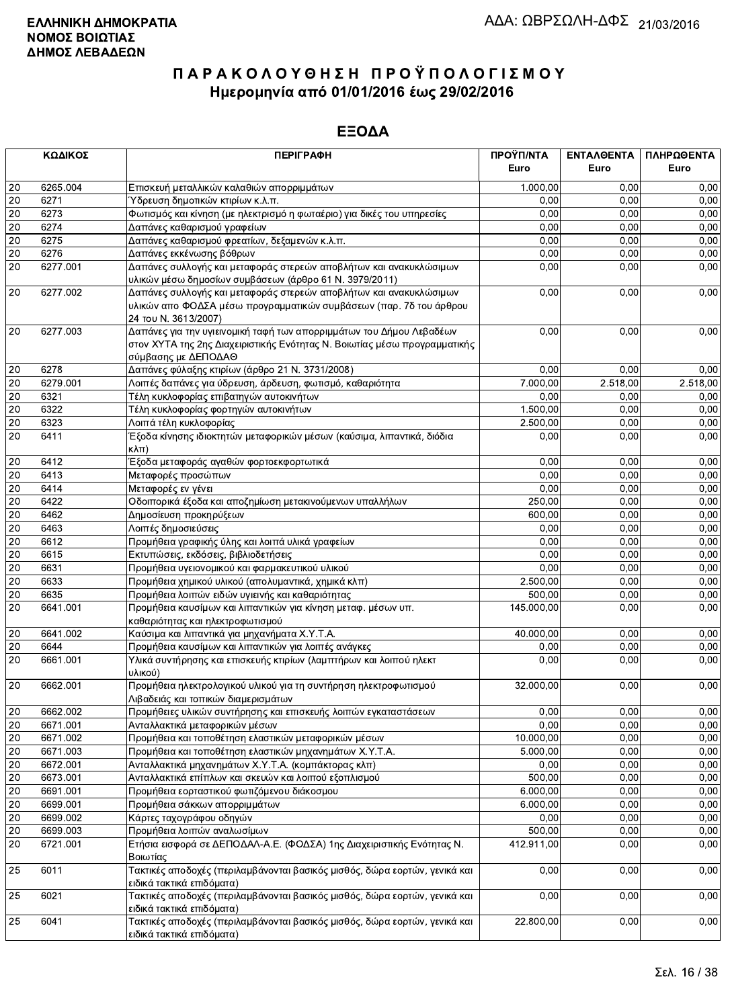|        | ΚΩΔΙΚΟΣ  | <b>ПЕРІГРАФН</b>                                                           | ΠΡΟΫΠ/ΝΤΑ  | ΕΝΤΑΛΘΕΝΤΑ | ΠΛΗΡΩΘΕΝΤΑ |
|--------|----------|----------------------------------------------------------------------------|------------|------------|------------|
|        |          |                                                                            | Euro       | Euro       | Euro       |
| 20     | 6265.004 | Επισκευή μεταλλικών καλαθιών απορριμμάτων                                  | 1.000,00   | 0.00       | 0,00       |
| 20     | 6271     | Ύδρευση δημοτικών κτιρίων κ.λ.π.                                           | 0,00       | 0.00       | 0,00       |
| 20     | 6273     | Φωτισμός και κίνηση (με ηλεκτρισμό η φωταέριο) για δικές του υπηρεσίες     | 0,00       | 0,00       | 0,00       |
| 20     | 6274     | Δαπάνες καθαρισμού γραφείων                                                | 0,00       | 0,00       | 0,00       |
| 20     | 6275     | Δαπάνες καθαρισμού φρεατίων, δεξαμενών κ.λ.π.                              | 0,00       | 0,00       | 0,00       |
| 20     | 6276     | Δαπάνες εκκένωσης βόθρων                                                   | 0,00       | 0,00       | 0,00       |
| 20     | 6277.001 | Δαπάνες συλλογής και μεταφοράς στερεών αποβλήτων και ανακυκλώσιμων         | 0,00       | 0,00       | 0,00       |
|        |          | υλικών μέσω δημοσίων συμβάσεων (άρθρο 61 Ν. 3979/2011)                     |            |            |            |
| 20     | 6277.002 | Δαπάνες συλλογής και μεταφοράς στερεών αποβλήτων και ανακυκλώσιμων         | 0,00       | 0,00       | 0,00       |
|        |          | υλικών απο ΦΟΔΣΑ μέσω προγραμματικών συμβάσεων (παρ. 7δ του άρθρου         |            |            |            |
|        |          | 24 TOU N. 3613/2007)                                                       |            |            |            |
| 20     | 6277.003 | Δαπάνες για την υγιεινομική ταφή των απορριμμάτων του Δήμου Λεβαδέων       | 0,00       | 0,00       | 0,00       |
|        |          | στον ΧΥΤΑ της 2ης Διαχειριστικής Ενότητας Ν. Βοιωτίας μέσω προγραμματικής  |            |            |            |
|        |          | σύμβασης με ΔΕΠΟΔΑΘ                                                        |            |            |            |
| 20     | 6278     | Δαπάνες φύλαξης κτιρίων (άρθρο 21 Ν. 3731/2008)                            | 0,00       | 0.00       | 0,00       |
| 20     | 6279.001 | Λοιπές δαπάνες για ύδρευση, άρδευση, φωτισμό, καθαριότητα                  | 7.000,00   | 2.518,00   | 2.518,00   |
| 20     | 6321     | Τέλη κυκλοφορίας επιβατηγών αυτοκινήτων                                    | 0,00       | 0,00       | 0,00       |
| 20     | 6322     | Τέλη κυκλοφορίας φορτηγών αυτοκινήτων                                      | 1.500,00   | 0,00       | 0,00       |
| 20     | 6323     | Λοιπά τέλη κυκλοφορίας                                                     | 2.500,00   | 0,00       | 0,00       |
| 20     | 6411     | Έξοδα κίνησης ιδιοκτητών μεταφορικών μέσων (καύσιμα, λιπαντικά, διόδια     | 0,00       | 0,00       | 0,00       |
|        |          | κλπ)                                                                       |            |            |            |
| 20     | 6412     | Έξοδα μεταφοράς αγαθών φορτοεκφορτωτικά                                    | 0.00       | 0,00       | 0,00       |
| 20     | 6413     | Μεταφορές προσώπων                                                         | 0,00       | 0,00       | 0,00       |
| 20     | 6414     | Μεταφορές εν γένει                                                         | 0,00       | 0,00       | 0,00       |
| 20     | 6422     | Οδοιπορικά έξοδα και αποζημίωση μετακινούμενων υπαλλήλων                   | 250,00     | 0,00       | 0,00       |
| 20     | 6462     | Δημοσίευση προκηρύξεων                                                     | 600,00     | 0,00       | 0,00       |
| 20     | 6463     | Λοιπές δημοσιεύσεις                                                        | 0,00       | 0,00       | 0,00       |
| 20     | 6612     | Προμήθεια γραφικής ύλης και λοιπά υλικά γραφείων                           | 0,00       | 0,00       | 0,00       |
| 20     | 6615     | Εκτυπώσεις, εκδόσεις, βιβλιοδετήσεις                                       | 0,00       | 0,00       | 0,00       |
| 20     | 6631     | Προμήθεια υγειονομικού και φαρμακευτικού υλικού                            | 0,00       | 0,00       | 0,00       |
| 20     | 6633     | Προμήθεια χημικού υλικού (απολυμαντικά, χημικά κλπ)                        | 2.500,00   | 0,00       | 0,00       |
| 20     | 6635     | Προμήθεια λοιπών ειδών υγιεινής και καθαριότητας                           | 500,00     | 0,00       | 0,00       |
| 20     | 6641.001 | Προμήθεια καυσίμων και λιπαντικών για κίνηση μεταφ. μέσων υπ.              | 145.000,00 | 0,00       | 0,00       |
|        |          | καθαριότητας και ηλεκτροφωτισμού                                           |            |            |            |
| 20     | 6641.002 | Καύσιμα και λιπαντικά για μηχανήματα Χ.Υ.Τ.Α.                              | 40.000,00  | 0,00       | 0,00       |
| 20     | 6644     | Προμήθεια καυσίμων και λιπαντικών για λοιπές ανάγκες                       | 0,00       | 0,00       | 0,00       |
| 20     | 6661.001 | Υλικά συντήρησης και επισκευής κτιρίων (λαμπτήρων και λοιπού ηλεκτ         | 0,00       | 0,00       | 0,00       |
|        |          | υλικού)                                                                    |            |            |            |
| $20\,$ | 6662.001 | Προμήθεια ηλεκτρολογικού υλικού για τη συντήρηση ηλεκτροφωτισμού           | 32.000,00  | 0,00       | 0,00       |
|        |          | Λιβαδειάς και τοπικών διαμερισμάτων                                        |            |            |            |
| 20     | 6662.002 | Προμήθειες υλικών συντήρησης και επισκευής λοιπών εγκαταστάσεων            | 0,00       | 0,00       | 0,00       |
| 20     | 6671.001 | Ανταλλακτικά μεταφορικών μέσων                                             | 0,00       | 0,00       | 0,00       |
| 20     | 6671.002 | Προμήθεια και τοποθέτηση ελαστικών μεταφορικών μέσων                       | 10.000,00  | 0,00       | 0,00       |
| 20     | 6671.003 | Προμήθεια και τοποθέτηση ελαστικών μηχανημάτων Χ.Υ.Τ.Α.                    | 5.000,00   | 0,00       | 0,00       |
| 20     | 6672.001 | Ανταλλακτικά μηχανημάτων Χ.Υ.Τ.Α. (κομπάκτορας κλπ)                        | 0,00       | 0,00       | 0,00       |
| 20     | 6673.001 | Ανταλλακτικά επίπλων και σκευών και λοιπού εξοπλισμού                      | 500,00     | 0,00       | 0,00       |
| 20     | 6691.001 | Προμήθεια εορταστικού φωτιζόμενου διάκοσμου                                | 6.000,00   | 0,00       | 0,00       |
| 20     | 6699.001 | Προμήθεια σάκκων απορριμμάτων                                              | 6.000,00   | 0,00       | 0,00       |
| 20     | 6699.002 | Κάρτες ταχογράφου οδηγών                                                   | 0,00       | 0,00       | 0,00       |
| 20     | 6699.003 | Προμήθεια λοιπών αναλωσίμων                                                | 500,00     | 0,00       | 0,00       |
| 20     | 6721.001 | Ετήσια εισφορά σε ΔΕΠΟΔΑΛ-Α.Ε. (ΦΟΔΣΑ) 1ης Διαχειριστικής Ενότητας Ν.      | 412.911,00 | 0,00       | 0,00       |
|        |          | Βοιωτίας                                                                   |            |            |            |
| 25     | 6011     | Τακτικές αποδοχές (περιλαμβάνονται βασικός μισθός, δώρα εορτών, γενικά και | 0,00       | 0,00       | 0,00       |
|        |          | ειδικά τακτικά επιδόματα)                                                  |            |            |            |
| 25     | 6021     | Τακτικές αποδοχές (περιλαμβάνονται βασικός μισθός, δώρα εορτών, γενικά και | 0,00       | 0,00       | 0,00       |
|        |          | ειδικά τακτικά επιδόματα)                                                  |            |            |            |
| 25     | 6041     | Τακτικές αποδοχές (περιλαμβάνονται βασικός μισθός, δώρα εορτών, γενικά και | 22.800,00  | 0,00       | 0,00       |
|        |          | ειδικά τακτικά επιδόματα)                                                  |            |            |            |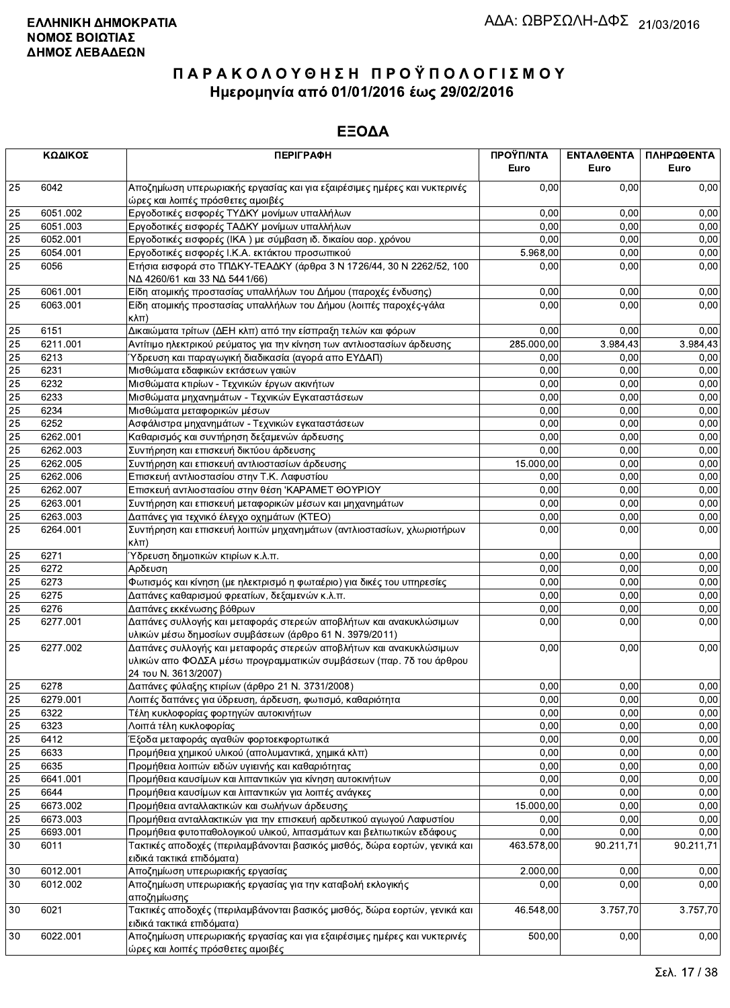|                 | ΚΩΔΙΚΟΣ  | <b>ПЕРІГРАФН</b>                                                                                                                                                 | ΠΡΟΫΠ/ΝΤΑ<br>Euro | ΕΝΤΑΛΘΕΝΤΑ<br>Euro | ΠΛΗΡΩΘΕΝΤΑ<br>Euro |
|-----------------|----------|------------------------------------------------------------------------------------------------------------------------------------------------------------------|-------------------|--------------------|--------------------|
| 25              | 6042     | Αποζημίωση υπερωριακής εργασίας και για εξαιρέσιμες ημέρες και νυκτερινές<br>ώρες και λοιπές πρόσθετες αμοιβές                                                   | 0.00              | 0.00               | 0,00               |
| 25              | 6051.002 | Εργοδοτικές εισφορές ΤΥΔΚΥ μονίμων υπαλλήλων                                                                                                                     | 0,00              | 0,00               | 0,00               |
| $\overline{25}$ | 6051.003 | Εργοδοτικές εισφορές ΤΑΔΚΥ μονίμων υπαλλήλων                                                                                                                     | 0,00              | 0,00               | 0,00               |
| 25              | 6052.001 | Εργοδοτικές εισφορές (ΙΚΑ) με σύμβαση ιδ. δικαίου αορ. χρόνου                                                                                                    | 0,00              | 0,00               | 0,00               |
| 25              | 6054.001 | Εργοδοτικές εισφορές Ι.Κ.Α. εκτάκτου προσωπικού                                                                                                                  | 5.968,00          | 0,00               | 0,00               |
| 25              | 6056     | Ετήσια εισφορά στο ΤΠΔΚΥ-ΤΕΑΔΚΥ (άρθρα 3 Ν 1726/44, 30 Ν 2262/52, 100<br>ΝΔ 4260/61 και 33 ΝΔ 5441/66)                                                           | 0,00              | 0,00               | 0,00               |
| 25              | 6061.001 | Είδη ατομικής προστασίας υπαλλήλων του Δήμου (παροχές ένδυσης)                                                                                                   | 0,00              | 0,00               | 0,00               |
| 25              | 6063.001 | Είδη ατομικής προστασίας υπαλλήλων του Δήμου (λοιπές παροχές-γάλα<br>кλπ)                                                                                        | 0,00              | 0,00               | 0,00               |
| 25              | 6151     | Δικαιώματα τρίτων (ΔΕΗ κλπ) από την είσπραξη τελών και φόρων                                                                                                     | 0,00              | 0,00               | 0,00               |
| $\overline{25}$ | 6211.001 | Αντίτιμο ηλεκτρικού ρεύματος για την κίνηση των αντλιοστασίων άρδευσης                                                                                           | 285.000,00        | 3.984,43           | 3.984,43           |
| 25              | 6213     | Ύδρευση και παραγωγική διαδικασία (αγορά απο ΕΥΔΑΠ)                                                                                                              | 0,00              | 0.00               | 0,00               |
| $\overline{25}$ | 6231     | Μισθώματα εδαφικών εκτάσεων γαιών                                                                                                                                | 0,00              | 0,00               | 0,00               |
| 25              | 6232     | Μισθώματα κτιρίων - Τεχνικών έργων ακινήτων                                                                                                                      | 0,00              | 0,00               | 0,00               |
| 25              | 6233     | Μισθώματα μηχανημάτων - Τεχνικών Εγκαταστάσεων                                                                                                                   | 0.00              | 0,00               | 0,00               |
| $\overline{25}$ | 6234     | Μισθώματα μεταφορικών μέσων                                                                                                                                      | 0.00              | 0,00               | 0,00               |
| 25              | 6252     | Ασφάλιστρα μηχανημάτων - Τεχνικών εγκαταστάσεων                                                                                                                  | 0,00              | 0,00               | 0,00               |
| $\overline{25}$ | 6262.001 | Καθαρισμός και συντήρηση δεξαμενών άρδευσης                                                                                                                      | 0,00              | 0.00               | 0,00               |
| $\overline{25}$ | 6262.003 | Συντήρηση και επισκευή δικτύου άρδευσης                                                                                                                          | 0,00              | 0,00               | 0,00               |
| 25              | 6262.005 | Συντήρηση και επισκευή αντλιοστασίων άρδευσης                                                                                                                    | 15.000,00         | 0,00               | 0,00               |
| 25              | 6262.006 |                                                                                                                                                                  | 0,00              | 0,00               | 0,00               |
| 25              |          | Επισκευή αντλιοστασίου στην Τ.Κ. Λαφυστίου                                                                                                                       | 0,00              | 0,00               |                    |
|                 | 6262.007 | Επισκευή αντλιοστασίου στην θέση 'ΚΑΡΑΜΕΤ ΘΟΥΡΙΟΥ                                                                                                                |                   |                    | 0,00               |
| 25              | 6263.001 | Συντήρηση και επισκευή μεταφορικών μέσων και μηχανημάτων                                                                                                         | 0.00              | 0,00               | 0,00               |
| $\overline{25}$ | 6263.003 | Δαπάνες για τεχνικό έλεγχο οχημάτων (ΚΤΕΟ)                                                                                                                       | 0,00              | 0,00               | 0,00               |
| 25              | 6264.001 | Συντήρηση και επισκευή λοιπών μηχανημάτων (αντλιοστασίων, χλωριοτήρων<br>$\kappa\lambda\pi$ )                                                                    | 0,00              | 0,00               | 0,00               |
| 25              | 6271     | Ύδρευση δημοτικών κτιρίων κ.λ.π.                                                                                                                                 | 0,00              | 0,00               | 0,00               |
| 25              | 6272     | Αρδευση                                                                                                                                                          | 0,00              | 0,00               | 0,00               |
| 25              | 6273     | Φωτισμός και κίνηση (με ηλεκτρισμό η φωταέριο) για δικές του υπηρεσίες                                                                                           | 0,00              | 0,00               | 0,00               |
| 25              | 6275     | Δαπάνες καθαρισμού φρεατίων, δεξαμενών κ.λ.π.                                                                                                                    | 0,00              | 0,00               | 0,00               |
| 25              | 6276     | Δαπάνες εκκένωσης βόθρων                                                                                                                                         | 0.00              | 0,00               | 0,00               |
| 25              | 6277.001 | Δαπάνες συλλογής και μεταφοράς στερεών αποβλήτων και ανακυκλώσιμων<br>υλικών μέσω δημοσίων συμβάσεων (άρθρο 61 Ν. 3979/2011)                                     | 0,00              | 0,00               | 0,00               |
| 25              | 6277.002 | Δαπάνες συλλογής και μεταφοράς στερεών αποβλήτων και ανακυκλώσιμων<br>υλικών απο ΦΟΔΣΑ μέσω προγραμματικών συμβάσεων (παρ. 7δ του άρθρου<br>24 του Ν. 3613/2007) | 0,00              | 0,00               | 0,00               |
| 25              | 6278     | Δαπάνες φύλαξης κτιρίων (άρθρο 21 Ν. 3731/2008)                                                                                                                  | 0,00              | 0,00               | 0,00               |
| 25              | 6279.001 | Λοιπές δαπάνες για ύδρευση, άρδευση, φωτισμό, καθαριότητα                                                                                                        | 0,00              | 0,00               | 0,00               |
| 25              | 6322     | Τέλη κυκλοφορίας φορτηγών αυτοκινήτων                                                                                                                            | 0,00              | 0,00               | 0,00               |
| 25              | 6323     | Λοιπά τέλη κυκλοφορίας                                                                                                                                           | 0,00              | 0,00               | 0,00               |
| 25              | 6412     | Έξοδα μεταφοράς αγαθών φορτοεκφορτωτικά                                                                                                                          | 0,00              | 0,00               | 0,00               |
| 25              | 6633     | Προμήθεια χημικού υλικού (απολυμαντικά, χημικά κλπ)                                                                                                              | 0,00              | 0,00               | 0,00               |
| 25              | 6635     | Προμήθεια λοιπών ειδών υγιεινής και καθαριότητας                                                                                                                 | 0,00              | 0,00               | 0,00               |
| $\overline{25}$ | 6641.001 | Προμήθεια καυσίμων και λιπαντικών για κίνηση αυτοκινήτων                                                                                                         | 0,00              | 0,00               | 0,00               |
| $\overline{25}$ | 6644     | Προμήθεια καυσίμων και λιπαντικών για λοιπές ανάγκες                                                                                                             | 0,00              | 0,00               | 0,00               |
| 25              | 6673.002 | Προμήθεια ανταλλακτικών και σωλήνων άρδευσης                                                                                                                     | 15.000,00         | 0,00               | 0,00               |
| $\overline{25}$ | 6673.003 | Προμήθεια ανταλλακτικών για την επισκευή αρδευτικού αγωγού Λαφυστίου                                                                                             | 0,00              | 0,00               | 0,00               |
| 25              | 6693.001 | Προμήθεια φυτοπαθολογικού υλικού, λιπασμάτων και βελτιωτικών εδάφους                                                                                             | 0,00              | 0,00               | 0,00               |
| 30              | 6011     | Τακτικές αποδοχές (περιλαμβάνονται βασικός μισθός, δώρα εορτών, γενικά και<br>ειδικά τακτικά επιδόματα)                                                          | 463.578,00        | 90.211,71          | 90.211,71          |
| $30\,$          | 6012.001 | Αποζημίωση υπερωριακής εργασίας                                                                                                                                  | 2.000,00          | 0,00               | 0,00               |
| 30              | 6012.002 | Αποζημίωση υπερωριακής εργασίας για την καταβολή εκλογικής                                                                                                       | 0,00              | 0,00               | 0,00               |
|                 |          | αποζημίωσης                                                                                                                                                      |                   |                    |                    |
| 30              | 6021     | Τακτικές αποδοχές (περιλαμβάνονται βασικός μισθός, δώρα εορτών, γενικά και<br>ειδικά τακτικά επιδόματα)                                                          | 46.548,00         | 3.757,70           | 3.757,70           |
| 30              | 6022.001 | Αποζημίωση υπερωριακής εργασίας και για εξαιρέσιμες ημέρες και νυκτερινές<br>ώρες και λοιπές πρόσθετες αμοιβές                                                   | 500,00            | 0,00               | 0,00               |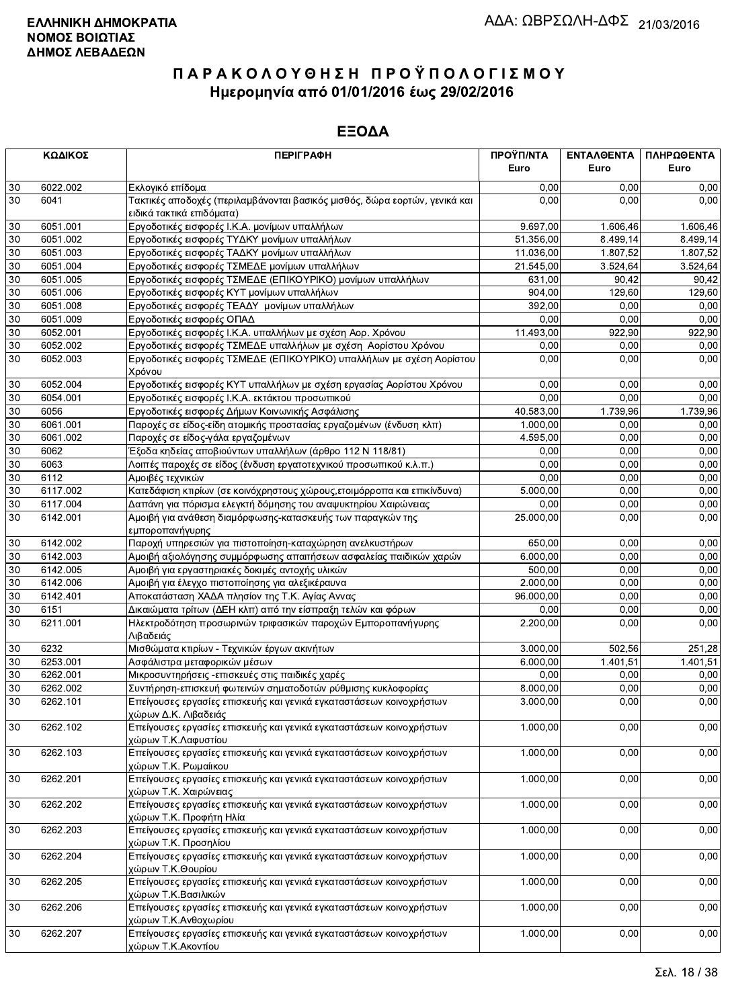|        | ΚΩΔΙΚΟΣ  | <b>ПЕРІГРАФН</b>                                                                                                  | ΠΡΟΫΠ/ΝΤΑ | ΕΝΤΑΛΘΕΝΤΑ | ΠΛΗΡΩΘΕΝΤΑ |
|--------|----------|-------------------------------------------------------------------------------------------------------------------|-----------|------------|------------|
|        |          |                                                                                                                   | Euro      | Euro       | Euro       |
| 30     | 6022.002 | Εκλογικό επίδομα                                                                                                  | 0,00      | 0.00       | 0,00       |
| 30     | 6041     | Τακτικές αποδοχές (περιλαμβάνονται βασικός μισθός, δώρα εορτών, γενικά και                                        | 0,00      | 0,00       | 0,00       |
|        |          | ειδικά τακτικά επιδόματα)                                                                                         |           |            |            |
| 30     | 6051.001 | Εργοδοτικές εισφορές Ι.Κ.Α. μονίμων υπαλλήλων                                                                     | 9.697,00  | 1.606,46   | 1.606,46   |
| 30     | 6051.002 | Εργοδοτικές εισφορές ΤΥΔΚΥ μονίμων υπαλλήλων                                                                      | 51.356,00 | 8.499,14   | 8.499,14   |
| 30     | 6051.003 | Εργοδοτικές εισφορές ΤΑΔΚΥ μονίμων υπαλλήλων                                                                      | 11.036,00 | 1.807,52   | 1.807,52   |
| 30     | 6051.004 | Εργοδοτικές εισφορές ΤΣΜΕΔΕ μονίμων υπαλλήλων                                                                     | 21.545,00 | 3.524,64   | 3.524,64   |
| 30     | 6051.005 | Εργοδοτικές εισφορές ΤΣΜΕΔΕ (ΕΠΙΚΟΥΡΙΚΟ) μονίμων υπαλλήλων                                                        | 631,00    | 90,42      | 90,42      |
| 30     | 6051.006 | Εργοδοτικές εισφορές ΚΥΤ μονίμων υπαλλήλων                                                                        | 904,00    | 129,60     | 129,60     |
| 30     | 6051.008 | Εργοδοτικές εισφορές ΤΕΑΔΥ μονίμων υπαλλήλων                                                                      | 392,00    | 0,00       | 0,00       |
| 30     | 6051.009 | Εργοδοτικές εισφορές ΟΠΑΔ                                                                                         | 0,00      | 0,00       | 0,00       |
| 30     | 6052.001 | Εργοδοτικές εισφορές Ι.Κ.Α. υπαλλήλων με σχέση Αορ. Χρόνου                                                        | 11.493,00 | 922,90     | 922,90     |
| 30     | 6052.002 | Εργοδοτικές εισφορές ΤΣΜΕΔΕ υπαλλήλων με σχέση Αορίστου Χρόνου                                                    | 0,00      | 0,00       | 0,00       |
| 30     | 6052.003 | Εργοδοτικές εισφορές ΤΣΜΕΔΕ (ΕΠΙΚΟΥΡΙΚΟ) υπαλλήλων με σχέση Αορίστου<br>Χρόνου                                    | 0.00      | 0,00       | 0,00       |
| 30     | 6052.004 | Εργοδοτικές εισφορές ΚΥΤ υπαλλήλων με σχέση εργασίας Αορίστου Χρόνου                                              | 0,00      | 0,00       | 0,00       |
| 30     | 6054.001 | Εργοδοτικές εισφορές Ι.Κ.Α. εκτάκτου προσωπικού                                                                   | 0,00      | 0,00       | 0,00       |
| 30     | 6056     | Εργοδοτικές εισφορές Δήμων Κοινωνικής Ασφάλισης                                                                   | 40.583,00 | 1.739,96   | 1.739,96   |
| 30     | 6061.001 | Παροχές σε είδος-είδη ατομικής προστασίας εργαζομένων (ένδυση κλπ)                                                | 1.000,00  | 0,00       | 0,00       |
| 30     | 6061.002 | Παροχές σε είδος-γάλα εργαζομένων                                                                                 | 4.595,00  | 0,00       | 0,00       |
| 30     | 6062     | Έξοδα κηδείας αποβιούντων υπαλλήλων (άρθρο 112 Ν 118/81)                                                          | 0,00      | 0,00       | 0,00       |
| 30     | 6063     | Λοιπές παροχές σε είδος (ένδυση εργατοτεχνικού προσωπικού κ.λ.π.)                                                 | 0,00      | 0,00       | 0,00       |
| 30     | 6112     | Αμοιβές τεχνικών                                                                                                  | 0,00      | 0.00       | 0,00       |
| 30     | 6117.002 | Κατεδάφιση κτιρίων (σε κοινόχρηστους χώρους, ετοιμόρροπα και επικίνδυνα)                                          | 5.000,00  | 0,00       | 0,00       |
| 30     | 6117.004 | Δαπάνη για πόρισμα ελεγκτή δόμησης του αναψυκτηρίου Χαιρώνειας                                                    | 0,00      | 0,00       | 0,00       |
| 30     | 6142.001 | Αμοιβή για ανάθεση διαμόρφωσης-κατασκευής των παραγκών της                                                        | 25.000,00 | 0,00       | 0,00       |
|        |          | εμποροπανήγυρης                                                                                                   |           |            |            |
| 30     | 6142.002 | Παροχή υπηρεσιών για πιστοποίηση-καταχώρηση ανελκυστήρων                                                          | 650,00    | 0,00       | 0,00       |
| 30     | 6142.003 | Αμοιβή αξιολόγησης συμμόρφωσης απαιτήσεων ασφαλείας παιδικών χαρών                                                | 6.000,00  | 0,00       | 0,00       |
| 30     | 6142.005 | Αμοιβή για εργαστηριακές δοκιμές αντοχής υλικών                                                                   | 500.00    | 0,00       | 0,00       |
| 30     | 6142.006 | Αμοιβή για έλεγχο πιστοποίησης για αλεξικέραυνα                                                                   | 2.000,00  | 0,00       | 0,00       |
| 30     | 6142.401 | Αποκατάσταση ΧΑΔΑ πλησίον της Τ.Κ. Αγίας Αννας                                                                    | 96.000,00 | 0,00       | 0,00       |
| 30     | 6151     | Δικαιώματα τρίτων (ΔΕΗ κλπ) από την είσπραξη τελών και φόρων                                                      | 0,00      | 0,00       | 0,00       |
| 30     | 6211.001 | Ηλεκτροδότηση προσωρινών τριφασικών παροχών Εμποροπανήγυρης                                                       | 2.200,00  | 0,00       | 0,00       |
|        |          | Λιβαδειάς                                                                                                         |           |            |            |
| 30     | 6232     | Μισθώματα κτιρίων - Τεχνικών έργων ακινήτων                                                                       | 3.000,00  | 502.56     | 251,28     |
| 30     | 6253.001 | Ασφάλιστρα μεταφορικών μέσων                                                                                      | 6.000,00  | 1.401,51   | 1.401,51   |
| 30     | 6262.001 | Μικροσυντηρήσεις -επισκευές στις παιδικές χαρές                                                                   | 0,00      | 0,00       | 0,00       |
| 30     | 6262.002 | Συντήρηση-επισκευή φωτεινών σηματοδοτών ρύθμισης κυκλοφορίας                                                      | 8.000,00  | 0,00       | 0,00       |
| $30\,$ | 6262.101 | Επείγουσες εργασίες επισκευής και γενικά εγκαταστάσεων κοινοχρήστων<br>χώρων Δ.Κ. Λιβαδειάς                       | 3.000,00  | 0,00       | 0,00       |
| $30\,$ | 6262.102 | Επείγουσες εργασίες επισκευής και γενικά εγκαταστάσεων κοινοχρήστων<br>χώρων Τ.Κ.Λαφυστίου                        | 1.000,00  | 0,00       | 0,00       |
| $30\,$ | 6262.103 | Επείγουσες εργασίες επισκευής και γενικά εγκαταστάσεων κοινοχρήστων<br>χώρων Τ.Κ. Ρωμαίικου                       | 1.000,00  | 0,00       | 0,00       |
| $30\,$ | 6262.201 | Επείγουσες εργασίες επισκευής και γενικά εγκαταστάσεων κοινοχρήστων<br>χώρων Τ.Κ. Χαιρώνειας                      | 1.000,00  | 0,00       | 0,00       |
| $30\,$ | 6262.202 | Επείγουσες εργασίες επισκευής και γενικά εγκαταστάσεων κοινοχρήστων<br>χώρων Τ.Κ. Προφήτη Ηλία                    | 1.000,00  | 0,00       | 0,00       |
| $30\,$ | 6262.203 | Επείγουσες εργασίες επισκευής και γενικά εγκαταστάσεων κοινοχρήστων<br>χώρων Τ.Κ. Προσηλίου                       | 1.000,00  | 0,00       | 0,00       |
| $30\,$ | 6262.204 | Επείγουσες εργασίες επισκευής και γενικά εγκαταστάσεων κοινοχρήστων<br>χώρων Τ.Κ.Θουρίου                          | 1.000,00  | 0,00       | 0,00       |
| 30     | 6262.205 | Επείγουσες εργασίες επισκευής και γενικά εγκαταστάσεων κοινοχρήστων<br>χώρων Τ.Κ.Βασιλικών                        | 1.000,00  | 0,00       | 0,00       |
| 30     | 6262.206 | Επείγουσες εργασίες επισκευής και γενικά εγκαταστάσεων κοινοχρήστων                                               | 1.000,00  | 0,00       | 0,00       |
| 30     | 6262.207 | χώρων Τ.Κ.Ανθοχωρίου<br>Επείγουσες εργασίες επισκευής και γενικά εγκαταστάσεων κοινοχρήστων<br>χώρων Τ.Κ.Ακοντίου | 1.000,00  | 0,00       | 0,00       |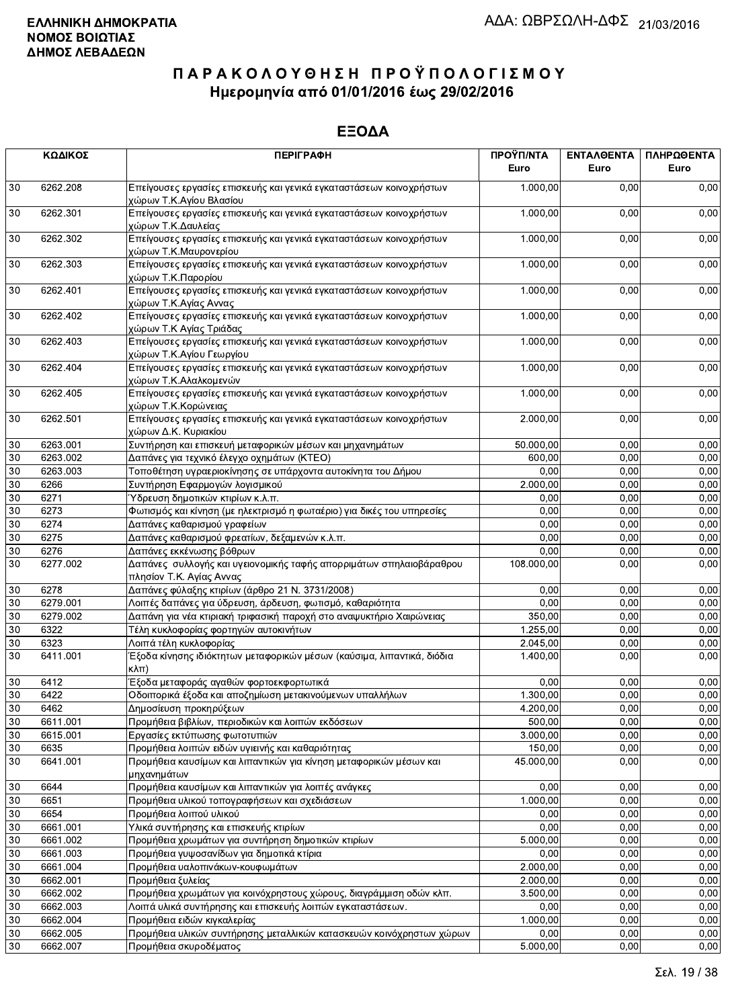|        | ΚΩΔΙΚΟΣ  | <b>ПЕРІГРАФН</b>                                                                                | ΠΡΟΫΠ/ΝΤΑ<br>Euro | ΕΝΤΑΛΘΕΝΤΑ<br>Euro | ΠΛΗΡΩΘΕΝΤΑ<br>Euro |
|--------|----------|-------------------------------------------------------------------------------------------------|-------------------|--------------------|--------------------|
| 30     | 6262.208 | Επείγουσες εργασίες επισκευής και γενικά εγκαταστάσεων κοινοχρήστων<br>χώρων Τ.Κ.Αγίου Βλασίου  | 1.000,00          | 0,00               | 0,00               |
| 30     | 6262.301 | Επείγουσες εργασίες επισκευής και γενικά εγκαταστάσεων κοινοχρήστων<br>χώρων Τ.Κ.Δαυλείας       | 1.000,00          | 0,00               | 0,00               |
| 30     | 6262.302 | Επείγουσες εργασίες επισκευής και γενικά εγκαταστάσεων κοινοχρήστων<br>χώρων Τ.Κ.Μαυρονερίου    | 1.000,00          | 0,00               | 0,00               |
| 30     | 6262.303 | Επείγουσες εργασίες επισκευής και γενικά εγκαταστάσεων κοινοχρήστων<br>χώρων Τ.Κ.Παρορίου       | 1.000,00          | 0,00               | 0,00               |
| 30     | 6262.401 | Επείγουσες εργασίες επισκευής και γενικά εγκαταστάσεων κοινοχρήστων<br>χώρων Τ.Κ.Αγίας Αννας    | 1.000,00          | 0,00               | 0,00               |
| 30     | 6262.402 | Επείγουσες εργασίες επισκευής και γενικά εγκαταστάσεων κοινοχρήστων<br>χώρων Τ.Κ Αγίας Τριάδας  | 1.000,00          | 0,00               | 0,00               |
| 30     | 6262.403 | Επείγουσες εργασίες επισκευής και γενικά εγκαταστάσεων κοινοχρήστων<br>χώρων Τ.Κ.Αγίου Γεωργίου | 1.000,00          | 0,00               | 0,00               |
| 30     | 6262.404 | Επείγουσες εργασίες επισκευής και γενικά εγκαταστάσεων κοινοχρήστων<br>χώρων Τ.Κ.Αλαλκομενών    | 1.000,00          | 0,00               | 0,00               |
| 30     | 6262.405 | Επείγουσες εργασίες επισκευής και γενικά εγκαταστάσεων κοινοχρήστων<br>χώρων Τ.Κ.Κορώνειας      | 1.000,00          | 0,00               | 0,00               |
| 30     | 6262.501 | Επείγουσες εργασίες επισκευής και γενικά εγκαταστάσεων κοινοχρήστων<br>χώρων Δ.Κ. Κυριακίου     | 2.000,00          | 0,00               | 0,00               |
| 30     | 6263.001 | Συντήρηση και επισκευή μεταφορικών μέσων και μηχανημάτων                                        | 50.000,00         | 0,00               | 0,00               |
| 30     | 6263.002 | Δαπάνες για τεχνικό έλεγχο οχημάτων (ΚΤΕΟ)                                                      | 600,00            | 0,00               | 0,00               |
| 30     | 6263.003 | Τοποθέτηση υγραεριοκίνησης σε υπάρχοντα αυτοκίνητα του Δήμου                                    | 0,00              | 0,00               | 0,00               |
| 30     | 6266     | Συντήρηση Εφαρμογών λογισμικού                                                                  | 2.000,00          | 0,00               | 0,00               |
| 30     | 6271     | Ύδρευση δημοτικών κτιρίων κ.λ.π.                                                                | 0,00              | 0,00               | 0,00               |
| 30     | 6273     | Φωτισμός και κίνηση (με ηλεκτρισμό η φωταέριο) για δικές του υπηρεσίες                          | 0,00              | 0,00               | 0,00               |
| 30     | 6274     | Δαπάνες καθαρισμού γραφείων                                                                     | 0,00              | 0,00               | 0,00               |
| 30     | 6275     | Δαπάνες καθαρισμού φρεατίων, δεξαμενών κ.λ.π.                                                   | 0,00              | 0,00               | 0,00               |
| 30     | 6276     | Δαπάνες εκκένωσης βόθρων                                                                        | 0,00              | 0,00               | 0,00               |
| 30     | 6277.002 | Δαπάνες συλλογής και υγειονομικής ταφής απορριμάτων σπηλαιοβάραθρου<br>πλησίον Τ.Κ. Αγίας Αννας | 108.000,00        | 0,00               | 0,00               |
| 30     | 6278     | Δαπάνες φύλαξης κτιρίων (άρθρο 21 Ν. 3731/2008)                                                 | 0.00              | 0,00               | 0,00               |
| 30     | 6279.001 | Λοιπές δαπάνες για ύδρευση, άρδευση, φωτισμό, καθαριότητα                                       | 0,00              | 0,00               | 0,00               |
| 30     | 6279.002 | Δαπάνη για νέα κτιριακή τριφασική παροχή στο αναψυκτήριο Χαιρώνειας                             | 350,00            | 0,00               | 0,00               |
| 30     | 6322     | Τέλη κυκλοφορίας φορτηγών αυτοκινήτων                                                           | 1.255,00          | 0,00               | 0,00               |
| 30     | 6323     | Λοιπά τέλη κυκλοφορίας                                                                          | 2.045,00          | 0,00               | 0,00               |
| 30     | 6411.001 | Έξοδα κίνησης ιδιόκτητων μεταφορικών μέσων (καύσιμα, λιπαντικά, διόδια<br>κλπ)                  | 1.400,00          | 0,00               | 0,00               |
| 30     | 6412     | Έξοδα μεταφοράς αγαθών φορτοεκφορτωτικά                                                         | 0,00              | 0,00               | 0,00               |
| $30\,$ | 6422     | Οδοιπορικά έξοδα και αποζημίωση μετακινούμενων υπαλλήλων                                        | 1.300,00          | 0,00               | 0,00               |
| 30     | 6462     | Δημοσίευση προκηρύξεων                                                                          | 4.200,00          | 0,00               | 0,00               |
| 30     | 6611.001 | Προμήθεια βιβλίων, περιοδικών και λοιπών εκδόσεων                                               | 500,00            | 0,00               | 0,00               |
| 30     | 6615.001 | Εργασίες εκτύπωσης φωτοτυπιών                                                                   | 3.000,00          | 0,00               | 0,00               |
| 30     | 6635     | Προμήθεια λοιπών ειδών υγιεινής και καθαριότητας                                                | 150,00            | 0,00               | 0,00               |
| 30     | 6641.001 | Προμήθεια καυσίμων και λιπαντικών για κίνηση μεταφορικών μέσων και<br>μηχανημάτων               | 45.000,00         | 0,00               | 0,00               |
| 30     | 6644     | Προμήθεια καυσίμων και λιπαντικών για λοιπές ανάγκες                                            | 0,00              | 0,00               | 0,00               |
| 30     | 6651     | Προμήθεια υλικού τοπογραφήσεων και σχεδιάσεων                                                   | 1.000,00          | 0,00               | 0,00               |
| 30     | 6654     | Προμήθεια λοιπού υλικού                                                                         | 0,00              | 0,00               | 0,00               |
| 30     | 6661.001 | Υλικά συντήρησης και επισκευής κτιρίων                                                          | 0,00              | 0,00               | 0,00               |
| 30     | 6661.002 | Προμήθεια χρωμάτων για συντήρηση δημοτικών κτιρίων                                              | 5.000,00          | 0,00               | 0,00               |
| 30     | 6661.003 | Προμήθεια γυψοσανίδων για δημοτικά κτίρια                                                       | 0,00              | 0,00               | 0,00               |
| 30     | 6661.004 | Προμήθεια υαλοπινάκων-κουφωμάτων                                                                | 2.000,00          | 0,00               | 0,00               |
| 30     | 6662.001 | Προμήθεια ξυλείας                                                                               | 2.000,00          | 0,00               | 0,00               |
| 30     | 6662.002 | Προμήθεια χρωμάτων για κοινόχρηστους χώρους, διαγράμμιση οδών κλπ.                              | 3.500,00          | 0,00               | 0,00               |
| 30     | 6662.003 | Λοιπά υλικά συντήρησης και επισκευής λοιπών εγκαταστάσεων.                                      | 0,00              | 0,00               | 0,00               |
| 30     | 6662.004 | Προμήθεια ειδών κιγκαλερίας                                                                     | 1.000,00          | 0,00               | 0,00               |
| 30     | 6662.005 | Προμήθεια υλικών συντήρησης μεταλλικών κατασκευών κοινόχρηστων χώρων                            | 0,00              | 0,00               | 0,00               |
| 30     | 6662.007 | Προμήθεια σκυροδέματος                                                                          | 5.000,00          | 0,00               | 0,00               |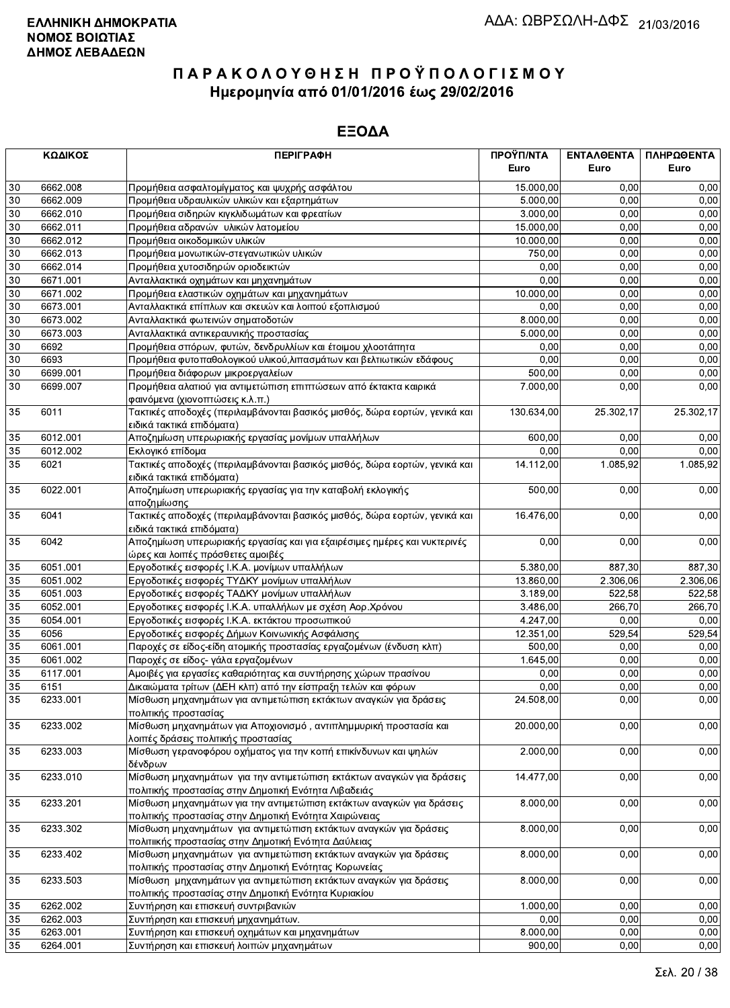|                 | ΚΩΔΙΚΟΣ  | <b>ПЕРІГРАФН</b>                                                                                       | ΠΡΟΫΠ/ΝΤΑ  | ΕΝΤΑΛΘΕΝΤΑ | ΠΛΗΡΩΘΕΝΤΑ |
|-----------------|----------|--------------------------------------------------------------------------------------------------------|------------|------------|------------|
|                 |          |                                                                                                        | Euro       | Euro       | Euro       |
| 30              | 6662.008 | Προμήθεια ασφαλτομίγματος και ψυχρής ασφάλτου                                                          | 15.000,00  | 0,00       | 0,00       |
| 30              | 6662.009 | Προμήθεια υδραυλικών υλικών και εξαρτημάτων                                                            | 5.000,00   | 0,00       | 0,00       |
| $\overline{30}$ | 6662.010 | Προμήθεια σιδηρών κιγκλιδωμάτων και φρεατίων                                                           | 3.000,00   | 0,00       | 0,00       |
| 30              | 6662.011 | Προμήθεια αδρανών υλικών λατομείου                                                                     | 15.000,00  | 0,00       | 0,00       |
| 30              | 6662.012 | Προμήθεια οικοδομικών υλικών                                                                           | 10.000,00  | 0,00       | 0,00       |
| $30\,$          | 6662.013 | Προμήθεια μονωτικών-στεγανωτικών υλικών                                                                | 750,00     | 0,00       | 0,00       |
| $30\,$          | 6662.014 | Προμήθεια χυτοσιδηρών οριοδεικτών                                                                      | 0,00       | 0,00       | 0,00       |
| $\overline{30}$ | 6671.001 | Ανταλλακτικά οχημάτων και μηχανημάτων                                                                  | 0,00       | 0,00       | 0,00       |
| $30\,$          | 6671.002 | Προμήθεια ελαστικών οχημάτων και μηχανημάτων                                                           | 10.000,00  | 0,00       | 0,00       |
| 30              | 6673.001 | Ανταλλακτικά επίπλων και σκευών και λοιπού εξοπλισμού                                                  | 0,00       | 0,00       | 0,00       |
| 30              | 6673.002 | Ανταλλακτικά φωτεινών σηματοδοτών                                                                      | 8.000,00   | 0,00       | 0,00       |
| $30\,$          | 6673.003 | Ανταλλακτικά αντικεραυνικής προστασίας                                                                 | 5.000,00   | 0,00       | 0,00       |
| 30              | 6692     | Προμήθεια σπόρων, φυτών, δενδρυλλίων και έτοιμου χλοοτάπητα                                            | 0,00       | 0,00       | 0,00       |
| 30              | 6693     | Προμήθεια φυτοπαθολογικού υλικού, λιπασμάτων και βελτιωτικών εδάφους                                   | 0,00       | 0,00       | 0,00       |
| 30              | 6699.001 | Προμήθεια διάφορων μικροεργαλείων                                                                      | 500,00     | 0,00       | 0,00       |
| 30              | 6699.007 | Προμήθεια αλατιού για αντιμετώπιση επιπτώσεων από έκτακτα καιρικά                                      | 7.000,00   | 0,00       | 0,00       |
|                 |          | φαινόμενα (χιονοπτώσεις κ.λ.π.)                                                                        |            |            |            |
| 35              | 6011     | Τακτικές αποδοχές (περιλαμβάνονται βασικός μισθός, δώρα εορτών, γενικά και                             | 130.634,00 | 25.302,17  | 25.302,17  |
|                 |          | ειδικά τακτικά επιδόματα)                                                                              |            |            |            |
| 35              | 6012.001 | Αποζημίωση υπερωριακής εργασίας μονίμων υπαλλήλων                                                      | 600,00     | 0,00       | 0,00       |
| 35              | 6012.002 | Εκλονικό επίδομα                                                                                       | 0,00       | 0,00       | 0,00       |
| 35              | 6021     | Τακτικές αποδοχές (περιλαμβάνονται βασικός μισθός, δώρα εορτών, γενικά και                             | 14.112,00  | 1.085,92   | 1.085,92   |
|                 |          | ειδικά τακτικά επιδόματα)                                                                              |            |            |            |
| 35              | 6022.001 | Αποζημίωση υπερωριακής εργασίας για την καταβολή εκλογικής                                             | 500,00     | 0,00       | 0,00       |
|                 |          | αποζημίωσης                                                                                            |            |            |            |
| 35              | 6041     | Τακτικές αποδοχές (περιλαμβάνονται βασικός μισθός, δώρα εορτών, γενικά και                             | 16.476,00  | 0,00       | 0,00       |
|                 |          | ειδικά τακτικά επιδόματα)                                                                              |            |            |            |
| 35              | 6042     | Αποζημίωση υπερωριακής εργασίας και για εξαιρέσιμες ημέρες και νυκτερινές                              | 0,00       | 0,00       | 0,00       |
|                 |          | ώρες και λοιπές πρόσθετες αμοιβές                                                                      |            |            |            |
| 35              | 6051.001 | Εργοδοτικές εισφορές Ι.Κ.Α. μονίμων υπαλλήλων                                                          | 5.380,00   | 887,30     | 887,30     |
| 35              | 6051.002 | Εργοδοτικές εισφορές ΤΥΔΚΥ μονίμων υπαλλήλων                                                           | 13.860,00  | 2.306,06   | 2.306,06   |
| 35              | 6051.003 | Εργοδοτικές εισφορές ΤΑΔΚΥ μονίμων υπαλλήλων                                                           | 3.189,00   | 522,58     | 522,58     |
| 35              | 6052.001 | Εργοδοτικες εισφορές Ι.Κ.Α. υπαλλήλων με σχέση Αορ.Χρόνου                                              | 3.486,00   | 266,70     | 266,70     |
| 35              | 6054.001 | Εργοδοτικές εισφορές Ι.Κ.Α. εκτάκτου προσωπικού                                                        | 4.247,00   | 0,00       | 0,00       |
| 35              | 6056     | Εργοδοτικές εισφορές Δήμων Κοινωνικής Ασφάλισης                                                        | 12.351,00  | 529,54     | 529,54     |
| 35              | 6061.001 | Παροχές σε είδος-είδη ατομικής προστασίας εργαζομένων (ένδυση κλπ)                                     | 500,00     | 0,00       | 0,00       |
| 35              | 6061.002 | Παροχές σε είδος- γάλα εργαζομένων                                                                     | 1.645,00   | 0,00       | 0,00       |
| 35              | 6117.001 | Αμοιβές για εργασίες καθαριότητας και συντήρησης χώρων πρασίνου                                        | 0,00       | 0,00       | 0,00       |
| 35              | 6151     | Δικαιώματα τρίτων (ΔΕΗ κλπ) από την είσπραξη τελών και φόρων                                           | 0,00       | 0,00       | 0,00       |
| $\overline{35}$ | 6233.001 | Μίσθωση μηχανημάτων για αντιμετώπιση εκτάκτων αναγκών για δράσεις                                      | 24.508,00  | 0,00       | 0,00       |
|                 |          | πολιτικής προστασίας                                                                                   |            |            |            |
| 35              | 6233.002 | Μίσθωση μηχανημάτων για Αποχιονισμό, αντιπλημμυρική προστασία και                                      | 20.000,00  | 0,00       | 0,00       |
|                 |          | λοιπές δράσεις πολιτικής προστασίας<br>Μίσθωση γερανοφόρου οχήματος για την κοπή επικίνδυνων και ψηλών |            |            |            |
| 35              | 6233.003 | δένδρων                                                                                                | 2.000,00   | 0,00       | 0,00       |
| 35              | 6233.010 | Μίσθωση μηχανημάτων για την αντιμετώπιση εκτάκτων αναγκών για δράσεις                                  | 14.477,00  | 0,00       | 0,00       |
|                 |          | πολιτικής προστασίας στην Δημοτική Ενότητα Λιβαδειάς                                                   |            |            |            |
| 35              | 6233.201 | Μίσθωση μηχανημάτων για την αντιμετώπιση εκτάκτων αναγκών για δράσεις                                  | 8.000,00   | 0,00       | 0,00       |
|                 |          | πολιτικής προστασίας στην Δημοτική Ενότητα Χαιρώνειας                                                  |            |            |            |
| 35              | 6233.302 | Μίσθωση μηχανημάτων για αντιμετώπιση εκτάκτων αναγκών για δράσεις                                      | 8.000,00   | 0,00       | 0,00       |
|                 |          | πολιτιικής προστασίας στην Δημοτική Ενότητα Δαύλειας                                                   |            |            |            |
| 35              | 6233.402 | Μίσθωση μηχανημάτων για αντιμετώπιση εκτάκτων αναγκών για δράσεις                                      | 8.000,00   | 0,00       | 0,00       |
|                 |          | πολιτικής προστασίας στην Δημοτική Ενότητας Κορωνείας                                                  |            |            |            |
| 35              | 6233.503 | Μίσθωση μηχανημάτων για αντιμετώπιση εκτάκτων αναγκών για δράσεις                                      | 8.000,00   | 0,00       | 0,00       |
|                 |          | πολιτικής προστασίας στην Δημοτική Ενότητα Κυριακίου                                                   |            |            |            |
| 35              | 6262.002 | Συντήρηση και επισκευή συντριβανιών                                                                    | 1.000,00   | 0,00       | 0,00       |
| 35              | 6262.003 | Συντήρηση και επισκευή μηχανημάτων.                                                                    | 0,00       | 0,00       | 0,00       |
| 35              | 6263.001 | Συντήρηση και επισκευή οχημάτων και μηχανημάτων                                                        | 8.000,00   | 0,00       | 0,00       |
| 35              | 6264.001 | Συντήρηση και επισκευή λοιπών μηχανημάτων                                                              | 900.00     | 0.00       | 0.00       |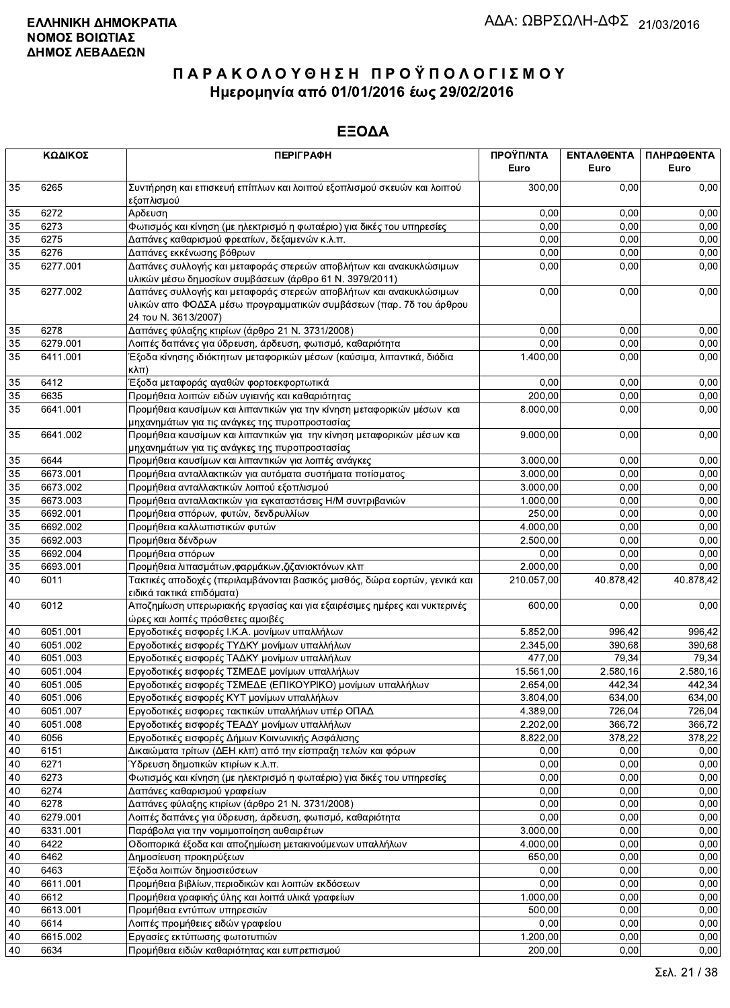|                 | ΚΩΔΙΚΟΣ  | <b>ПЕРІГРАФН</b>                                                                                                                                                 | ΠΡΟΫΠ/ΝΤΑ<br>Euro | ΕΝΤΑΛΘΕΝΤΑ<br>Euro | ΠΛΗΡΩΘΕΝΤΑ<br>Euro |
|-----------------|----------|------------------------------------------------------------------------------------------------------------------------------------------------------------------|-------------------|--------------------|--------------------|
| 35              | 6265     | Συντήρηση και επισκευή επίπλων και λοιπού εξοπλισμού σκευών και λοιπού<br>εξοπλισμού                                                                             | 300,00            | 0.00               | 0,00               |
| 35              | 6272     | Αρδευση                                                                                                                                                          | 0,00              | 0.00               | 0,00               |
| $\overline{35}$ | 6273     | Φωτισμός και κίνηση (με ηλεκτρισμό η φωταέριο) για δικές του υπηρεσίες                                                                                           | 0,00              | 0,00               | 0,00               |
| 35              | 6275     | Δαπάνες καθαρισμού φρεατίων, δεξαμενών κ.λ.π.                                                                                                                    | 0,00              | 0,00               | 0,00               |
| 35              | 6276     | Δαπάνες εκκένωσης βόθρων                                                                                                                                         | 0,00              | 0,00               | 0,00               |
| 35              | 6277.001 | Δαπάνες συλλογής και μεταφοράς στερεών αποβλήτων και ανακυκλώσιμων                                                                                               | 0,00              | 0,00               | 0,00               |
|                 |          | υλικών μέσω δημοσίων συμβάσεων (άρθρο 61 Ν. 3979/2011)                                                                                                           |                   |                    |                    |
| 35              | 6277.002 | Δαπάνες συλλογής και μεταφοράς στερεών αποβλήτων και ανακυκλώσιμων<br>υλικών απο ΦΟΔΣΑ μέσω προγραμματικών συμβάσεων (παρ. 7δ του άρθρου<br>24 του Ν. 3613/2007) | 0,00              | 0,00               | 0,00               |
| 35              | 6278     | Δαπάνες φύλαξης κτιρίων (άρθρο 21 Ν. 3731/2008)                                                                                                                  | 0,00              | 0,00               | 0,00               |
| 35              | 6279.001 | Λοιπές δαπάνες για ύδρευση, άρδευση, φωτισμό, καθαριότητα                                                                                                        | 0.00              | 0,00               | 0,00               |
| 35              | 6411.001 | Έξοδα κίνησης ιδιόκτητων μεταφορικών μέσων (καύσιμα, λιπαντικά, διόδια<br>$\kappa\lambda\pi$ )                                                                   | 1.400,00          | 0.00               | 0,00               |
| 35              | 6412     | Έξοδα μεταφοράς αγαθών φορτοεκφορτωτικά                                                                                                                          | 0,00              | 0,00               | 0,00               |
| 35              | 6635     | Προμήθεια λοιπών ειδών υγιεινής και καθαριότητας                                                                                                                 | 200,00            | 0,00               | 0,00               |
| 35              | 6641.001 | Προμήθεια καυσίμων και λιπαντικών για την κίνηση μεταφορικών μέσων και<br>μηχανημάτων για τις ανάγκες της πυροπροστασίας                                         | 8.000,00          | 0,00               | 0,00               |
| 35              | 6641.002 | Προμήθεια καυσίμων και λιπαντικών για την κίνηση μεταφορικών μέσων και<br>μηχανημάτων για τις ανάγκες της πυροπροστασίας                                         | 9.000,00          | 0,00               | 0,00               |
| 35              | 6644     | Προμήθεια καυσίμων και λιπαντικών για λοιπές ανάγκες                                                                                                             | 3.000,00          | 0,00               | 0,00               |
| 35              | 6673.001 | Προμήθεια ανταλλακτικών για αυτόματα συστήματα ποτίσματος                                                                                                        | 3.000.00          | 0,00               | 0,00               |
| $35\,$          | 6673.002 | Προμήθεια ανταλλακτικών λοιπού εξοπλισμού                                                                                                                        | 3.000,00          | 0,00               | 0,00               |
| 35              | 6673.003 | Προμήθεια ανταλλακτικών για εγκαταστάσεις Η/Μ συντριβανιών                                                                                                       | 1.000,00          | 0,00               | 0,00               |
| $\overline{35}$ | 6692.001 | Προμήθεια σπόρων, φυτών, δενδρυλλίων                                                                                                                             | 250,00            | 0,00               | 0,00               |
| 35              | 6692.002 | Προμήθεια καλλωπιστικών φυτών                                                                                                                                    | 4.000,00          | 0,00               | 0,00               |
| 35              | 6692.003 | Προμήθεια δένδρων                                                                                                                                                | 2.500,00          | 0,00               | 0,00               |
| 35              | 6692.004 | Προμήθεια σπόρων                                                                                                                                                 | 0,00              | 0,00               | 0,00               |
| 35              | 6693.001 | Προμήθεια λιπασμάτων, φαρμάκων, ζιζανιοκτόνων κλπ                                                                                                                | 2.000,00          | 0,00               | 0,00               |
| 40              | 6011     | Τακτικές αποδοχές (περιλαμβάνονται βασικός μισθός, δώρα εορτών, γενικά και<br>ειδικά τακτικά επιδόματα)                                                          | 210.057,00        | 40.878,42          | 40.878,42          |
| 40              | 6012     | Αποζημίωση υπερωριακής εργασίας και για εξαιρέσιμες ημέρες και νυκτερινές<br>ώρες και λοιπές πρόσθετες αμοιβές                                                   | 600,00            | 0,00               | 0,00               |
| 40              | 6051.001 | Εργοδοτικές εισφορές Ι.Κ.Α. μονίμων υπαλλήλων                                                                                                                    | 5.852,00          | 996,42             | 996,42             |
| 40              | 6051.002 | Εργοδοτικές εισφορές ΤΥΔΚΥ μονίμων υπαλλήλων                                                                                                                     | 2.345,00          | 390,68             | 390,68             |
| 40              | 6051.003 | Εργοδοτικές εισφορές ΤΑΔΚΥ μονίμων υπαλλήλων                                                                                                                     | 477,00            | 79,34              | 79,34              |
| 40              | 6051.004 | Εργοδοτικές εισφορές ΤΣΜΕΔΕ μονίμων υπαλλήλων                                                                                                                    | 15.561,00         | 2.580,16           | 2.580,16           |
| 40              | 6051.005 | Εργοδοτικές εισφορές ΤΣΜΕΔΕ (ΕΠΙΚΟΥΡΙΚΟ) μονίμων υπαλλήλων                                                                                                       | 2.654,00          | 442,34             | 442,34             |
| 40              | 6051.006 | Εργοδοτικές εισφορές ΚΥΤ μονίμων υπαλλήλων                                                                                                                       | 3.804,00          | 634,00             | 634,00             |
| 40              | 6051.007 | Εργοδοτικές εισφορες τακτικών υπαλλήλων υπέρ ΟΠΑΔ                                                                                                                | 4.389,00          | 726,04             | 726,04             |
| 40              | 6051.008 | Εργοδοτικές εισφορές ΤΕΑΔΥ μονίμων υπαλλήλων                                                                                                                     | 2.202,00          | 366,72             | 366,72             |
| 40              | 6056     | Εργοδοτικές εισφορές Δήμων Κοινωνικής Ασφάλισης                                                                                                                  | 8.822,00          | 378,22             | 378,22             |
| 40              | 6151     | Δικαιώματα τρίτων (ΔΕΗ κλπ) από την είσπραξη τελών και φόρων                                                                                                     | 0,00              | 0,00               | 0,00               |
| 40              | 6271     | Υδρευση δημοτικών κτιρίων κ.λ.π.                                                                                                                                 | 0,00              | 0,00               | 0,00               |
| 40              | 6273     | Φωτισμός και κίνηση (με ηλεκτρισμό η φωταέριο) για δικές του υπηρεσίες                                                                                           | 0,00              | 0,00               | 0,00               |
| 40              | 6274     | Δαπάνες καθαρισμού γραφείων                                                                                                                                      | 0,00              | 0,00               | 0,00               |
| 40              | 6278     | Δαπάνες φύλαξης κτιρίων (άρθρο 21 Ν. 3731/2008)                                                                                                                  | 0,00              | 0,00               | 0,00               |
| 40              | 6279.001 | Λοιπές δαπάνες για ύδρευση, άρδευση, φωτισμό, καθαριότητα                                                                                                        | 0,00              | 0,00               | 0,00               |
| 40              | 6331.001 | Παράβολα για την νομιμοποίηση αυθαιρέτων                                                                                                                         | 3.000,00          | 0,00               | 0,00               |
| 40              | 6422     | Οδοιπορικά έξοδα και αποζημίωση μετακινούμενων υπαλλήλων                                                                                                         | 4.000,00          | 0,00               | 0,00               |
| 40              | 6462     | Δημοσίευση προκηρύξεων                                                                                                                                           | 650,00            | 0,00               | 0,00               |
| 40              | 6463     | Έξοδα λοιπών δημοσιεύσεων                                                                                                                                        | 0,00              | 0,00               | 0,00               |
| 40              | 6611.001 | Προμήθεια βιβλίων, περιοδικών και λοιπών εκδόσεων                                                                                                                | 0,00              | 0,00               | 0,00               |
| 40              | 6612     | Προμήθεια γραφικής ύλης και λοιπά υλικά γραφείων                                                                                                                 | 1.000,00          | 0,00               | 0,00               |
| 40              | 6613.001 | Προμήθεια εντύπων υπηρεσιών                                                                                                                                      | 500,00            | 0,00               | 0,00               |
| 40              | 6614     | Λοιπές προμήθειες ειδών γραφείου                                                                                                                                 | 0,00              | 0,00               | 0,00               |
| 40              | 6615.002 | Εργασίες εκτύπωσης φωτοτυπιών                                                                                                                                    | 1.200,00          | 0,00               | 0,00               |
| 40              | 6634     | Προμήθεια ειδών καθαριότητας και ευπρεπισμού                                                                                                                     | 200,00            | 0,00               | 0,00               |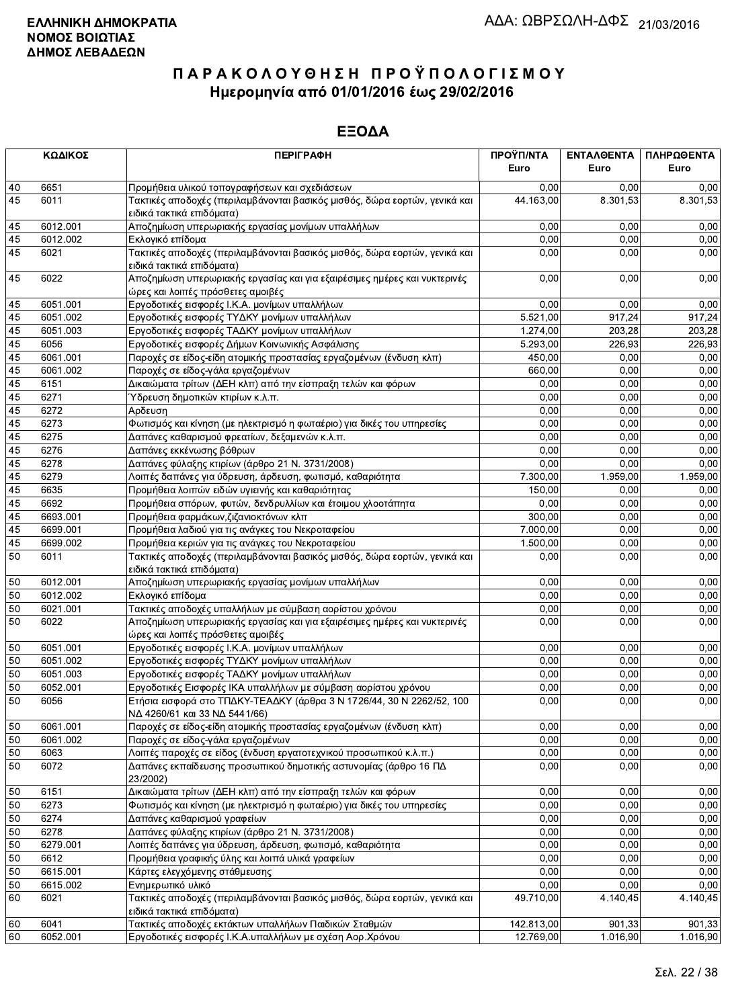|    | ΚΩΔΙΚΟΣ  | <b>ПЕРІГРАФН</b>                                                                                               | ΠΡΟΫΠ/ΝΤΑ<br>Euro | ΕΝΤΑΛΘΕΝΤΑ<br>Euro | ΠΛΗΡΩΘΕΝΤΑ<br>Euro |
|----|----------|----------------------------------------------------------------------------------------------------------------|-------------------|--------------------|--------------------|
| 40 | 6651     | Προμήθεια υλικού τοπογραφήσεων και σχεδιάσεων                                                                  | 0,00              | 0,00               | 0,00               |
| 45 | 6011     | Τακτικές αποδοχές (περιλαμβάνονται βασικός μισθός, δώρα εορτών, γενικά και<br>ειδικά τακτικά επιδόματα)        | 44.163,00         | 8.301,53           | 8.301,53           |
| 45 | 6012.001 | Αποζημίωση υπερωριακής εργασίας μονίμων υπαλλήλων                                                              | 0,00              | 0.00               | 0,00               |
| 45 | 6012.002 | Εκλογικό επίδομα                                                                                               | 0,00              | 0,00               | 0,00               |
| 45 | 6021     | Τακτικές αποδοχές (περιλαμβάνονται βασικός μισθός, δώρα εορτών, γενικά και<br>ειδικά τακτικά επιδόματα)        | 0,00              | 0,00               | 0,00               |
| 45 | 6022     | Αποζημίωση υπερωριακής εργασίας και για εξαιρέσιμες ημέρες και νυκτερινές<br>ώρες και λοιπές πρόσθετες αμοιβές | 0,00              | 0,00               | 0,00               |
| 45 | 6051.001 | Εργοδοτικές εισφορές Ι.Κ.Α. μονίμων υπαλλήλων                                                                  | 0,00              | 0,00               | 0,00               |
| 45 | 6051.002 | Εργοδοτικές εισφορές ΤΥΔΚΥ μονίμων υπαλλήλων                                                                   | 5.521.00          | 917,24             | 917,24             |
| 45 | 6051.003 | Εργοδοτικές εισφορές ΤΑΔΚΥ μονίμων υπαλλήλων                                                                   | 1.274,00          | 203,28             | 203,28             |
| 45 | 6056     | Εργοδοτικές εισφορές Δήμων Κοινωνικής Ασφάλισης                                                                | 5.293,00          | 226,93             | 226,93             |
| 45 | 6061.001 | Παροχές σε είδος-είδη ατομικής προστασίας εργαζομένων (ένδυση κλπ)                                             | 450,00            | 0,00               | 0,00               |
| 45 | 6061.002 | Παροχές σε είδος-γάλα εργαζομένων                                                                              | 660,00            | 0,00               | 0,00               |
| 45 | 6151     | Δικαιώματα τρίτων (ΔΕΗ κλπ) από την είσπραξη τελών και φόρων                                                   | 0,00              | 0,00               | 0,00               |
| 45 | 6271     | Ύδρευση δημοτικών κτιρίων κ.λ.π.                                                                               | 0,00              | 0,00               | 0,00               |
| 45 | 6272     | Αρδευση                                                                                                        | 0,00              | 0.00               | 0,00               |
| 45 | 6273     | Φωτισμός και κίνηση (με ηλεκτρισμό η φωταέριο) για δικές του υπηρεσίες                                         | 0,00              | 0,00               | 0,00               |
| 45 | 6275     | Δαπάνες καθαρισμού φρεατίων, δεξαμενών κ.λ.π.                                                                  | 0,00              | 0,00               | 0,00               |
| 45 | 6276     | Δαπάνες εκκένωσης βόθρων                                                                                       | 0,00              | 0,00               | 0,00               |
| 45 | 6278     | Δαπάνες φύλαξης κτιρίων (άρθρο 21 Ν. 3731/2008)                                                                | 0,00              | 0,00               | 0,00               |
| 45 | 6279     | Λοιπές δαπάνες για ύδρευση, άρδευση, φωτισμό, καθαριότητα                                                      | 7.300,00          | 1.959,00           | 1.959,00           |
| 45 | 6635     | Προμήθεια λοιπών ειδών υγιεινής και καθαριότητας                                                               | 150,00            | 0,00               | 0,00               |
| 45 | 6692     | Προμήθεια σπόρων, φυτών, δενδρυλλίων και έτοιμου χλοοτάπητα                                                    | 0,00              | 0,00               | 0,00               |
| 45 | 6693.001 | Προμήθεια φαρμάκων, ζιζανιοκτόνων κλπ                                                                          | 300,00            | 0,00               | 0,00               |
| 45 | 6699.001 | Προμήθεια λαδιού για τις ανάγκες του Νεκροταφείου                                                              | 7.000,00          | 0.00               | 0,00               |
| 45 | 6699.002 | Προμήθεια κεριών για τις ανάγκες του Νεκροταφείου                                                              | 1.500,00          | 0,00               | 0,00               |
| 50 | 6011     | Τακτικές αποδοχές (περιλαμβάνονται βασικός μισθός, δώρα εορτών, γενικά και<br>ειδικά τακτικά επιδόματα)        | 0,00              | 0,00               | 0,00               |
| 50 | 6012.001 | Αποζημίωση υπερωριακής εργασίας μονίμων υπαλλήλων                                                              | 0,00              | 0,00               | 0,00               |
| 50 | 6012.002 | Εκλογικό επίδομα                                                                                               | 0,00              | 0,00               | 0,00               |
| 50 | 6021.001 | Τακτικές αποδοχές υπαλλήλων με σύμβαση αορίστου χρόνου                                                         | 0,00              | 0,00               | 0,00               |
| 50 | 6022     | Αποζημίωση υπερωριακής εργασίας και για εξαιρέσιμες ημέρες και νυκτερινές<br>ώρες και λοιπές πρόσθετες αμοιβές | 0,00              | 0,00               | 0,00               |
| 50 | 6051.001 | Εργοδοτικές εισφορές Ι.Κ.Α. μονίμων υπαλλήλων                                                                  | 0,00              | 0,00               | 0,00               |
| 50 | 6051.002 | Εργοδοτικές εισφορές ΤΥΔΚΥ μονίμων υπαλλήλων                                                                   | 0,00              | 0.00               | 0,00               |
| 50 | 6051.003 | Εργοδοτικές εισφορές ΤΑΔΚΥ μονίμων υπαλλήλων                                                                   | 0,00              | 0,00               | 0,00               |
| 50 | 6052.001 | Εργοδοτικές Εισφορές ΙΚΑ υπαλλήλων με σύμβαση αορίστου χρόνου                                                  | 0,00              | 0,00               | 0,00               |
| 50 | 6056     | Ετήσια εισφορά στο ΤΠΔΚΥ-ΤΕΑΔΚΥ (άρθρα 3 Ν 1726/44, 30 Ν 2262/52, 100<br>ΝΔ 4260/61 και 33 ΝΔ 5441/66)         | 0,00              | 0,00               | 0,00               |
| 50 | 6061.001 | Παροχές σε είδος-είδη ατομικής προστασίας εργαζομένων (ένδυση κλπ)                                             | 0,00              | 0,00               | 0,00               |
| 50 | 6061.002 | Παροχές σε είδος-γάλα εργαζομένων                                                                              | 0,00              | 0,00               | 0,00               |
| 50 | 6063     | Λοιπές παροχές σε είδος (ένδυση εργατοτεχνικού προσωπικού κ.λ.π.)                                              | 0,00              | 0,00               | 0,00               |
| 50 | 6072     | Δαπάνες εκπαίδευσης προσωπικού δημοτικής αστυνομίας (άρθρο 16 ΠΔ<br>23/2002)                                   | 0,00              | 0,00               | 0,00               |
| 50 | 6151     | Δικαιώματα τρίτων (ΔΕΗ κλπ) από την είσπραξη τελών και φόρων                                                   | 0,00              | 0,00               | 0,00               |
| 50 | 6273     | Φωτισμός και κίνηση (με ηλεκτρισμό η φωταέριο) για δικές του υπηρεσίες                                         | 0,00              | 0,00               | 0,00               |
| 50 | 6274     | Δαπάνες καθαρισμού γραφείων                                                                                    | 0,00              | 0,00               | 0,00               |
| 50 | 6278     | Δαπάνες φύλαξης κτιρίων (άρθρο 21 Ν. 3731/2008)                                                                | 0,00              | 0,00               | 0,00               |
| 50 | 6279.001 | Λοιπές δαπάνες για ύδρευση, άρδευση, φωτισμό, καθαριότητα                                                      | 0,00              | 0,00               | 0,00               |
| 50 | 6612     | Προμήθεια γραφικής ύλης και λοιπά υλικά γραφείων                                                               | 0,00              | 0,00               | 0,00               |
| 50 | 6615.001 | Κάρτες ελεγχόμενης στάθμευσης                                                                                  | 0,00              | 0,00               | 0,00               |
| 50 | 6615.002 | Ενημερωτικό υλικό                                                                                              | 0,00              | 0.00               | 0,00               |
| 60 | 6021     | Τακτικές αποδοχές (περιλαμβάνονται βασικός μισθός, δώρα εορτών, γενικά και<br>ειδικά τακτικά επιδόματα)        | 49.710,00         | 4.140,45           | 4.140,45           |
| 60 | 6041     | Τακτικές αποδοχές εκτάκτων υπαλλήλων Παιδικών Σταθμών                                                          | 142.813,00        | 901,33             | 901,33             |
| 60 | 6052.001 | Εργοδοτικές εισφορές Ι.Κ.Α.υπαλλήλων με σχέση Αορ.Χρόνου                                                       | 12.769,00         | 1.016,90           | 1.016,90           |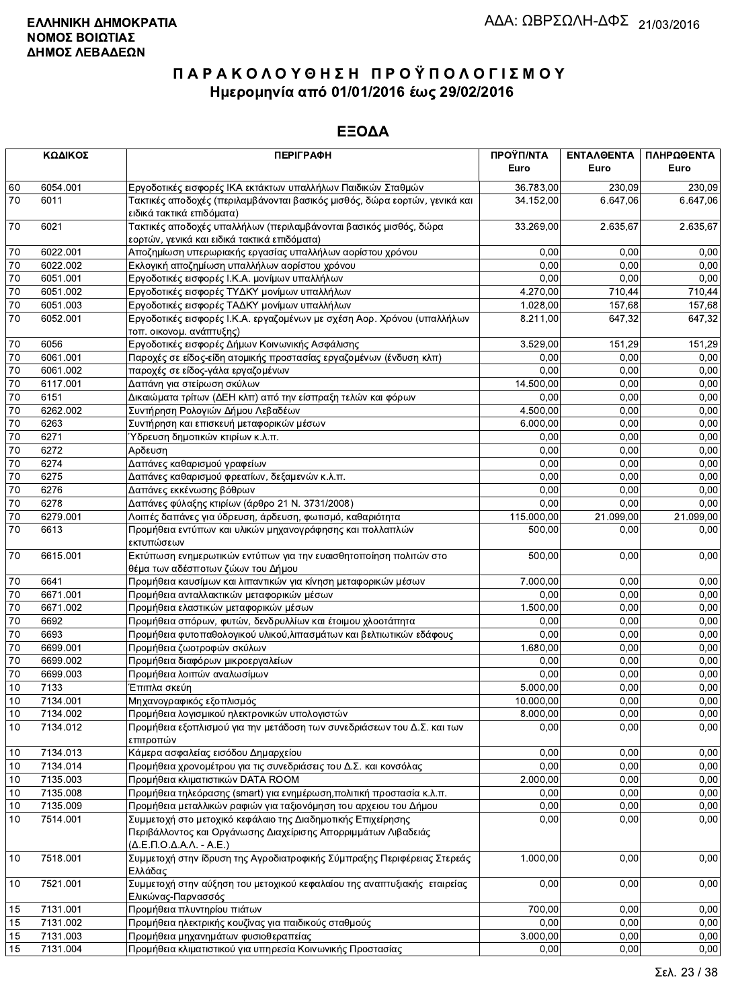|                 | ΚΩΔΙΚΟΣ  | <b>ПЕРІГРАФН</b>                                                                                                                                                                     | ΠΡΟΫΠ/ΝΤΑ  | ΕΝΤΑΛΘΕΝΤΑ | ΠΛΗΡΩΘΕΝΤΑ |
|-----------------|----------|--------------------------------------------------------------------------------------------------------------------------------------------------------------------------------------|------------|------------|------------|
|                 |          |                                                                                                                                                                                      | Euro       | Euro       | Euro       |
| 60              | 6054.001 | Εργοδοτικές εισφορές ΙΚΑ εκτάκτων υπαλλήλων Παιδικών Σταθμών                                                                                                                         | 36.783,00  | 230,09     | 230,09     |
| 70              | 6011     | Τακτικές αποδοχές (περιλαμβάνονται βασικός μισθός, δώρα εορτών, γενικά και<br>ειδικά τακτικά επιδόματα)                                                                              | 34.152,00  | 6.647,06   | 6.647,06   |
| 70              | 6021     | Τακτικές αποδοχές υπαλλήλων (περιλαμβάνονται βασικός μισθός, δώρα<br>εορτών, γενικά και ειδικά τακτικά επιδόματα)                                                                    | 33.269,00  | 2.635,67   | 2.635,67   |
| 70              | 6022.001 | Αποζημίωση υπερωριακής εργασίας υπαλλήλων αορίστου χρόνου                                                                                                                            | 0,00       | 0.00       | 0,00       |
| 70              | 6022.002 | Εκλογική αποζημίωση υπαλλήλων αορίστου χρόνου                                                                                                                                        | 0,00       | 0,00       | 0,00       |
| 70              | 6051.001 | Εργοδοτικές εισφορές Ι.Κ.Α. μονίμων υπαλλήλων                                                                                                                                        | 0,00       | 0,00       | 0,00       |
| 70              | 6051.002 | Εργοδοτικές εισφορές ΤΥΔΚΥ μονίμων υπαλλήλων                                                                                                                                         | 4.270,00   | 710,44     | 710,44     |
| 70              | 6051.003 | Εργοδοτικές εισφορές ΤΑΔΚΥ μονίμων υπαλλήλων                                                                                                                                         | 1.028,00   | 157,68     | 157,68     |
| 70              | 6052.001 | Εργοδοτικές εισφορές Ι.Κ.Α. εργαζομένων με σχέση Αορ. Χρόνου (υπαλλήλων<br>τοπ. οικονομ. ανάπτυξης)                                                                                  | 8.211,00   | 647,32     | 647,32     |
| 70              | 6056     | Εργοδοτικές εισφορές Δήμων Κοινωνικής Ασφάλισης                                                                                                                                      | 3.529,00   | 151,29     | 151,29     |
| 70              | 6061.001 | Παροχές σε είδος-είδη ατομικής προστασίας εργαζομένων (ένδυση κλπ)                                                                                                                   | 0,00       | 0,00       | 0,00       |
| $\overline{70}$ | 6061.002 | παροχές σε είδος-γάλα εργαζομένων                                                                                                                                                    | 0,00       | 0,00       | 0,00       |
| 70              | 6117.001 | Δαπάνη για στείρωση σκύλων                                                                                                                                                           | 14.500,00  | 0,00       | 0,00       |
| 70              | 6151     | Δικαιώματα τρίτων (ΔΕΗ κλπ) από την είσπραξη τελών και φόρων                                                                                                                         | 0,00       | 0,00       | 0,00       |
| $\overline{70}$ | 6262.002 | Συντήρηση Ρολογιών Δήμου Λεβαδέων                                                                                                                                                    | 4.500,00   | 0,00       | 0,00       |
| $\overline{70}$ | 6263     | Συντήρηση και επισκευή μεταφορικών μέσων                                                                                                                                             | 6.000,00   | 0,00       | 0,00       |
| 70              | 6271     | Ύδρευση δημοτικών κτιρίων κ.λ.π.                                                                                                                                                     | 0,00       | 0,00       | 0,00       |
| $\overline{70}$ | 6272     | Αρδευση                                                                                                                                                                              | 0,00       | 0,00       | 0,00       |
| $\overline{70}$ | 6274     | Δαπάνες καθαρισμού γραφείων                                                                                                                                                          | 0,00       | 0,00       | 0,00       |
| 70              | 6275     | Δαπάνες καθαρισμού φρεατίων, δεξαμενών κ.λ.π.                                                                                                                                        | 0,00       | 0,00       | 0,00       |
| 70              | 6276     | Δαπάνες εκκένωσης βόθρων                                                                                                                                                             | 0,00       | 0,00       | 0,00       |
| $70\,$          | 6278     | Δαπάνες φύλαξης κτιρίων (άρθρο 21 Ν. 3731/2008)                                                                                                                                      | 0.00       | 0,00       | 0,00       |
| $\overline{70}$ | 6279.001 | Λοιπές δαπάνες για ύδρευση, άρδευση, φωτισμό, καθαριότητα                                                                                                                            | 115.000,00 | 21.099,00  | 21.099,00  |
| 70              | 6613     | Προμήθεια εντύπων και υλικών μηχανογράφησης και πολλαπλών<br>εκτυπώσεων                                                                                                              | 500,00     | 0,00       | 0,00       |
| 70              | 6615.001 | Εκτύπωση ενημερωτικών εντύπων για την ευαισθητοποίηση πολιτών στο<br>θέμα των αδέσποτων ζώων του Δήμου                                                                               | 500,00     | 0,00       | 0,00       |
| 70              | 6641     | Προμήθεια καυσίμων και λιπαντικών για κίνηση μεταφορικών μέσων                                                                                                                       | 7.000,00   | 0,00       | 0,00       |
| 70              | 6671.001 | Προμήθεια ανταλλακτικών μεταφορικών μέσων                                                                                                                                            | 0,00       | 0,00       | 0,00       |
| 70              | 6671.002 | Προμήθεια ελαστικών μεταφορικών μέσων                                                                                                                                                | 1.500,00   | 0,00       | 0,00       |
| $70\,$          | 6692     | Προμήθεια σπόρων, φυτών, δενδρυλλίων και έτοιμου χλοοτάπητα                                                                                                                          | 0,00       | 0,00       | 0,00       |
| $\overline{70}$ | 6693     | Προμήθεια φυτοπαθολογικού υλικού, λιπασμάτων και βελτιωτικών εδάφους                                                                                                                 | 0.00       | 0,00       | 0,00       |
| 70              | 6699.001 | Προμήθεια ζωοτροφών σκύλων                                                                                                                                                           | 1.680,00   | 0,00       | 0,00       |
| $\overline{70}$ | 6699.002 | Προμήθεια διαφόρων μικροεργαλείων                                                                                                                                                    | 0,00       | 0,00       | 0,00       |
| $\overline{70}$ | 6699.003 | Προμήθεια λοιπών αναλωσίμων                                                                                                                                                          | 0,00       | 0,00       | 0,00       |
| $10$            | 7133     | Έπιπλα σκεύη                                                                                                                                                                         | 5.000,00   | 0,00       | 0,00       |
| 10              | 7134.001 | Μηχανογραφικός εξοπλισμός                                                                                                                                                            | 10.000,00  | 0,00       | 0,00       |
| 10              | 7134.002 | Προμήθεια λογισμικού ηλεκτρονικών υπολογιστών                                                                                                                                        | 8.000,00   | 0,00       | 0,00       |
| 10              | 7134.012 | Προμήθεια εξοπλισμού για την μετάδοση των συνεδριάσεων του Δ.Σ. και των<br>επιτροπών                                                                                                 | 0,00       | 0,00       | 0,00       |
| 10              | 7134.013 | Κάμερα ασφαλείας εισόδου Δημαρχείου                                                                                                                                                  | 0,00       | 0,00       | 0,00       |
| $10$            | 7134.014 | Προμήθεια χρονομέτρου για τις συνεδριάσεις του Δ.Σ. και κονσόλας                                                                                                                     | 0,00       | 0,00       | 0,00       |
| 10              | 7135.003 | Προμήθεια κλιματιστικών DATA ROOM                                                                                                                                                    | 2.000,00   | 0,00       | 0,00       |
| 10              | 7135.008 | Προμήθεια τηλεόρασης (smart) για ενημέρωση, πολιτική προστασία κ.λ.π.                                                                                                                | 0,00       | 0,00       | 0,00       |
| 10              | 7135.009 | Προμήθεια μεταλλικών ραφιών για ταξιονόμηση του αρχειου του Δήμου                                                                                                                    | 0,00       | 0,00       | 0,00       |
| 10              | 7514.001 | Συμμετοχή στο μετοχικό κεφάλαιο της Διαδημοτικής Επιχείρησης<br>Περιβάλλοντος και Οργάνωσης Διαχείρισης Απορριμμάτων Λιβαδειάς<br>$(\Delta$ .E.N.O. $\Delta$ .A. $\Lambda$ . - A.E.) | 0,00       | 0,00       | 0,00       |
| 10              | 7518.001 | Συμμετοχή στην ίδρυση της Αγροδιατροφικής Σύμπραξης Περιφέρειας Στερεάς<br>Ελλάδας                                                                                                   | 1.000,00   | 0,00       | 0,00       |
| 10              | 7521.001 | Συμμετοχή στην αύξηση του μετοχικού κεφαλαίου της αναπτυξιακής εταιρείας<br>Ελικώνας-Παρνασσός                                                                                       | 0,00       | 0,00       | 0,00       |
| 15              | 7131.001 | Προμήθεια πλυντηρίου πιάτων                                                                                                                                                          | 700,00     | 0,00       | 0,00       |
| 15              | 7131.002 | Προμήθεια ηλεκτρικής κουζίνας για παιδικούς σταθμούς                                                                                                                                 | 0.00       | 0,00       | 0.00       |
| 15              | 7131.003 | Προμήθεια μηχανημάτων φυσιοθεραπείας                                                                                                                                                 | 3.000,00   | 0,00       | 0,00       |
| 15              | 7131.004 | Προμήθεια κλιματιστικού για υπηρεσία Κοινωνικής Προστασίας                                                                                                                           | 0,00       | 0,00       | 0,00       |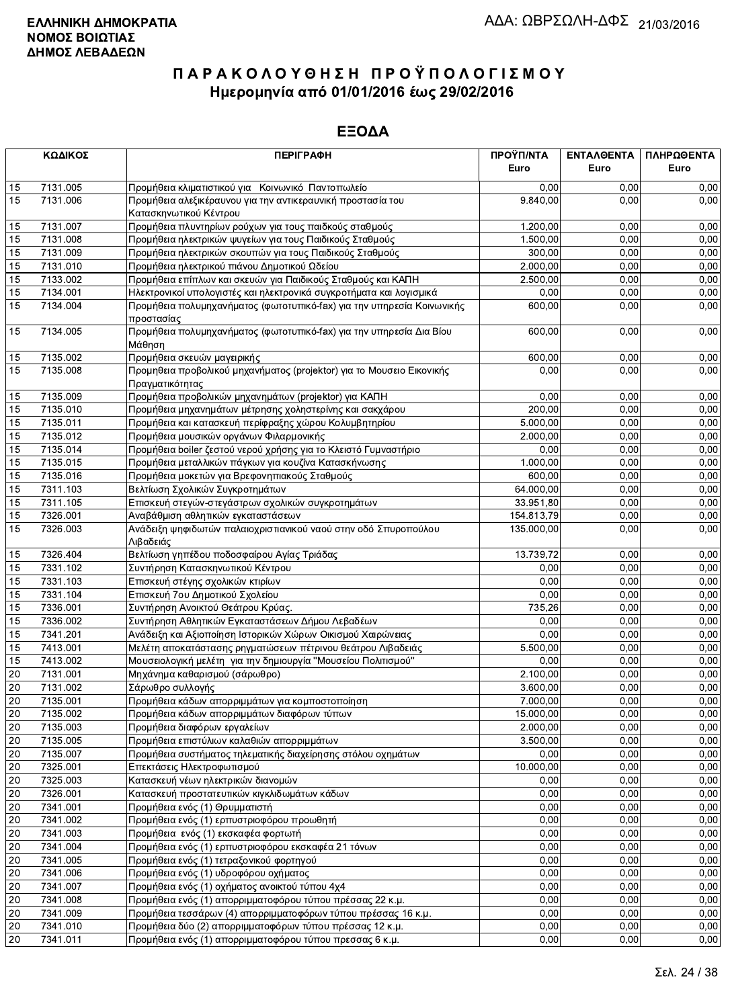|                 | ΚΩΔΙΚΟΣ  | <b>ПЕРІГРАФН</b>                                                                     | ΠΡΟΫΠ/ΝΤΑ  | ΕΝΤΑΛΘΕΝΤΑ | ΠΛΗΡΩΘΕΝΤΑ |
|-----------------|----------|--------------------------------------------------------------------------------------|------------|------------|------------|
|                 |          |                                                                                      | Euro       | Euro       | Euro       |
| 15              | 7131.005 | Προμήθεια κλιματιστικού για Κοινωνικό Παντοπωλείο                                    | 0,00       | 0,00       | 0,00       |
| 15              | 7131.006 | Προμήθεια αλεξικέραυνου για την αντικεραυνική προστασία του                          | 9.840,00   | 0,00       | 0,00       |
|                 |          | Κατασκηνωτικού Κέντρου                                                               |            |            |            |
| 15              | 7131.007 | Προμήθεια πλυντηρίων ρούχων για τους παιδκούς σταθμούς                               | 1.200,00   | 0.00       | 0,00       |
| 15              | 7131.008 | Προμήθεια ηλεκτρικών ψυγείων για τους Παιδικούς Σταθμούς                             | 1.500,00   | 0,00       | 0,00       |
| 15              | 7131.009 | Προμήθεια ηλεκτρικών σκουπών για τους Παιδικούς Σταθμούς                             | 300,00     | 0,00       | 0,00       |
| 15              | 7131.010 | Προμήθεια ηλεκτρικού πιάνου Δημοτικού Ωδείου                                         | 2.000,00   | 0,00       | 0,00       |
| 15              | 7133.002 | Προμήθεια επίπλων και σκευών για Παιδικούς Σταθμούς και ΚΑΠΗ                         | 2.500,00   | 0,00       | 0,00       |
| 15              | 7134.001 | Ηλεκτρονικοί υπολογιστές και ηλεκτρονικά συγκροτήματα και λογισμικά                  | 0,00       | 0,00       | 0,00       |
| 15              | 7134.004 | Προμήθεια πολυμηχανήματος (φωτοτυπικό-fax) για την υπηρεσία Κοινωνικής<br>προστασίας | 600,00     | 0,00       | 0,00       |
| 15              | 7134.005 | Προμήθεια πολυμηχανήματος (φωτοτυπικό-fax) για την υπηρεσία Δια Βίου<br>Μάθηση       | 600,00     | 0,00       | 0,00       |
| 15              | 7135.002 | Προμήθεια σκευών μαγειρικής                                                          | 600,00     | 0,00       | 0,00       |
| 15              | 7135.008 | Προμηθεια προβολικού μηχανήματος (projektor) για το Μουσειο Εικονικής                | 0,00       | 0,00       | 0,00       |
|                 |          | Πραγματικότητας                                                                      |            |            |            |
| 15              | 7135.009 | Προμήθεια προβολικών μηχανημάτων (projektor) για ΚΑΠΗ                                | 0,00       | 0,00       | 0,00       |
| 15              | 7135.010 | Προμήθεια μηχανημάτων μέτρησης χοληστερίνης και σακχάρου                             | 200,00     | 0,00       | 0,00       |
| 15              | 7135.011 | Προμήθεια και κατασκευή περίφραξης χώρου Κολυμβητηρίου                               | 5.000,00   | 0,00       | 0,00       |
| 15              | 7135.012 | Προμήθεια μουσικών οργάνων Φιλαρμονικής                                              | 2.000,00   | 0,00       | 0,00       |
| 15              | 7135.014 | Προμήθεια boiler ζεστού νερού χρήσης για το Κλειστό Γυμναστήριο                      | 0,00       | 0,00       | 0,00       |
| 15              | 7135.015 | Προμήθεια μεταλλικών πάγκων για κουζίνα Κατασκήνωσης                                 | 1.000,00   | 0,00       | 0,00       |
| 15              | 7135.016 | Προμήθεια μοκετών για Βρεφονηπιακούς Σταθμούς                                        | 600,00     | 0,00       | 0,00       |
| 15              | 7311.103 | Βελτίωση Σχολικών Συγκροτημάτων                                                      | 64.000,00  | 0,00       | 0,00       |
| 15              | 7311.105 | Επισκευή στεγών-στεγάστρων σχολικών συγκροτημάτων                                    | 33.951,80  | 0,00       | 0,00       |
| 15              | 7326.001 | Αναβάθμιση αθλητικών εγκαταστάσεων                                                   | 154.813,79 | 0,00       | 0,00       |
| 15              | 7326.003 | Ανάδειξη ψηφιδωτών παλαιοχριστιανικού ναού στην οδό Σπυροπούλου<br>Λιβαδειάς         | 135.000,00 | 0,00       | 0,00       |
| 15              | 7326.404 | Βελτίωση γηπέδου ποδοσφαίρου Αγίας Τριάδας                                           | 13.739,72  | 0,00       | 0,00       |
| 15              | 7331.102 | Συντήρηση Κατασκηνωτικού Κέντρου                                                     | 0,00       | 0,00       | 0,00       |
| 15              | 7331.103 | Επισκευή στέγης σχολικών κτιρίων                                                     | 0,00       | 0,00       | 0,00       |
| 15              | 7331.104 | Επισκευή 7ου Δημοτικού Σχολείου                                                      | 0.00       | 0,00       | 0,00       |
| 15              | 7336.001 | Συντήρηση Ανοικτού Θεάτρου Κρύας.                                                    | 735,26     | 0,00       | 0,00       |
| 15              | 7336.002 | Συντήρηση Αθλητικών Εγκαταστάσεων Δήμου Λεβαδέων                                     | 0.00       | 0,00       | 0,00       |
| 15              | 7341.201 | Ανάδειξη και Αξιοποίηση Ιστορικών Χώρων Οικισμού Χαιρώνειας                          | 0,00       | 0,00       | 0,00       |
| 15              | 7413.001 | Μελέτη αποκατάστασης ρηγματώσεων πέτρινου θεάτρου Λιβαδειάς                          | 5.500,00   | 0,00       | 0,00       |
| 15              | 7413.002 | Μουσειολογική μελέτη για την δημιουργία "Μουσείου Πολιτισμού"                        | 0,00       | 0,00       | 0,00       |
| 20              | 7131.001 | Μηχάνημα καθαρισμού (σάρωθρο)                                                        | 2.100,00   | 0,00       | 0,00       |
| 20              | 7131.002 | Σάρωθρο συλλογής                                                                     | 3.600,00   | 0,00       | 0,00       |
| 20              | 7135.001 | Προμήθεια κάδων απορριμμάτων για κομποστοποίηση                                      | 7.000,00   | 0,00       | 0,00       |
| 20              | 7135.002 | Προμήθεια κάδων απορριμμάτων διαφόρων τύπων                                          | 15.000.00  | 0,00       | 0,00       |
| $20\,$          | 7135.003 | Προμήθεια διαφόρων εργαλείων                                                         | 2.000,00   | 0,00       | 0,00       |
| 20              | 7135.005 | Προμήθεια επιστύλιων καλαθιών απορριμμάτων                                           | 3.500,00   | 0,00       | 0,00       |
| 20              | 7135.007 | Προμήθεια συστήματος τηλεματικής διαχείρησης στόλου οχημάτων                         | 0,00       | 0,00       | 0,00       |
| $20\,$          | 7325.001 | Επεκτάσεις Ηλεκτροφωτισμού                                                           | 10.000,00  | 0,00       | 0,00       |
| $20\,$          | 7325.003 | Κατασκευή νέων ηλεκτρικών διανομών                                                   | 0,00       | 0,00       | 0,00       |
| $20\,$          | 7326.001 | Κατασκευή προστατευτικών κιγκλιδωμάτων κάδων                                         | 0,00       | 0,00       | 0,00       |
| 20              | 7341.001 | Προμήθεια ενός (1) Θρυμματιστή                                                       | 0,00       | 0,00       | 0,00       |
| 20              | 7341.002 | Προμήθεια ενός (1) ερπυστριοφόρου προωθητή                                           | 0,00       | 0,00       | 0,00       |
| $20\,$          | 7341.003 | Προμήθεια ενός (1) εκσκαφέα φορτωτή                                                  | 0,00       | 0,00       | 0,00       |
| $20\,$          | 7341.004 | Προμήθεια ενός (1) ερπυστριοφόρου εκσκαφέα 21 τόνων                                  | 0,00       | 0,00       | 0,00       |
| 20              | 7341.005 | Προμήθεια ενός (1) τετραξονικού φορτηγού                                             | 0,00       | 0,00       | 0,00       |
| 20              | 7341.006 | Προμήθεια ενός (1) υδροφόρου οχήματος                                                | 0,00       | 0,00       | 0,00       |
| 20              | 7341.007 | Προμήθεια ενός (1) οχήματος ανοικτού τύπου 4χ4                                       | 0,00       | 0,00       | 0,00       |
| $20\,$          | 7341.008 | Προμήθεια ενός (1) απορριμματοφόρου τύπου πρέσσας 22 κ.μ.                            | 0,00       | 0,00       | 0,00       |
| $20\,$          | 7341.009 | Προμήθεια τεσσάρων (4) απορριμματοφόρων τύπου πρέσσας 16 κ.μ.                        | 0,00       | 0,00       | 0,00       |
| 20              | 7341.010 | Προμήθεια δύο (2) απορριμματοφόρων τύπου πρέσσας 12 κ.μ.                             | 0,00       | 0,00       | 0,00       |
| $\overline{20}$ | 7341.011 | Προμήθεια ενός (1) απορριμματοφόρου τύπου πρεσσας 6 κ.μ.                             | 0,00       | 0,00       | 0,00       |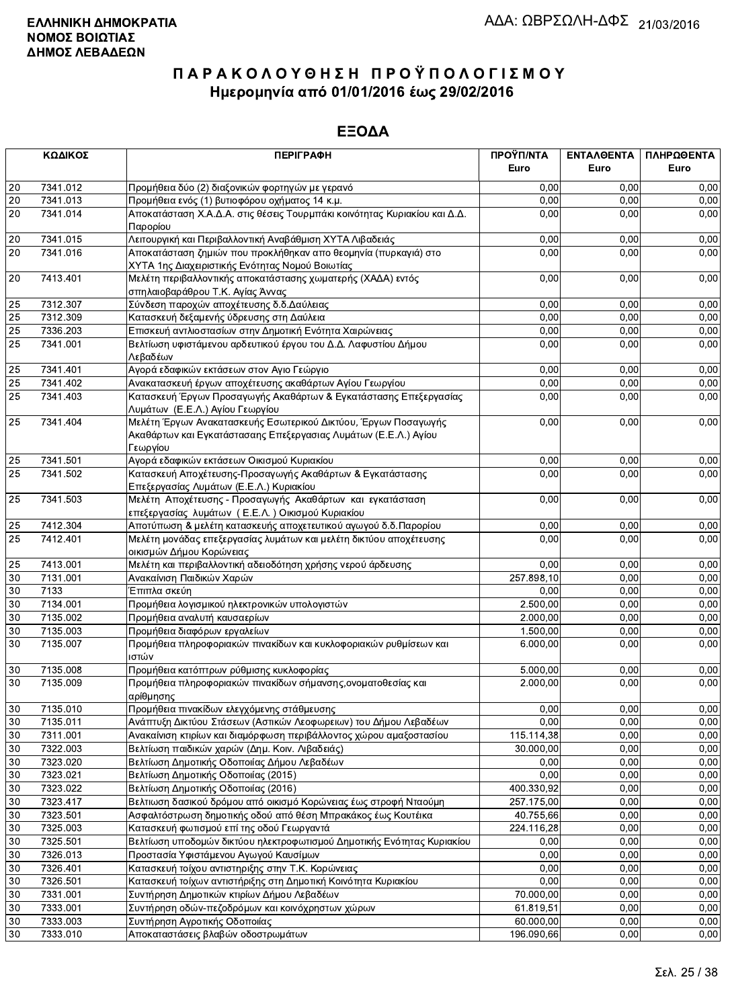|        | ΚΩΔΙΚΟΣ                                                                                                                   | <b>ПЕРІГРАФН</b>                                                                                                                              | ΠΡΟΫΠ/ΝΤΑ<br>Euro | ΕΝΤΑΛΘΕΝΤΑ<br>Euro | ΠΛΗΡΩΘΕΝΤΑ<br>Euro |
|--------|---------------------------------------------------------------------------------------------------------------------------|-----------------------------------------------------------------------------------------------------------------------------------------------|-------------------|--------------------|--------------------|
|        |                                                                                                                           |                                                                                                                                               |                   |                    |                    |
| 20     | 7341.012                                                                                                                  | Προμήθεια δύο (2) διαξονικών φορτηγών με γερανό                                                                                               | 0,00              | 0.00               | 0,00               |
| 20     | 7341.013                                                                                                                  | Προμήθεια ενός (1) βυτιοφόρου οχήματος 14 κ.μ.                                                                                                | 0,00              | 0.00               | 0,00               |
| 20     | 7341.014                                                                                                                  | Αποκατάσταση Χ.Α.Δ.Α. στις θέσεις Τουρμπάκι κοινότητας Κυριακίου και Δ.Δ.<br>Παρορίου                                                         | 0,00              | 0,00               | 0,00               |
| $20\,$ | 7341.015                                                                                                                  | Λειτουργική και Περιβαλλοντική Αναβάθμιση ΧΥΤΑ Λιβαδειάς                                                                                      | 0,00              | 0,00               | 0,00               |
| 20     | 7341.016                                                                                                                  | Αποκατάσταση ζημιών που προκλήθηκαν απο θεομηνία (πυρκαγιά) στο<br>ΧΥΤΑ 1ης Διαχειριστικής Ενότητας Νομού Βοιωτίας                            | 0,00              | 0,00               | 0,00               |
| 20     | 7413.401                                                                                                                  | Μελέτη περιβαλλοντικής αποκατάστασης χωματερής (ΧΑΔΑ) εντός<br>σπηλαιοβαράθρου Τ.Κ. Αγίας Άννας                                               | 0,00              | 0,00               | 0,00               |
| 25     | 7312.307                                                                                                                  | Σύνδεση παροχών αποχέτευσης δ.δ. Δαύλειας                                                                                                     | 0,00              | 0,00               | 0,00               |
| 25     | 7312.309                                                                                                                  | Κατασκευή δεξαμενής ύδρευσης στη Δαύλεια                                                                                                      | 0,00              | 0,00               | 0,00               |
| 25     | 7336.203                                                                                                                  | Επισκευή αντλιοστασίων στην Δημοτική Ενότητα Χαιρώνειας                                                                                       | 0,00              | 0,00               | 0,00               |
| 25     | 7341.001                                                                                                                  | Βελτίωση υφιστάμενου αρδευτικού έργου του Δ.Δ. Λαφυστίου Δήμου<br>Λεβαδέων                                                                    | 0,00              | 0,00               | 0,00               |
| 25     | 7341.401                                                                                                                  | Αγορά εδαφικών εκτάσεων στον Αγιο Γεώργιο                                                                                                     | 0,00              | 0.00               | 0,00               |
| 25     | 7341.402                                                                                                                  | Ανακατασκευή έργων αποχέτευσης ακαθάρτων Αγίου Γεωργίου                                                                                       | 0,00              | 0,00               | 0,00               |
| 25     | 7341.403                                                                                                                  | Κατασκευή Έργων Προσαγωγής Ακαθάρτων & Εγκατάστασης Επεξεργασίας<br>Λυμάτων (Ε.Ε.Λ.) Αγίου Γεωργίου                                           | 0,00              | 0,00               | 0,00               |
| 25     | 7341.404                                                                                                                  | Μελέτη Έργων Ανακατασκευής Εσωτερικού Δικτύου, Έργων Ποσαγωγής<br>Ακαθάρτων και Εγκατάστασαης Επεξεργασιας Λυμάτων (Ε.Ε.Λ.) Αγίου<br>Γεωργίου | 0,00              | 0,00               | 0,00               |
| 25     | 7341.501                                                                                                                  | Αγορά εδαφικών εκτάσεων Οικισμού Κυριακίου                                                                                                    | 0,00              | 0,00               | 0,00               |
| 25     | 7341.502                                                                                                                  | Κατασκευή Αποχέτευσης-Προσαγωγής Ακαθάρτων & Εγκατάστασης<br>Επεξεργασίας Λυμάτων (Ε.Ε.Λ.) Κυριακίου                                          | 0,00              | 0,00               | 0,00               |
| 25     | 7341.503<br>Μελέτη Αποχέτευσης - Προσαγωγής Ακαθάρτων και εγκατάσταση<br>επεξεργασίας λυμάτων (Ε.Ε.Λ.) Οικισμού Κυριακίου |                                                                                                                                               | 0,00              | 0,00               | 0,00               |
| 25     | 7412.304                                                                                                                  | Αποτύπωση & μελέτη κατασκευής αποχετευτικού αγωγού δ.δ. Παρορίου                                                                              | 0,00              | 0,00               | 0,00               |
| 25     | 7412.401                                                                                                                  | Μελέτη μονάδας επεξεργασίας λυμάτων και μελέτη δικτύου αποχέτευσης<br>οικισμών Δήμου Κορώνειας                                                | 0,00              | 0,00               | 0,00               |
| 25     | 7413.001                                                                                                                  | Μελέτη και περιβαλλοντική αδειοδότηση χρήσης νερού άρδευσης                                                                                   | 0,00              | 0,00               | 0,00               |
| 30     | 7131.001                                                                                                                  | Ανακαίνιση Παιδικών Χαρών                                                                                                                     | 257.898,10        | 0,00               | 0.00               |
| 30     | 7133                                                                                                                      | Έπιπλα σκεύη                                                                                                                                  | 0,00              | 0,00               | 0,00               |
| 30     | 7134.001                                                                                                                  | Προμήθεια λογισμικού ηλεκτρονικών υπολογιστών                                                                                                 | 2.500,00          | 0,00               | 0,00               |
| 30     | 7135.002                                                                                                                  | Προμήθεια αναλυτή καυσαερίων                                                                                                                  | 2.000,00          | 0,00               | 0,00               |
| 30     | 7135.003                                                                                                                  | Προμήθεια διαφόρων εργαλείων                                                                                                                  | 1.500,00          | 0,00               | 0,00               |
| 30     | 7135.007                                                                                                                  | Προμήθεια πληροφοριακών πινακίδων και κυκλοφοριακών ρυθμίσεων και<br>ιστών                                                                    | 6.000,00          | 0,00               | 0,00               |
| 30     | 7135.008                                                                                                                  | Προμήθεια κατόπτρων ρύθμισης κυκλοφορίας                                                                                                      | 5.000,00          | 0,00               | 0,00               |
| 30     | 7135.009                                                                                                                  | Προμήθεια πληροφοριακών πινακίδων σήμανσης, ονοματοθεσίας και<br>αρίθμησης                                                                    | 2.000,00          | 0,00               | 0,00               |
| 30     | 7135.010                                                                                                                  | Προμήθεια πινακίδων ελεγχόμενης στάθμευσης                                                                                                    | 0,00              | 0,00               | 0,00               |
| 30     | 7135.011                                                                                                                  | Ανάπτυξη Δικτύου Στάσεων (Αστικών Λεοφωρειων) του Δήμου Λεβαδέων                                                                              | 0.00              | 0,00               | 0,00               |
| 30     | 7311.001                                                                                                                  | Ανακαίνιση κτιρίων και διαμόρφωση περιβάλλοντος χώρου αμαξοστασίου                                                                            | 115.114,38        | 0,00               | 0,00               |
| 30     | 7322.003                                                                                                                  | Βελτίωση παιδικών χαρών (Δημ. Κοιν. Λιβαδειάς)                                                                                                | 30.000,00         | 0,00               | 0,00               |
| 30     | 7323.020                                                                                                                  | Βελτίωση Δημοτικής Οδοποιίας Δήμου Λεβαδέων                                                                                                   | 0,00              | 0,00               | 0,00               |
| 30     | 7323.021                                                                                                                  | Βελτίωση Δημοτικής Οδοποιίας (2015)                                                                                                           | 0,00              | 0,00               | 0,00               |
| 30     | 7323.022                                                                                                                  | Βελτίωση Δημοτικής Οδοποιίας (2016)                                                                                                           | 400.330,92        | 0,00               | 0,00               |
| 30     | 7323.417                                                                                                                  | Βελτιωση δασικού δρόμου από οικισμό Κορώνειας έως στροφή Νταούμη                                                                              | 257.175,00        | 0,00               | 0,00               |
| 30     | 7323.501                                                                                                                  | Ασφαλτόστρωση δημοτικής οδού από θέση Μπρακάκος έως Κουτέικα                                                                                  | 40.755,66         | 0,00               | 0,00               |
| 30     | 7325.003                                                                                                                  | Κατασκευή φωτισμού επί της οδού Γεωργαντά                                                                                                     | 224.116,28        | 0,00               | 0,00               |
| 30     | 7325.501                                                                                                                  | Βελτίωση υποδομών δικτύου ηλεκτροφωτισμού Δημοτικής Ενότητας Κυριακίου                                                                        | 0,00              | 0,00               | 0,00               |
| 30     | 7326.013                                                                                                                  | Προστασία Υφιστάμενου Αγωγού Καυσίμων                                                                                                         | 0,00              | 0,00               | 0,00               |
| 30     | 7326.401                                                                                                                  | Κατασκευή τοίχου αντιστηριξης στην Τ.Κ. Κορώνειας                                                                                             | 0,00              | 0,00               | 0,00               |
| 30     | 7326.501                                                                                                                  | Κατασκευή τοίχων αντιστήριξης στη Δημοτική Κοινότητα Κυριακίου                                                                                | 0,00              | 0,00               | 0,00               |
| 30     | 7331.001                                                                                                                  | Συντήρηση Δημοτικών κτιρίων Δήμου Λεβαδέων                                                                                                    | 70.000,00         | 0,00               | 0,00               |
| 30     | 7333.001                                                                                                                  | Συντήρηση οδών-πεζοδρόμων και κοινόχρηστων χώρων                                                                                              | 61.819,51         | 0,00               | 0,00               |
| 30     | 7333.003                                                                                                                  | Συντήρηση Αγροτικής Οδοποιίας                                                                                                                 | 60.000,00         | 0,00               | 0,00               |
| 30     | 7333.010                                                                                                                  | Αποκαταστάσεις βλαβών οδοστρωμάτων                                                                                                            | 196.090,66        | 0,00               | 0,00               |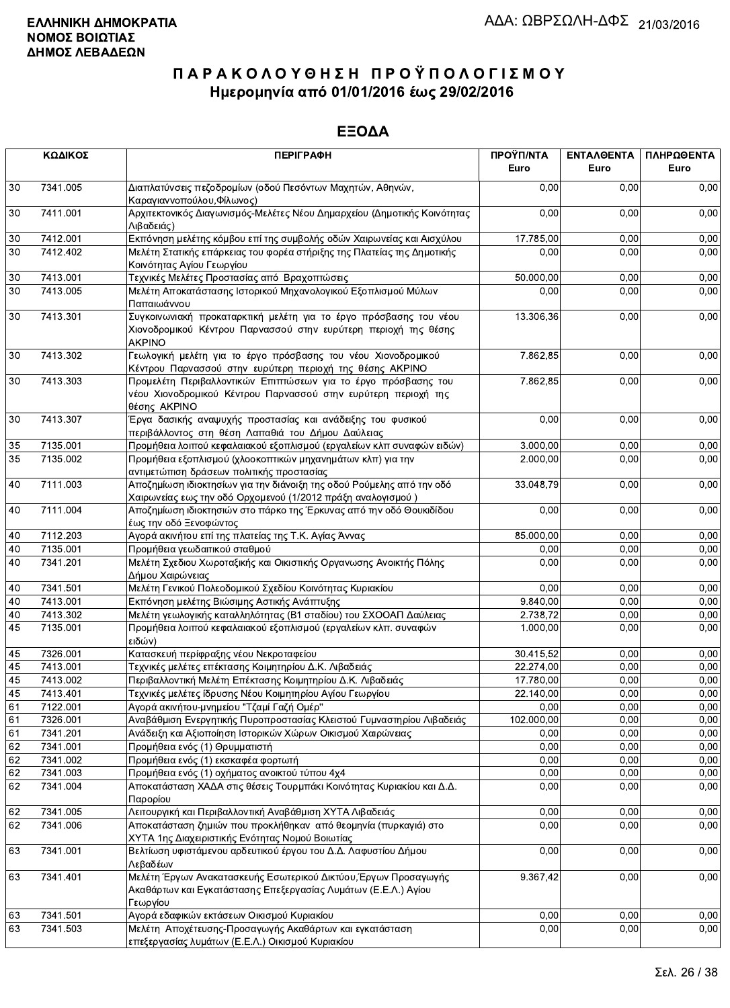|          | ΚΩΔΙΚΟΣ              | <b>ПЕРІГРАФН</b>                                                                                                                                      | ΠΡΟΫΠ/ΝΤΑ<br>Euro      | ΕΝΤΑΛΘΕΝΤΑ<br>Euro | ΠΛΗΡΩΘΕΝΤΑ<br>Euro |
|----------|----------------------|-------------------------------------------------------------------------------------------------------------------------------------------------------|------------------------|--------------------|--------------------|
| 30       | 7341.005             | Διαπλατύνσεις πεζοδρομίων (οδού Πεσόντων Μαχητών, Αθηνών,<br>Καραγιαννοπούλου, Φίλωνος)                                                               | 0.00                   | 0.00               | 0,00               |
| 30       | 7411.001             | Αρχιτεκτονικός Διαγωνισμός-Μελέτες Νέου Δημαρχείου (Δημοτικής Κοινότητας<br>Λιβαδειάς)                                                                | 0,00                   | 0,00               | 0,00               |
| 30       | 7412.001             | Εκπόνηση μελέτης κόμβου επί της συμβολής οδών Χαιρωνείας και Αισχύλου                                                                                 | 17.785,00              | 0,00               | 0,00               |
| 30       | 7412.402             | Μελέτη Στατικής επάρκειας του φορέα στήριξης της Πλατείας της Δημοτικής<br>Κοινότητας Αγίου Γεωργίου                                                  | 0,00                   | 0,00               | 0,00               |
| $30\,$   | 7413.001             | Τεχνικές Μελέτες Προστασίας από Βραχοπτώσεις                                                                                                          | 50.000,00              | 0,00               | 0,00               |
| 30       | 7413.005             | Μελέτη Αποκατάστασης Ιστορικού Μηχανολογικού Εξοπλισμού Μύλων<br>Παπαιωάννου                                                                          | 0,00                   | 0,00               | 0,00               |
| 30       | 7413.301             | Συγκοινωνιακή προκαταρκτική μελέτη για το έργο πρόσβασης του νέου<br>Χιονοδρομικού Κέντρου Παρνασσού στην ευρύτερη περιοχή της θέσης<br><b>AKPINO</b> | 13.306,36              | 0,00               | 0,00               |
| 30       | 7413.302             | Γεωλογική μελέτη για το έργο πρόσβασης του νέου Χιονοδρομικού<br>Κέντρου Παρνασσού στην ευρύτερη περιοχή της θέσης ΑΚΡΙΝΟ                             | 7.862,85               | 0,00               | 0,00               |
| 30       | 7413.303             | Προμελέτη Περιβαλλοντικών Επιπτώσεων για το έργο πρόσβασης του<br>νέου Χιονοδρομικού Κέντρου Παρνασσού στην ευρύτερη περιοχή της<br>θέσης AKPINO      | 7.862,85               | 0,00               | 0,00               |
| 30       | 7413.307             | Έργα δασικής αναψυχής προστασίας και ανάδειξης του φυσικού<br>περιβάλλοντος στη θέση Λαπαθιά του Δήμου Δαύλειας                                       | 0,00                   | 0,00               | 0,00               |
| 35       | 7135.001             | Προμήθεια λοιπού κεφαλαιακού εξοπλισμού (εργαλείων κλπ συναφών ειδών)                                                                                 | 3.000,00               | 0,00               | 0,00               |
| 35       | 7135.002             | Προμήθεια εξοπλισμού (χλοοκοπτικών μηχανημάτων κλπ) για την<br>αντιμετώπιση δράσεων πολιτικής προστασίας                                              | 2.000,00               | 0,00               | 0,00               |
| 40       | 7111.003             | Αποζημίωση ιδιοκτησίων για την διάνοιξη της οδού Ρούμελης από την οδό<br>Χαιρωνείας εως την οδό Ορχομενού (1/2012 πράξη αναλογισμού )                 | 33.048,79              | 0,00               | 0,00               |
| 40       | 7111.004             | Αποζημίωση ιδιοκτησιών στο πάρκο της Έρκυνας από την οδό Θουκιδίδου<br>έως την οδό Ξενοφώντος                                                         | 0.00                   | 0,00               | 0,00               |
| 40       | 7112.203             | Αγορά ακινήτου επί της πλατείας της Τ.Κ. Αγίας Άννας                                                                                                  | 85.000,00              | 0,00               | 0,00               |
| 40       | 7135.001             | Προμήθεια γεωδαιτικού σταθμού                                                                                                                         | 0.00                   | 0,00               | 0,00               |
| 40       | 7341.201             | Μελέτη Σχεδιου Χωροταξικής και Οικιστικής Οργανωσης Ανοικτής Πόλης<br>Δήμου Χαιρώνειας                                                                | 0,00                   | 0,00               | 0,00               |
| 40       | 7341.501             | Μελέτη Γενικού Πολεοδομικού Σχεδίου Κοινότητας Κυριακίου                                                                                              | 0,00                   | 0,00               | 0,00               |
| 40       | 7413.001             | Εκπόνηση μελέτης Βιώσιμης Αστικής Ανάπτυξης                                                                                                           | 9.840,00               | 0,00               | 0,00               |
| 40       | 7413.302             | Μελέτη γεωλογικής καταλληλότητας (Β1 σταδίου) του ΣΧΟΟΑΠ Δαύλειας                                                                                     | 2.738,72               | 0,00               | 0,00               |
| 45       | 7135.001             | Προμήθεια λοιπού κεφαλαιακού εξοπλισμού (εργαλείων κλπ. συναφών<br>ειδών)                                                                             | 1.000,00               | 0,00               | 0,00               |
| 45       | 7326.001             | Κατασκευή περίφραξης νέου Νεκροταφείου                                                                                                                | 30.415,52              | 0,00               | 0,00               |
| 45       | 7413.001             | Τεχνικές μελέτες επέκτασης Κοιμητηρίου Δ.Κ. Λιβαδειάς                                                                                                 | 22.274,00              | 0,00               | 0,00               |
| 45<br>45 | 7413.002<br>7413.401 | Περιβαλλοντική Μελέτη Επέκτασης Κοιμητηρίου Δ.Κ. Λιβαδειάς                                                                                            | 17.780,00<br>22.140.00 | 0,00               | 0,00               |
| 61       | 7122.001             | Τεχνικές μελέτες ίδρυσης Νέου Κοιμητηρίου Αγίου Γεωργίου<br>Αγορά ακινήτου-μνημείου "Τζαμί Γαζή Ομέρ"                                                 | 0,00                   | 0,00<br>0,00       | 0,00<br>0,00       |
| 61       | 7326.001             | Αναβάθμιση Ενεργητικής Πυροπροστασίας Κλειστού Γυμναστηρίου Λιβαδειάς                                                                                 | 102.000,00             | 0,00               | 0,00               |
| 61       | 7341.201             | Ανάδειξη και Αξιοποίηση Ιστορικών Χώρων Οικισμού Χαιρώνειας                                                                                           | 0,00                   | 0,00               | 0,00               |
| 62       | 7341.001             | Προμήθεια ενός (1) Θρυμματιστή                                                                                                                        | 0,00                   | 0,00               | 0,00               |
| 62       | 7341.002             | Προμήθεια ενός (1) εκσκαφέα φορτωτή                                                                                                                   | 0,00                   | 0,00               | 0,00               |
| 62       | 7341.003             | Προμήθεια ενός (1) οχήματος ανοικτού τύπου 4χ4                                                                                                        | 0,00                   | 0,00               | 0,00               |
| 62       | 7341.004             | Αποκατάσταση ΧΑΔΑ στις θέσεις Τουρμπάκι Κοινότητας Κυριακίου και Δ.Δ.<br>Παρορίου                                                                     | 0,00                   | 0,00               | 0,00               |
| 62       | 7341.005             | Λειτουργική και Περιβαλλοντική Αναβάθμιση ΧΥΤΑ Λιβαδειάς                                                                                              | 0,00                   | 0,00               | 0,00               |
| 62       | 7341.006             | Αποκατάσταση ζημιών που προκλήθηκαν από θεομηνία (πυρκαγιά) στο<br>ΧΥΤΑ 1ης Διαχειριστικής Ενότητας Νομού Βοιωτίας                                    | 0,00                   | 0,00               | 0,00               |
| 63       | 7341.001             | Βελτίωση υφιστάμενου αρδευτικού έργου του Δ.Δ. Λαφυστίου Δήμου<br>Λεβαδέων                                                                            | 0,00                   | 0,00               | 0,00               |
| 63       | 7341.401             | Μελέτη Έργων Ανακατασκευής Εσωτερικού Δικτύου, Έργων Προσαγωγής<br>Ακαθάρτων και Εγκατάστασης Επεξεργασίας Λυμάτων (Ε.Ε.Λ.) Αγίου<br>Γεωργίου         | 9.367,42               | 0,00               | 0,00               |
| 63       | 7341.501             | Αγορά εδαφικών εκτάσεων Οικισμού Κυριακίου                                                                                                            | 0,00                   | 0,00               | 0,00               |
| 63       | 7341.503             | Μελέτη Αποχέτευσης-Προσαγωγής Ακαθάρτων και εγκατάσταση<br>επεξεργασίας λυμάτων (Ε.Ε.Λ.) Οικισμού Κυριακίου                                           | 0,00                   | 0,00               | 0,00               |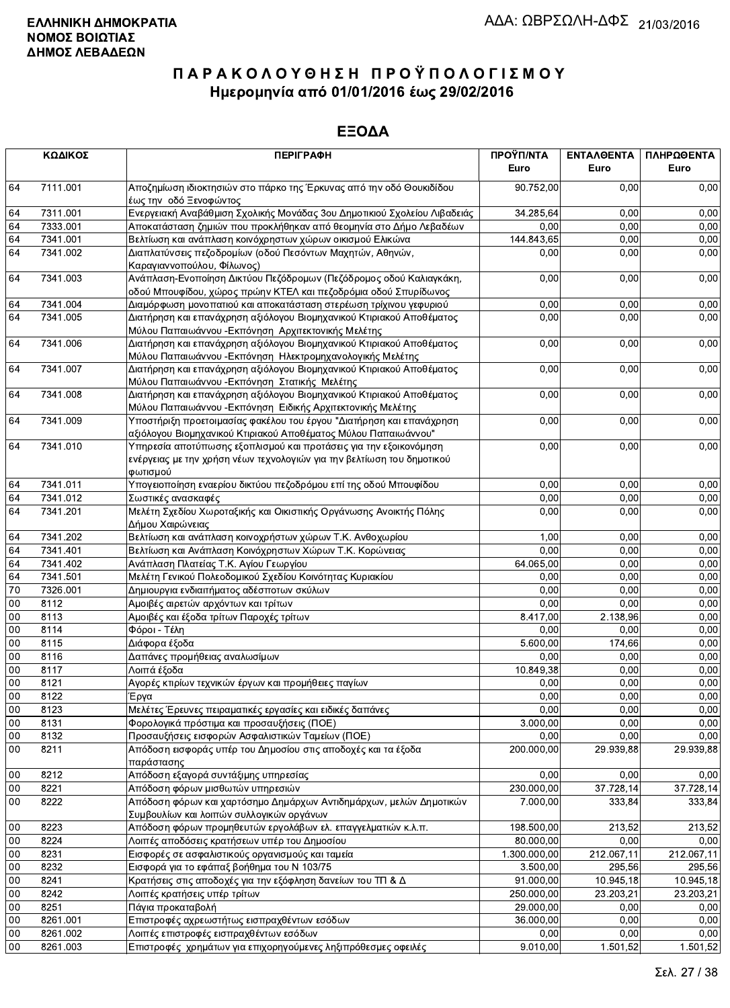|         | ΚΩΔΙΚΟΣ              | <b>ПЕРІГРАФН</b>                                                                                 | ΠΡΟΫΠ/ΝΤΑ<br>Euro | ΕΝΤΑΛΘΕΝΤΑ<br>Euro | ΠΛΗΡΩΘΕΝΤΑ<br>Euro |
|---------|----------------------|--------------------------------------------------------------------------------------------------|-------------------|--------------------|--------------------|
|         |                      |                                                                                                  |                   |                    |                    |
| 64      | 7111.001             | Αποζημίωση ιδιοκτησιών στο πάρκο της Έρκυνας από την οδό Θουκιδίδου                              | 90.752,00         | 0,00               | 0,00               |
|         |                      | έως την οδό Ξενοφώντος                                                                           |                   |                    |                    |
| 64      | 7311.001             | Ενεργειακή Αναβάθμιση Σχολικής Μονάδας 3ου Δημοτικιού Σχολείου Λιβαδειάς                         | 34.285,64         | 0,00               | 0,00               |
| 64      | 7333.001<br>7341.001 | Αποκατάσταση ζημιών που προκλήθηκαν από θεομηνία στο Δήμο Λεβαδέων                               | 0,00              | 0,00               | 0,00               |
| 64      |                      | Βελτίωση και ανάπλαση κοινόχρηστων χώρων οικισμού Ελικώνα                                        | 144.843,65        | 0,00               | 0,00               |
| 64      | 7341.002             | Διαπλατύνσεις πεζοδρομίων (οδού Πεσόντων Μαχητών, Αθηνών,                                        | 0,00              | 0,00               | 0,00               |
| 64      | 7341.003             | Καραγιαννοπούλου, Φίλωνος)<br>Ανάπλαση-Ενοποίηση Δικτύου Πεζόδρομων (Πεζόδρομος οδού Καλιαγκάκη, | 0,00              | 0,00               | 0,00               |
|         |                      | οδού Μπουφίδου, χώρος πρώην ΚΤΕΛ και πεζοδρόμια οδού Σπυρίδωνος                                  |                   |                    |                    |
| 64      | 7341.004             | Διαμόρφωση μονοπατιού και αποκατάσταση στερέωση τρίχινου γεφυριού                                | 0,00              | 0,00               | 0,00               |
| 64      | 7341.005             | Διατήρηση και επανάχρηση αξιόλογου Βιομηχανικού Κτιριακού Αποθέματος                             | 0,00              | 0,00               | 0,00               |
|         |                      | Μύλου Παπαιωάννου - Εκπόνηση Αρχιτεκτονικής Μελέτης                                              |                   |                    |                    |
| 64      | 7341.006             | Διατήρηση και επανάχρηση αξιόλογου Βιομηχανικού Κτιριακού Αποθέματος                             | 0,00              | 0,00               | 0,00               |
|         |                      | Μύλου Παπαιωάννου - Εκπόνηση Ηλεκτρομηχανολογικής Μελέτης                                        |                   |                    |                    |
| 64      | 7341.007             | Διατήρηση και επανάχρηση αξιόλογου Βιομηχανικού Κτιριακού Αποθέματος                             | 0,00              | 0,00               | 0,00               |
|         |                      | Μύλου Παπαιωάννου - Εκπόνηση Στατικής Μελέτης                                                    |                   |                    |                    |
| 64      | 7341.008             | Διατήρηση και επανάχρηση αξιόλογου Βιομηχανικού Κτιριακού Αποθέματος                             | 0,00              | 0,00               | 0,00               |
|         |                      | Μύλου Παπαιωάννου - Εκπόνηση Ειδικής Αρχιτεκτονικής Μελέτης                                      |                   |                    |                    |
| 64      | 7341.009             | Υποστήριξη προετοιμασίας φακέλου του έργου "Διατήρηση και επανάχρηση                             | 0,00              | 0,00               | 0,00               |
|         |                      | αξιόλογου Βιομηχανικού Κτιριακού Αποθέματος Μύλου Παπαιωάννου"                                   |                   |                    |                    |
| 64      | 7341.010             | Υπηρεσία αποτύπωσης εξοπλισμού και προτάσεις για την εξοικονόμηση                                | 0,00              | 0,00               | 0,00               |
|         |                      | ενέργειας με την χρήση νέων τεχνολογιών για την βελτίωση του δημοτικού                           |                   |                    |                    |
|         |                      | φωτισμού                                                                                         |                   |                    |                    |
| 64      | 7341.011             | Υπογειοποίηση εναερίου δικτύου πεζοδρόμου επί της οδού Μπουφίδου                                 | 0,00              | 0,00               | 0,00               |
| 64      | 7341.012             | Σωστικές ανασκαφές                                                                               | 0,00              | 0,00               | 0,00               |
| 64      | 7341.201             | Μελέτη Σχεδίου Χωροταξικής και Οικιστικής Οργάνωσης Ανοικτής Πόλης                               | 0,00              | 0,00               | 0,00               |
|         |                      | Δήμου Χαιρώνειας                                                                                 |                   |                    |                    |
| 64      | 7341.202             | Βελτίωση και ανάπλαση κοινοχρήστων χώρων Τ.Κ. Ανθοχωρίου                                         | 1,00              | 0,00               | 0,00               |
| 64      | 7341.401             | Βελτίωση και Ανάπλαση Κοινόχρηστων Χώρων Τ.Κ. Κορώνειας                                          | 0,00              | 0,00               | 0,00               |
| 64      | 7341.402             | Ανάπλαση Πλατείας Τ.Κ. Αγίου Γεωργίου                                                            | 64.065,00         | 0,00               | 0,00               |
| 64      | 7341.501             | Μελέτη Γενικού Πολεοδομικού Σχεδίου Κοινότητας Κυριακίου                                         | 0,00              | 0,00               | 0,00               |
| 70      | 7326.001             | Δημιουργια ενδιαιτήματος αδέσποτων σκύλων                                                        | 0,00              | 0,00               | 0,00               |
| $00\,$  | 8112                 | Αμοιβές αιρετών αρχόντων και τρίτων                                                              | 0,00              | 0,00               | 0,00               |
| 00      | 8113                 | Αμοιβές και έξοδα τρίτων Παροχές τρίτων                                                          | 8.417,00          | 2.138,96           | 0,00               |
| 00      | 8114                 | Φόροι - Τέλη                                                                                     | 0,00              | 0,00               | 0,00               |
| 00      | 8115                 | Διάφορα έξοδα                                                                                    | 5.600,00          | 174,66             | 0,00               |
| 00      | 8116                 | Δαπάνες προμήθειας αναλωσίμων                                                                    | 0,00              | 0,00               | 0,00               |
| $00\,$  | 8117                 | Λοιπά έξοδα                                                                                      | 10.849,38         | 0,00               | 0,00               |
| 00      | 8121                 | Αγορές κτιρίων τεχνικών έργων και προμήθειες παγίων                                              | 0,00              | 0,00               | 0,00               |
| $_{00}$ | 8122                 | Έργα                                                                                             | 0,00              | 0,00               | 0,00               |
| 00      | 8123                 | Μελέτες Έρευνες πειραματικές εργασίες και ειδικές δαπάνες                                        | 0,00              | 0,00               | 0,00               |
| 00      | 8131                 | Φορολογικά πρόστιμα και προσαυξήσεις (ΠΟΕ)                                                       | 3.000,00          | 0,00               | 0,00               |
| 00      | 8132                 | Προσαυξήσεις εισφορών Ασφαλιστικών Ταμείων (ΠΟΕ)                                                 | 0,00              | 0,00               | 0,00               |
| 00      | 8211                 | Απόδοση εισφοράς υπέρ του Δημοσίου στις αποδοχές και τα έξοδα                                    | 200.000.00        | 29.939,88          | 29.939,88          |
|         |                      | παράστασης                                                                                       |                   |                    |                    |
| 00      | 8212                 | Απόδοση εξαγορά συντάξιμης υπηρεσίας                                                             | 0,00              | 0,00               | 0,00               |
| $00\,$  | 8221                 | Απόδοση φόρων μισθωτών υπηρεσιών                                                                 | 230.000,00        | 37.728,14          | 37.728,14          |
| $00\,$  | 8222                 | Απόδοση φόρων και χαρτόσημο Δημάρχων Αντιδημάρχων, μελών Δημοτικών                               | 7.000,00          | 333,84             | 333,84             |
|         |                      | Συμβουλίων και λοιπών συλλογικών οργάνων                                                         |                   |                    |                    |
| 00      | 8223                 | Απόδοση φόρων προμηθευτών εργολάβων ελ. επαγγελματιών κ.λ.π.                                     | 198.500,00        | 213,52             | 213,52             |
| $00\,$  | 8224                 | Λοιπές αποδόσεις κρατήσεων υπέρ του Δημοσίου                                                     | 80.000,00         | 0,00               | 0,00               |
| $00\,$  | 8231                 | Εισφορές σε ασφαλιστικούς οργανισμούς και ταμεία                                                 | 1.300.000,00      | 212.067,11         | 212.067,11         |
| 00      | 8232                 | Εισφορά για το εφάπαξ βοήθημα του Ν 103/75                                                       | 3.500,00          | 295,56             | 295,56             |
| 00      | 8241                 | Κρατήσεις στις αποδοχές για την εξόφληση δανείων του ΤΠ & Δ                                      | 91.000,00         | 10.945,18          | 10.945,18          |
| 00      | 8242                 | Λοιπές κρατήσεις υπέρ τρίτων                                                                     | 250.000,00        | 23.203,21          | 23.203,21          |
| 00      | 8251                 | Πάγια προκαταβολή                                                                                | 29.000,00         | 0,00               | 0,00               |
| $00\,$  | 8261.001             | Επιστροφές αχρεωστήτως εισπραχθέντων εσόδων                                                      | 36.000,00         | 0,00               | 0,00               |
| 00      | 8261.002             | Λοιπές επιστροφές εισπραχθέντων εσόδων                                                           | 0,00              | 0,00               | 0,00               |
| $00\,$  | 8261.003             | Επιστροφές χρημάτων για επιχορηγούμενες ληξιπρόθεσμες οφειλές                                    | 9.010,00          | 1.501,52           | 1.501,52           |
|         |                      |                                                                                                  |                   |                    |                    |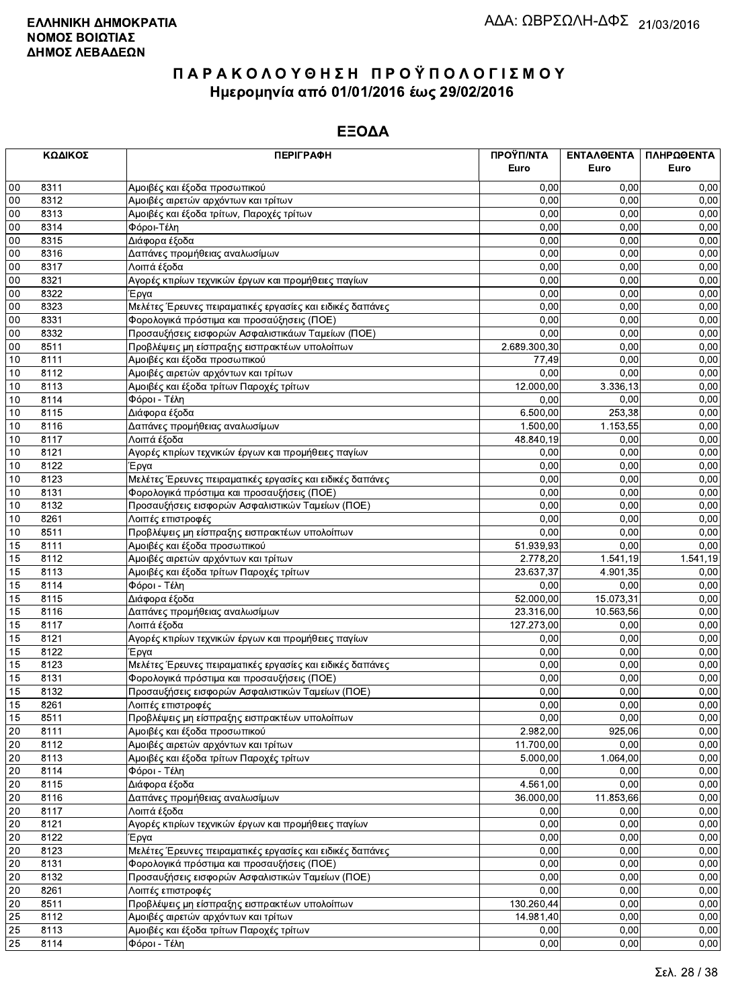|        | ΚΩΔΙΚΟΣ | <b>ПЕРІГРАФН</b>                                          | ΠΡΟΫΠ/ΝΤΑ    | ΕΝΤΑΛΘΕΝΤΑ | ΠΛΗΡΩΘΕΝΤΑ |
|--------|---------|-----------------------------------------------------------|--------------|------------|------------|
|        |         |                                                           | Euro         | Euro       | Euro       |
| $00\,$ | 8311    | Αμοιβές και έξοδα προσωπικού                              | 0,00         | 0.00       | 0,00       |
| 00     | 8312    | Αμοιβές αιρετών αρχόντων και τρίτων                       | 0,00         | 0,00       | 0,00       |
| 00     | 8313    | Αμοιβές και έξοδα τρίτων, Παροχές τρίτων                  | 0,00         | 0,00       | 0,00       |
| 00     | 8314    | Φόροι-Τέλη                                                | 0,00         | 0,00       | 0,00       |
| 00     | 8315    | Διάφορα έξοδα                                             | 0,00         | 0,00       | 0,00       |
| 00     | 8316    | Δαπάνες προμήθειας αναλωσίμων                             | 0,00         | 0,00       | 0,00       |
| 00     | 8317    | Λοιπά έξοδα                                               | 0,00         | 0,00       | 0,00       |
| 00     | 8321    | Αγορές κτιρίων τεχνικών έργων και προμήθειες παγίων       | 0,00         | 0,00       | 0,00       |
| 00     | 8322    | Έργα                                                      | 0,00         | 0.00       | 0,00       |
| 00     | 8323    | Μελέτες Έρευνες πειραματικές εργασίες και ειδικές δαπάνες | 0,00         | 0,00       | 0,00       |
| 00     | 8331    | Φορολογικά πρόστιμα και προσαύξησεις (ΠΟΕ)                | 0,00         | 0,00       | 0,00       |
| 00     | 8332    | Προσαυξήσεις εισφορών Ασφαλιστικάων Ταμείων (ΠΟΕ)         | 0,00         | 0,00       | 0,00       |
| 00     | 8511    | Προβλέψεις μη είσπραξης εισπρακτέων υπολοίπων             | 2.689.300,30 | 0,00       | 0,00       |
| 10     | 8111    | Αμοιβές και έξοδα προσωπικού                              | 77,49        | 0,00       | 0,00       |
| 10     | 8112    | Αμοιβές αιρετών αρχόντων και τρίτων                       | 0,00         | 0,00       | 0,00       |
| 10     | 8113    | Αμοιβές και έξοδα τρίτων Παροχές τρίτων                   | 12.000,00    | 3.336,13   | 0,00       |
| 10     | 8114    | Φόροι - Τέλη                                              | 0,00         | 0,00       | 0,00       |
| 10     | 8115    | Διάφορα έξοδα                                             | 6.500,00     | 253,38     | 0,00       |
| 10     | 8116    | Δαπάνες προμήθειας αναλωσίμων                             | 1.500,00     | 1.153,55   | 0,00       |
| 10     | 8117    | Λοιπά έξοδα                                               | 48.840,19    | 0,00       | 0,00       |
| 10     | 8121    | Αγορές κτιρίων τεχνικών έργων και προμήθειες παγίων       | 0,00         | 0,00       | 0,00       |
| 10     | 8122    | Έργα                                                      | 0,00         | 0,00       | 0,00       |
| 10     | 8123    | Μελέτες Έρευνες πειραματικές εργασίες και ειδικές δαπάνες | 0,00         | 0,00       | 0,00       |
| 10     | 8131    | Φορολογικά πρόστιμα και προσαυξήσεις (ΠΟΕ)                | 0,00         | 0,00       | 0,00       |
| 10     | 8132    | Προσαυξήσεις εισφορών Ασφαλιστικών Ταμείων (ΠΟΕ)          | 0,00         | 0,00       | 0,00       |
| 10     | 8261    | Λοιπές επιστροφές                                         | 0,00         | 0,00       | 0,00       |
| 10     | 8511    | Προβλέψεις μη είσπραξης εισπρακτέων υπολοίπων             | 0,00         | 0,00       | 0,00       |
| 15     | 8111    | Αμοιβές και έξοδα προσωπικού                              | 51.939,93    | 0.00       | 0,00       |
| 15     | 8112    | Αμοιβές αιρετών αρχόντων και τρίτων                       | 2.778,20     | 1.541, 19  | 1.541,19   |
| 15     | 8113    | Αμοιβές και έξοδα τρίτων Παροχές τρίτων                   | 23.637,37    | 4.901,35   | 0,00       |
| 15     | 8114    | Φόροι - Τέλη                                              | 0,00         | 0,00       | 0,00       |
| 15     | 8115    | Διάφορα έξοδα                                             | 52.000,00    | 15.073,31  | 0,00       |
| 15     | 8116    | Δαπάνες προμήθειας αναλωσίμων                             | 23.316,00    | 10.563,56  | 0,00       |
| 15     | 8117    | Λοιπά έξοδα                                               | 127.273,00   | 0,00       | 0,00       |
| 15     | 8121    | Αγορές κτιρίων τεχνικών έργων και προμήθειες παγίων       | 0,00         | 0,00       | 0,00       |
| 15     | 8122    | Έργα                                                      | 0,00         | 0,00       | 0,00       |
| 15     | 8123    | Μελέτες Έρευνες πειραματικές εργασίες και ειδικές δαπάνες | 0,00         | 0,00       | 0,00       |
| 15     | 8131    | Φορολογικά πρόστιμα και προσαυξήσεις (ΠΟΕ)                | 0,00         | 0,00       | 0,00       |
| 15     | 8132    | Προσαυξήσεις εισφορών Ασφαλιστικών Ταμείων (ΠΟΕ)          | 0,00         | 0,00       | 0,00       |
| 15     | 8261    | Λοιπές επιστροφές                                         | 0,00         | 0,00       | 0,00       |
| 15     | 8511    | Προβλέψεις μη είσπραξης εισπρακτέων υπολοίπων             | 0,00         | 0,00       | 0,00       |
| 20     | 8111    | Αμοιβές και έξοδα προσωπικού                              | 2.982,00     | 925,06     | 0,00       |
| 20     | 8112    | Αμοιβές αιρετών αρχόντων και τρίτων                       | 11.700,00    | 0,00       | 0,00       |
| 20     | 8113    | Αμοιβές και έξοδα τρίτων Παροχές τρίτων                   | 5.000,00     | 1.064,00   | 0,00       |
| 20     | 8114    | Φόροι - Τέλη                                              | 0,00         | 0,00       | 0,00       |
| 20     | 8115    | Διάφορα έξοδα                                             | 4.561,00     | 0,00       | 0,00       |
| 20     | 8116    | Δαπάνες προμήθειας αναλωσίμων                             | 36.000,00    | 11.853,66  | 0,00       |
| 20     | 8117    | Λοιπά έξοδα                                               | 0,00         | 0,00       | 0,00       |
| 20     | 8121    | Αγορές κτιρίων τεχνικών έργων και προμήθειες παγίων       | 0,00         | 0,00       | 0,00       |
| 20     | 8122    | Έργα                                                      | 0,00         | 0,00       | 0,00       |
| 20     | 8123    | Μελέτες Έρευνες πειραματικές εργασίες και ειδικές δαπάνες | 0,00         | 0,00       | 0,00       |
| 20     | 8131    | Φορολογικά πρόστιμα και προσαυξήσεις (ΠΟΕ)                | 0,00         | 0,00       | 0,00       |
| 20     | 8132    | Προσαυξήσεις εισφορών Ασφαλιστικών Ταμείων (ΠΟΕ)          | 0,00         | 0,00       | 0,00       |
| 20     | 8261    | Λοιπές επιστροφές                                         | 0,00         | 0,00       | 0,00       |
| 20     | 8511    | Προβλέψεις μη είσπραξης εισπρακτέων υπολοίπων             | 130.260,44   | 0,00       | 0,00       |
| 25     | 8112    | Αμοιβές αιρετών αρχόντων και τρίτων                       | 14.981,40    | 0,00       | 0,00       |
| 25     | 8113    | Αμοιβές και έξοδα τρίτων Παροχές τρίτων                   | 0,00         | 0,00       | 0,00       |
| 25     | 8114    | Φόροι - Τέλη                                              | 0,00         | 0,00       | 0,00       |
|        |         |                                                           |              |            |            |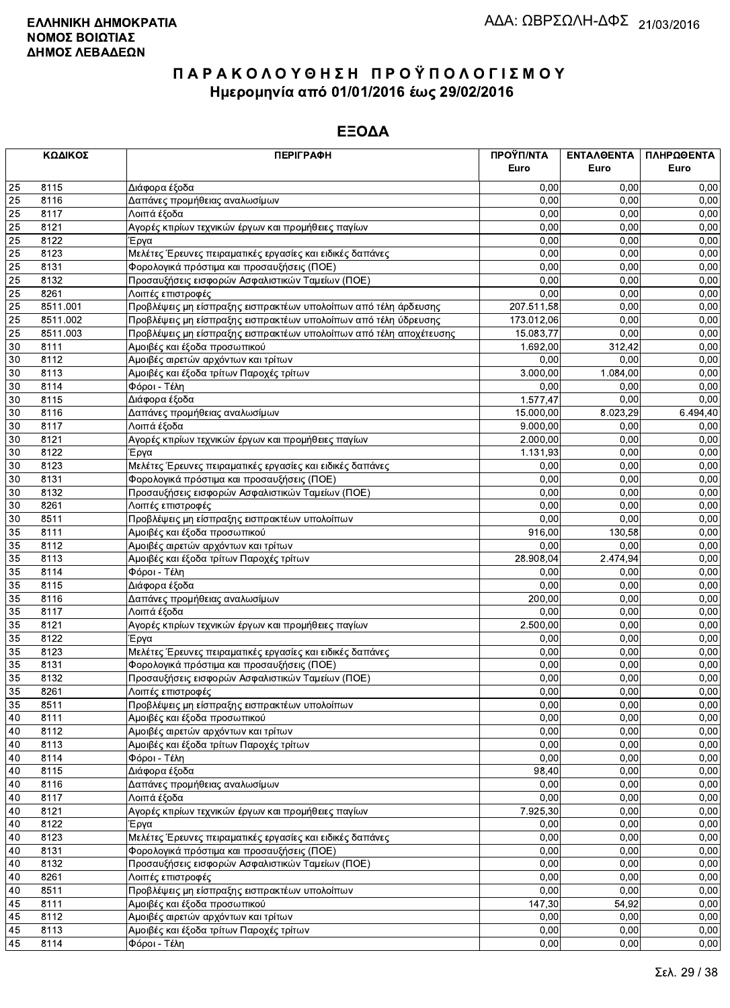|    | ΚΩΔΙΚΟΣ  | <b>ПЕРІГРАФН</b>                                                   | ΠΡΟΫΠ/ΝΤΑ<br>Euro | ΕΝΤΑΛΘΕΝΤΑ<br>Euro | ΠΛΗΡΩΘΕΝΤΑ<br>Euro |
|----|----------|--------------------------------------------------------------------|-------------------|--------------------|--------------------|
| 25 | 8115     | Διάφορα έξοδα                                                      | 0,00              | 0,00               | 0,00               |
| 25 | 8116     | Δαπάνες προμήθειας αναλωσίμων                                      | 0,00              | 0,00               | 0,00               |
| 25 | 8117     | Λοιπά έξοδα                                                        | 0,00              | 0,00               | 0,00               |
| 25 | 8121     | Αγορές κτιρίων τεχνικών έργων και προμήθειες παγίων                | 0,00              | 0,00               | 0,00               |
| 25 | 8122     | Έργα                                                               | 0.00              | 0.00               | 0,00               |
| 25 | 8123     | Μελέτες Έρευνες πειραματικές εργασίες και ειδικές δαπάνες          | 0,00              | 0,00               | 0,00               |
| 25 | 8131     | Φορολογικά πρόστιμα και προσαυξήσεις (ΠΟΕ)                         | 0,00              | 0,00               | 0,00               |
| 25 | 8132     | Προσαυξήσεις εισφορών Ασφαλιστικών Ταμείων (ΠΟΕ)                   | 0,00              | 0,00               | 0,00               |
| 25 | 8261     | Λοιπές επιστροφές                                                  | 0,00              | 0,00               | 0,00               |
| 25 | 8511.001 | Προβλέψεις μη είσπραξης εισπρακτέων υπολοίπων από τέλη άρδευσης    | 207.511,58        | 0,00               | 0,00               |
| 25 | 8511.002 | Προβλέψεις μη είσπραξης εισπρακτέων υπολοίπων από τέλη ύδρευσης    | 173.012,06        | 0,00               | 0,00               |
| 25 | 8511.003 | Προβλέψεις μη είσπραξης εισπρακτέων υπολοίπων από τέλη αποχέτευσης | 15.083,77         | 0,00               | 0,00               |
| 30 | 8111     | Αμοιβές και έξοδα προσωπικού                                       | 1.692,00          | 312,42             | 0,00               |
| 30 | 8112     | Αμοιβές αιρετών αρχόντων και τρίτων                                | 0,00              | 0.00               | 0,00               |
| 30 | 8113     | Αμοιβές και έξοδα τρίτων Παροχές τρίτων                            | 3.000,00          | 1.084,00           | 0,00               |
| 30 | 8114     | Φόροι - Τέλη                                                       | 0,00              | 0,00               | 0,00               |
| 30 | 8115     | Διάφορα έξοδα                                                      | 1.577,47          | 0,00               | 0,00               |
| 30 | 8116     | Δαπάνες προμήθειας αναλωσίμων                                      | 15.000,00         | 8.023,29           | 6.494,40           |
| 30 | 8117     | Λοιπά έξοδα                                                        | 9.000,00          | 0,00               | 0,00               |
| 30 | 8121     | Αγορές κτιρίων τεχνικών έργων και προμήθειες παγίων                | 2.000,00          | 0,00               | 0,00               |
| 30 | 8122     | Έργα                                                               | 1.131,93          | 0,00               | 0,00               |
| 30 | 8123     | Μελέτες Έρευνες πειραματικές εργασίες και ειδικές δαπάνες          | 0,00              | 0,00               | 0,00               |
| 30 | 8131     | Φορολογικά πρόστιμα και προσαυξήσεις (ΠΟΕ)                         | 0,00              | 0,00               | 0,00               |
| 30 | 8132     | Προσαυξήσεις εισφορών Ασφαλιστικών Ταμείων (ΠΟΕ)                   | 0,00              | 0,00               | 0,00               |
| 30 | 8261     | Λοιπές επιστροφές                                                  | 0,00              | 0,00               | 0,00               |
| 30 | 8511     | Προβλέψεις μη είσπραξης εισπρακτέων υπολοίπων                      | 0,00              | 0,00               | 0,00               |
| 35 | 8111     | Αμοιβές και έξοδα προσωπικού                                       | 916,00            | 130,58             | 0,00               |
| 35 | 8112     | Αμοιβές αιρετών αρχόντων και τρίτων                                | 0,00              | 0,00               | 0,00               |
| 35 | 8113     | Αμοιβές και έξοδα τρίτων Παροχές τρίτων                            | 28.908,04         | 2.474,94           | 0,00               |
| 35 | 8114     | Φόροι - Τέλη                                                       | 0,00              | 0,00               | 0,00               |
| 35 | 8115     | Διάφορα έξοδα                                                      | 0,00              | 0,00               | 0,00               |
| 35 | 8116     | Δαπάνες προμήθειας αναλωσίμων                                      | 200,00            | 0,00               | 0,00               |
| 35 | 8117     | Λοιπά έξοδα                                                        | 0.00              | 0,00               | 0,00               |
| 35 | 8121     | Αγορές κτιρίων τεχνικών έργων και προμήθειες παγίων                | 2.500,00          | 0,00               | 0,00               |
| 35 | 8122     | Έργα                                                               | 0,00              | 0,00               | 0,00               |
| 35 | 8123     | Μελέτες Έρευνες πειραματικές εργασίες και ειδικές δαπάνες          | 0,00              | 0,00               | 0,00               |
| 35 | 8131     | Φορολογικά πρόστιμα και προσαυξήσεις (ΠΟΕ)                         | 0,00              | 0,00               | 0,00               |
| 35 | 8132     | Προσαυξήσεις εισφορών Ασφαλιστικών Ταμείων (ΠΟΕ)                   | 0,00              | 0,00               | 0,00               |
| 35 | 8261     | Λοιπές επιστροφές                                                  | 0,00              | 0,00               | 0,00               |
| 35 | 8511     | Προβλέψεις μη είσπραξης εισπρακτέων υπολοίπων                      | 0,00              | 0,00               | 0,00               |
| 40 | 8111     | Αμοιβές και έξοδα προσωπικού                                       | 0,00              | 0,00               | 0,00               |
| 40 | 8112     | Αμοιβές αιρετών αρχόντων και τρίτων                                | 0,00              | 0,00               | 0,00               |
| 40 | 8113     | Αμοιβές και έξοδα τρίτων Παροχές τρίτων                            | 0,00              | 0,00               | 0,00               |
| 40 | 8114     | Φόροι - Τέλη                                                       | 0,00              | 0,00               | 0,00               |
| 40 | 8115     | Διάφορα έξοδα                                                      | 98,40             | 0,00               | 0,00               |
| 40 | 8116     | Δαπάνες προμήθειας αναλωσίμων                                      | 0,00              | 0,00               | 0,00               |
| 40 | 8117     | Λοιπά έξοδα                                                        | 0,00              | 0,00               | 0,00               |
| 40 | 8121     | Αγορές κτιρίων τεχνικών έργων και προμήθειες παγίων                | 7.925,30          | 0,00               | 0,00               |
| 40 | 8122     | Έργα                                                               | 0,00              | 0,00               | 0,00               |
| 40 | 8123     | Μελέτες Έρευνες πειραματικές εργασίες και ειδικές δαπάνες          | 0,00              | 0,00               | 0,00               |
| 40 | 8131     | Φορολογικά πρόστιμα και προσαυξήσεις (ΠΟΕ)                         | 0,00              | 0,00               | 0,00               |
| 40 | 8132     | Προσαυξήσεις εισφορών Ασφαλιστικών Ταμείων (ΠΟΕ)                   | 0,00              | 0,00               | 0,00               |
| 40 | 8261     | Λοιπές επιστροφές                                                  | 0,00              | 0,00               | 0,00               |
| 40 | 8511     | Προβλέψεις μη είσπραξης εισπρακτέων υπολοίπων                      | 0,00              | 0,00               | 0,00               |
| 45 | 8111     | Αμοιβές και έξοδα προσωπικού                                       | 147,30            | 54,92              | 0,00               |
| 45 | 8112     | Αμοιβές αιρετών αρχόντων και τρίτων                                | 0,00              | 0.00               | 0,00               |
| 45 | 8113     | Αμοιβές και έξοδα τρίτων Παροχές τρίτων                            | 0,00              | 0,00               | 0,00               |
| 45 | 8114     | Φόροι - Τέλη                                                       | 0,00              | 0,00               | 0,00               |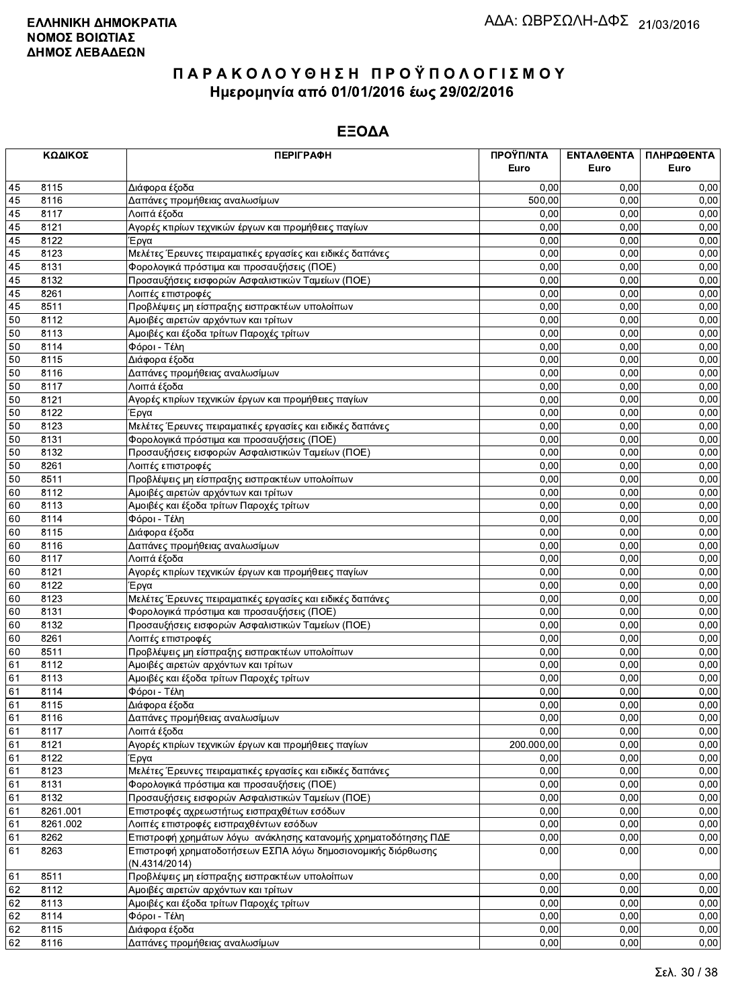|    | ΚΩΔΙΚΟΣ  | <b>ПЕРІГРАФН</b>                                                              | ΠΡΟΫΠ/ΝΤΑ<br>Euro | <b>ENTAAGENTA</b><br>Euro | ΠΛΗΡΩΘΕΝΤΑ<br>Euro |
|----|----------|-------------------------------------------------------------------------------|-------------------|---------------------------|--------------------|
| 45 | 8115     | Διάφορα έξοδα                                                                 | 0.00              | 0,00                      | 0,00               |
| 45 | 8116     | Δαπάνες προμήθειας αναλωσίμων                                                 | 500,00            | 0,00                      | 0,00               |
| 45 | 8117     | Λοιπά έξοδα                                                                   | 0,00              | 0,00                      | 0,00               |
| 45 | 8121     | Αγορές κτιρίων τεχνικών έργων και προμήθειες παγίων                           | 0,00              | 0,00                      | 0,00               |
| 45 | 8122     | Έργα                                                                          | 0.00              | 0.00                      | 0,00               |
| 45 | 8123     | Μελέτες Έρευνες πειραματικές εργασίες και ειδικές δαπάνες                     | 0,00              | 0,00                      | 0,00               |
| 45 | 8131     | Φορολογικά πρόστιμα και προσαυξήσεις (ΠΟΕ)                                    | 0,00              | 0,00                      | 0,00               |
| 45 | 8132     | Προσαυξήσεις εισφορών Ασφαλιστικών Ταμείων (ΠΟΕ)                              | 0,00              | 0,00                      | 0,00               |
| 45 | 8261     | Λοιπές επιστροφές                                                             | 0,00              | 0,00                      | 0,00               |
| 45 | 8511     | Προβλέψεις μη είσπραξης εισπρακτέων υπολοίπων                                 | 0,00              | 0,00                      | 0,00               |
| 50 | 8112     | Αμοιβές αιρετών αρχόντων και τρίτων                                           | 0,00              | 0,00                      | 0,00               |
| 50 | 8113     | Αμοιβές και έξοδα τρίτων Παροχές τρίτων                                       | 0,00              | 0,00                      | 0,00               |
| 50 | 8114     | Φόροι - Τέλη                                                                  | 0,00              | 0,00                      | 0,00               |
| 50 | 8115     | Διάφορα έξοδα                                                                 | 0,00              | 0,00                      | 0,00               |
| 50 | 8116     | Δαπάνες προμήθειας αναλωσίμων                                                 | 0,00              | 0.00                      | 0,00               |
| 50 | 8117     | Λοιπά έξοδα                                                                   | 0,00              | 0,00                      | 0,00               |
| 50 | 8121     | Αγορές κτιρίων τεχνικών έργων και προμήθειες παγίων                           | 0,00              | 0,00                      | 0,00               |
| 50 | 8122     | Έργα                                                                          | 0,00              | 0,00                      | 0,00               |
| 50 | 8123     | Μελέτες Έρευνες πειραματικές εργασίες και ειδικές δαπάνες                     | 0,00              | 0,00                      | 0,00               |
| 50 | 8131     | Φορολογικά πρόστιμα και προσαυξήσεις (ΠΟΕ)                                    | 0,00              | 0,00                      | 0,00               |
| 50 | 8132     | Προσαυξήσεις εισφορών Ασφαλιστικών Ταμείων (ΠΟΕ)                              | 0,00              | 0,00                      | 0,00               |
| 50 | 8261     | Λοιπές επιστροφές                                                             | 0,00              | 0,00                      | 0,00               |
| 50 | 8511     | Προβλέψεις μη είσπραξης εισπρακτέων υπολοίπων                                 | 0,00              | 0,00                      | 0,00               |
| 60 | 8112     | Αμοιβές αιρετών αρχόντων και τρίτων                                           | 0,00              | 0,00                      | 0,00               |
| 60 | 8113     | Αμοιβές και έξοδα τρίτων Παροχές τρίτων                                       | 0,00              | 0,00                      | 0,00               |
| 60 | 8114     | Φόροι - Τέλη                                                                  | 0,00              | 0,00                      | 0,00               |
| 60 | 8115     | Διάφορα έξοδα                                                                 | 0,00              | 0,00                      | 0,00               |
| 60 | 8116     | Δαπάνες προμήθειας αναλωσίμων                                                 | 0,00              | 0,00                      | 0,00               |
| 60 | 8117     | Λοιπά έξοδα                                                                   | 0,00              | 0,00                      | 0,00               |
| 60 | 8121     | Αγορές κτιρίων τεχνικών έργων και προμήθειες παγίων                           | 0,00              | 0,00                      | 0,00               |
| 60 | 8122     | Έργα                                                                          | 0,00              | 0,00                      | 0,00               |
| 60 | 8123     | Μελέτες Έρευνες πειραματικές εργασίες και ειδικές δαπάνες                     | 0,00              | 0,00                      | 0,00               |
| 60 | 8131     | Φορολογικά πρόστιμα και προσαυξήσεις (ΠΟΕ)                                    | 0,00              | 0,00                      | 0,00               |
| 60 | 8132     | Προσαυξήσεις εισφορών Ασφαλιστικών Ταμείων (ΠΟΕ)                              | 0,00              | 0,00                      | 0,00               |
| 60 | 8261     | Λοιπές επιστροφές                                                             | 0,00              | 0,00                      | 0,00               |
| 60 | 8511     | Προβλέψεις μη είσπραξης εισπρακτέων υπολοίπων                                 | 0,00              | 0.00                      | 0,00               |
| 61 | 8112     | Αμοιβές αιρετών αρχόντων και τρίτων                                           | 0,00              | 0,00                      | 0,00               |
| 61 | 8113     | Αμοιβές και έξοδα τρίτων Παροχές τρίτων                                       | 0,00              | 0,00                      | 0,00               |
| 61 | 8114     | Φόροι - Τέλη                                                                  | 0,00              | 0,00                      | 0,00               |
| 61 | 8115     | Διάφορα έξοδα                                                                 | 0,00              | 0,00                      | 0,00               |
| 61 | 8116     | Δαπάνες προμήθειας αναλωσίμων                                                 | 0,00              | 0,00                      | 0,00               |
| 61 | 8117     | Λοιπά έξοδα                                                                   | 0,00              | 0,00                      | 0,00               |
| 61 | 8121     | Αγορές κτιρίων τεχνικών έργων και προμήθειες παγίων                           | 200.000,00        | 0,00                      | 0,00               |
| 61 | 8122     | Έργα                                                                          | 0,00              | 0,00                      | 0,00               |
| 61 | 8123     | Μελέτες Έρευνες πειραματικές εργασίες και ειδικές δαπάνες                     | 0,00              | 0,00                      | 0,00               |
| 61 | 8131     | Φορολογικά πρόστιμα και προσαυξήσεις (ΠΟΕ)                                    | 0,00              | 0,00                      | 0,00               |
| 61 | 8132     | Προσαυξήσεις εισφορών Ασφαλιστικών Ταμείων (ΠΟΕ)                              | 0,00              | 0,00                      | 0,00               |
| 61 | 8261.001 | Επιστροφές αχρεωστήτως εισπραχθέτων εσόδων                                    | 0,00              | 0,00                      | 0,00               |
| 61 | 8261.002 | Λοιπές επιστροφές εισπραχθέντων εσόδων                                        | 0,00              | 0,00                      | 0,00               |
| 61 | 8262     | Επιστροφή χρημάτων λόγω ανάκλησης κατανομής χρηματοδότησης ΠΔΕ                | 0,00              | 0,00                      | 0,00               |
| 61 | 8263     | Επιστροφή χρηματοδοτήσεων ΕΣΠΑ λόγω δημοσιονομικής διόρθωσης<br>(N.4314/2014) | 0,00              | 0,00                      | 0,00               |
| 61 | 8511     | Προβλέψεις μη είσπραξης εισπρακτέων υπολοίπων                                 | 0,00              | 0,00                      | 0,00               |
| 62 | 8112     | Αμοιβές αιρετών αρχόντων και τρίτων                                           | 0,00              | 0,00                      | 0,00               |
| 62 | 8113     | Αμοιβές και έξοδα τρίτων Παροχές τρίτων                                       | 0,00              | 0,00                      | 0,00               |
| 62 | 8114     | Φόροι - Τέλη                                                                  | 0,00              | 0,00                      | 0,00               |
| 62 | 8115     | Διάφορα έξοδα                                                                 | 0,00              | 0,00                      | 0,00               |
| 62 | 8116     | Δαπάνες προμήθειας αναλωσίμων                                                 | 0,00              | 0,00                      | 0,00               |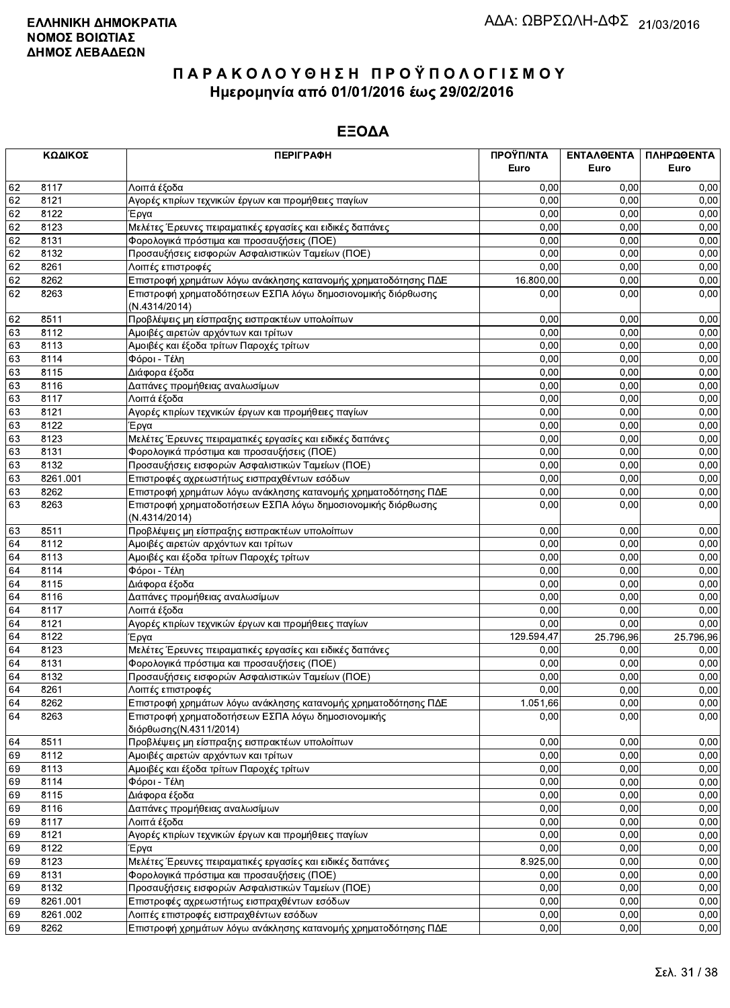|    | ΚΩΔΙΚΟΣ  | <b>ПЕРІГРАФН</b>                                                              | ΠΡΟΫΠ/ΝΤΑ  | <b>ENTAA@ENTA</b> | ΠΛΗΡΩΘΕΝΤΑ |
|----|----------|-------------------------------------------------------------------------------|------------|-------------------|------------|
|    |          |                                                                               | Euro       | Euro              | Euro       |
| 62 | 8117     | Λοιπά έξοδα                                                                   | 0,00       | 0.00              | 0,00       |
| 62 | 8121     | Αγορές κτιρίων τεχνικών έργων και προμήθειες παγίων                           | 0,00       | 0.00              | 0,00       |
| 62 | 8122     | Έργα                                                                          | 0,00       | 0,00              | 0,00       |
| 62 | 8123     | Μελέτες Έρευνες πειραματικές εργασίες και ειδικές δαπάνες                     | 0,00       | 0,00              | 0,00       |
| 62 | 8131     | Φορολογικά πρόστιμα και προσαυξήσεις (ΠΟΕ)                                    | 0,00       | 0,00              | 0,00       |
| 62 | 8132     | Προσαυξήσεις εισφορών Ασφαλιστικών Ταμείων (ΠΟΕ)                              | 0,00       | 0,00              | 0,00       |
| 62 | 8261     | Λοιπές επιστροφές                                                             | 0,00       | 0,00              | 0,00       |
| 62 | 8262     | Επιστροφή χρημάτων λόγω ανάκλησης κατανομής χρηματοδότησης ΠΔΕ                | 16.800,00  | 0,00              | 0,00       |
| 62 | 8263     | Επιστροφή χρηματοδότησεων ΕΣΠΑ λόγω δημοσιονομικής διόρθωσης<br>(N.4314/2014) | 0,00       | 0,00              | 0,00       |
| 62 | 8511     | Προβλέψεις μη είσπραξης εισπρακτέων υπολοίπων                                 | 0,00       | 0,00              | 0,00       |
| 63 | 8112     | Αμοιβές αιρετών αρχόντων και τρίτων                                           | 0,00       | 0,00              | 0,00       |
| 63 | 8113     | Αμοιβές και έξοδα τρίτων Παροχές τρίτων                                       | 0,00       | 0,00              | 0,00       |
| 63 | 8114     | Φόροι - Τέλη                                                                  | 0,00       | 0,00              | 0,00       |
| 63 | 8115     | Διάφορα έξοδα                                                                 | 0,00       | 0,00              | 0,00       |
| 63 | 8116     | Δαπάνες προμήθειας αναλωσίμων                                                 | 0,00       | 0,00              | 0,00       |
| 63 | 8117     | Λοιπά έξοδα                                                                   | 0,00       | 0,00              | 0,00       |
| 63 | 8121     | Αγορές κτιρίων τεχνικών έργων και προμήθειες παγίων                           | 0,00       | 0,00              | 0,00       |
| 63 | 8122     | Έργα                                                                          | 0,00       | 0,00              | 0,00       |
| 63 | 8123     | Μελέτες Έρευνες πειραματικές εργασίες και ειδικές δαπάνες                     | 0,00       | 0,00              | 0,00       |
| 63 | 8131     | Φορολογικά πρόστιμα και προσαυξήσεις (ΠΟΕ)                                    | 0,00       | 0,00              | 0,00       |
| 63 | 8132     | Προσαυξήσεις εισφορών Ασφαλιστικών Ταμείων (ΠΟΕ)                              | 0,00       | 0,00              | 0,00       |
| 63 | 8261.001 | Επιστροφές αχρεωστήτως εισπραχθέντων εσόδων                                   | 0,00       | 0,00              | 0,00       |
| 63 | 8262     | Επιστροφή χρημάτων λόγω ανάκλησης κατανομής χρηματοδότησης ΠΔΕ                | 0,00       | 0,00              | 0,00       |
| 63 | 8263     | Επιστροφή χρηματοδοτήσεων ΕΣΠΑ λόγω δημοσιονομικής διόρθωσης<br>(N.4314/2014) | 0,00       | 0,00              | 0,00       |
| 63 | 8511     | Προβλέψεις μη είσπραξης εισπρακτέων υπολοίπων                                 | 0,00       | 0,00              | 0,00       |
| 64 | 8112     | Αμοιβές αιρετών αρχόντων και τρίτων                                           | 0,00       | 0,00              | 0,00       |
| 64 | 8113     | Αμοιβές και έξοδα τρίτων Παροχές τρίτων                                       | 0,00       | 0,00              | 0,00       |
| 64 | 8114     | Φόροι - Τέλη                                                                  | 0,00       | 0,00              | 0,00       |
| 64 | 8115     | Διάφορα έξοδα                                                                 | 0,00       | 0,00              | 0,00       |
| 64 | 8116     | Δαπάνες προμήθειας αναλωσίμων                                                 | 0,00       | 0,00              | 0,00       |
| 64 | 8117     | Λοιπά έξοδα                                                                   | 0,00       | 0,00              | 0,00       |
| 64 | 8121     | Αγορές κτιρίων τεχνικών έργων και προμήθειες παγίων                           | 0,00       | 0,00              | 0,00       |
| 64 | 8122     | Έργα                                                                          | 129.594,47 | 25.796,96         | 25.796,96  |
| 64 | 8123     | Μελέτες Έρευνες πειραματικές εργασίες και ειδικές δαπάνες                     | 0,00       | 0,00              | 0,00       |
| 64 | 8131     | Φορολογικά πρόστιμα και προσαυξήσεις (ΠΟΕ)                                    | 0,00       | 0,00              | 0,00       |
| 64 | 8132     | Προσαυξήσεις εισφορών Ασφαλιστικών Ταμείων (ΠΟΕ)                              | 0,00       | 0,00              | 0,00       |
| 64 | 8261     | Λοιπές επιστροφές                                                             | 0,00       | 0.00              | 0,00       |
| 64 | 8262     | Επιστροφή χρημάτων λόγω ανάκλησης κατανομής χρηματοδότησης ΠΔΕ                | 1.051,66   | 0,00              | 0,00       |
| 64 | 8263     | Επιστροφή χρηματοδοτήσεων ΕΣΠΑ λόγω δημοσιονομικής<br>διόρθωσης (Ν.4311/2014) | 0,00       | 0,00              | 0,00       |
| 64 | 8511     | Προβλέψεις μη είσπραξης εισπρακτέων υπολοίπων                                 | 0,00       | 0,00              | 0,00       |
| 69 | 8112     | Αμοιβές αιρετών αρχόντων και τρίτων                                           | 0,00       | 0,00              | 0,00       |
| 69 | 8113     | Αμοιβές και έξοδα τρίτων Παροχές τρίτων                                       | 0,00       | 0,00              | 0,00       |
| 69 | 8114     | Φόροι - Τέλη                                                                  | 0,00       | 0,00              | 0,00       |
| 69 | 8115     | Διάφορα έξοδα                                                                 | 0,00       | 0,00              | 0,00       |
| 69 | 8116     | Δαπάνες προμήθειας αναλωσίμων                                                 | 0,00       | 0,00              | 0,00       |
| 69 | 8117     | Λοιπά έξοδα                                                                   | 0,00       | 0,00              | 0,00       |
| 69 | 8121     | Αγορές κτιρίων τεχνικών έργων και προμήθειες παγίων                           | 0,00       | 0,00              | 0,00       |
| 69 | 8122     | Έργα                                                                          | 0,00       | 0,00              | 0,00       |
| 69 | 8123     | Μελέτες Έρευνες πειραματικές εργασίες και ειδικές δαπάνες                     | 8.925,00   | 0,00              | 0,00       |
| 69 | 8131     | Φορολογικά πρόστιμα και προσαυξήσεις (ΠΟΕ)                                    | 0,00       | 0,00              | 0,00       |
| 69 | 8132     | Προσαυξήσεις εισφορών Ασφαλιστικών Ταμείων (ΠΟΕ)                              | 0,00       | 0,00              | 0,00       |
| 69 | 8261.001 | Επιστροφές αχρεωστήτως εισπραχθέντων εσόδων                                   | 0,00       | 0,00              | 0,00       |
| 69 | 8261.002 | Λοιπές επιστροφές εισπραχθέντων εσόδων                                        | 0,00       | 0,00              | 0,00       |
| 69 | 8262     | Επιστροφή χρημάτων λόγω ανάκλησης κατανομής χρηματοδότησης ΠΔΕ                | 0,00       | 0,00              | 0,00       |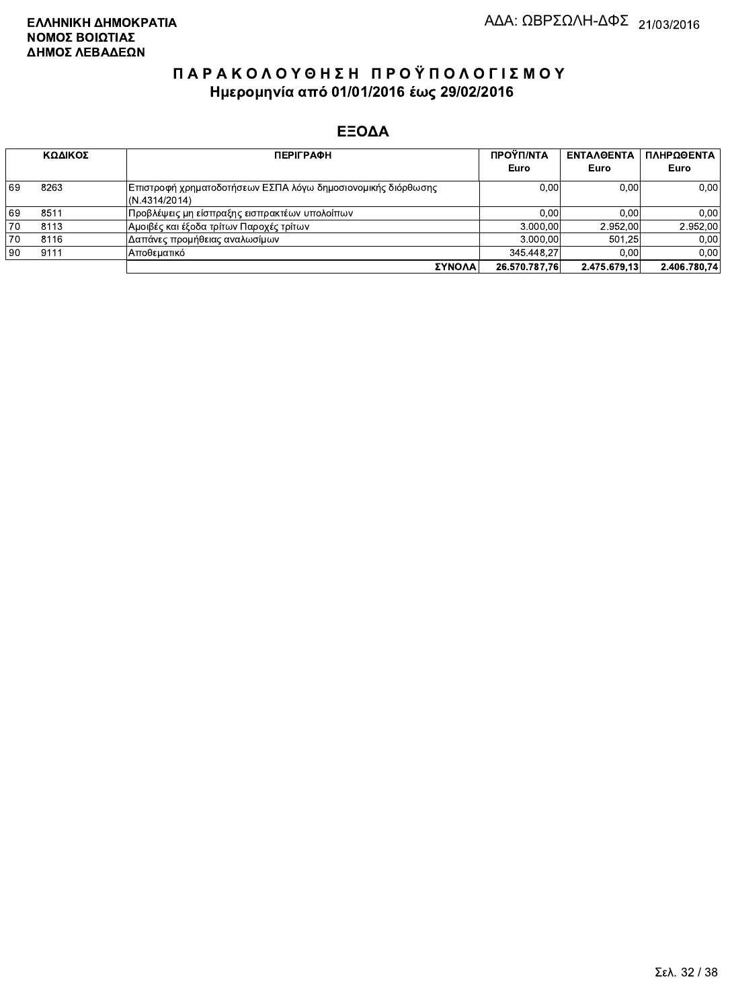|    | ΚΩΔΙΚΟΣ | <b>ПЕРІГРАФН</b>                                                               | ΠΡΟΫΠ/ΝΤΑ<br>Euro | <b>ENTAA@ENTA</b><br>Euro | ΠΛΗΡΩΘΕΝΤΑ<br>Euro |
|----|---------|--------------------------------------------------------------------------------|-------------------|---------------------------|--------------------|
| 69 | 8263    | Επιστροφή χρηματοδοτήσεων ΕΣΠΑ λόγω δημοσιονομικής διόρθωσης <br>(N.4314/2014) | 0.00              | 0.00                      | 0,00               |
| 69 | 8511    | Προβλέψεις μη είσπραξης εισπρακτέων υπολοίπων                                  | 0.00              | 0.00                      | 0.00               |
| 70 | 8113    | Αμοιβές και έξοδα τρίτων Παροχές τρίτων                                        | 3.000.00          | 2.952.00                  | 2.952.00           |
| 70 | 8116    | Δαπάνες προμήθειας αναλωσίμων                                                  | 3.000.00          | 501.25                    | 0.00               |
| 90 | 9111    | ΙΑποθεματικό                                                                   | 345.448.27        | 0.00                      | 0.00               |
|    |         | ΣΥΝΟΛΑ                                                                         | 26.570.787.76     | 2.475.679.13              | 2.406.780.74       |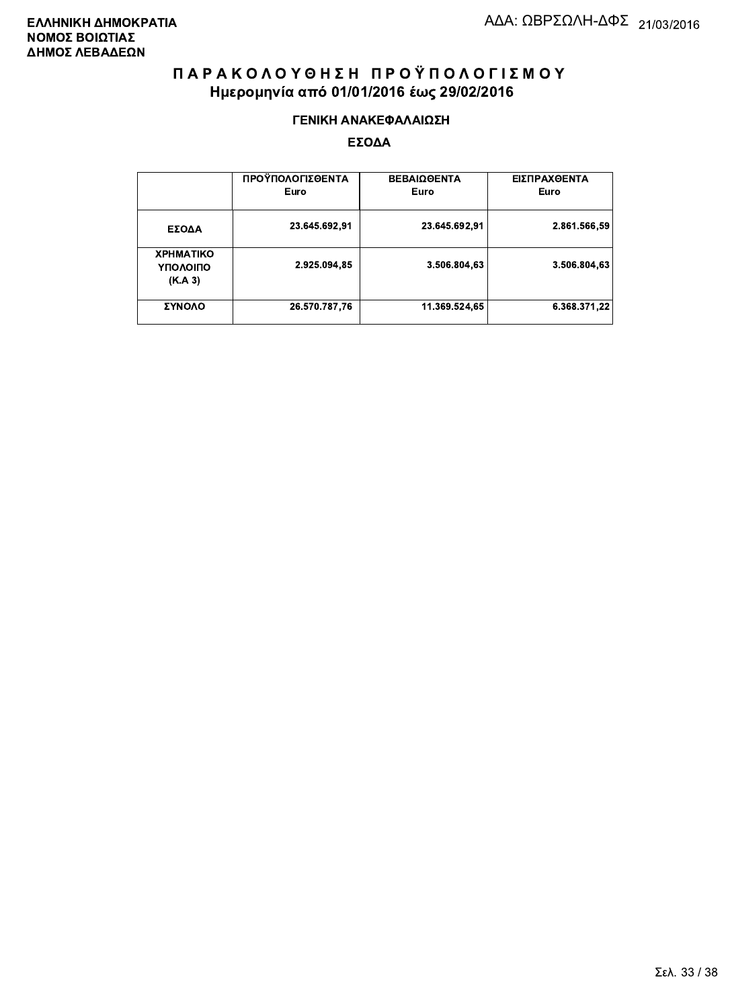#### ΓΕΝΙΚΗ ΑΝΑΚΕΦΑΛΑΙΩΣΗ

|                                         | ΠΡΟΫΠΟΛΟΓΙΣΘΕΝΤΑ<br>Euro | <b>ΒΕΒΑΙΩΘΕΝΤΑ</b><br>Euro | ΕΙΣΠΡΑΧΘΕΝΤΑ<br>Euro |
|-----------------------------------------|--------------------------|----------------------------|----------------------|
| ΕΣΟΔΑ                                   | 23.645.692,91            | 23.645.692.91              | 2.861.566,59         |
| <b>XPHMATIKO</b><br>ΥΠΟΛΟΙΠΟ<br>(K.A.3) | 2.925.094,85             | 3.506.804.63               | 3.506.804,63         |
| ΣΥΝΟΛΟ                                  | 26.570.787,76            | 11.369.524,65              | 6.368.371.22         |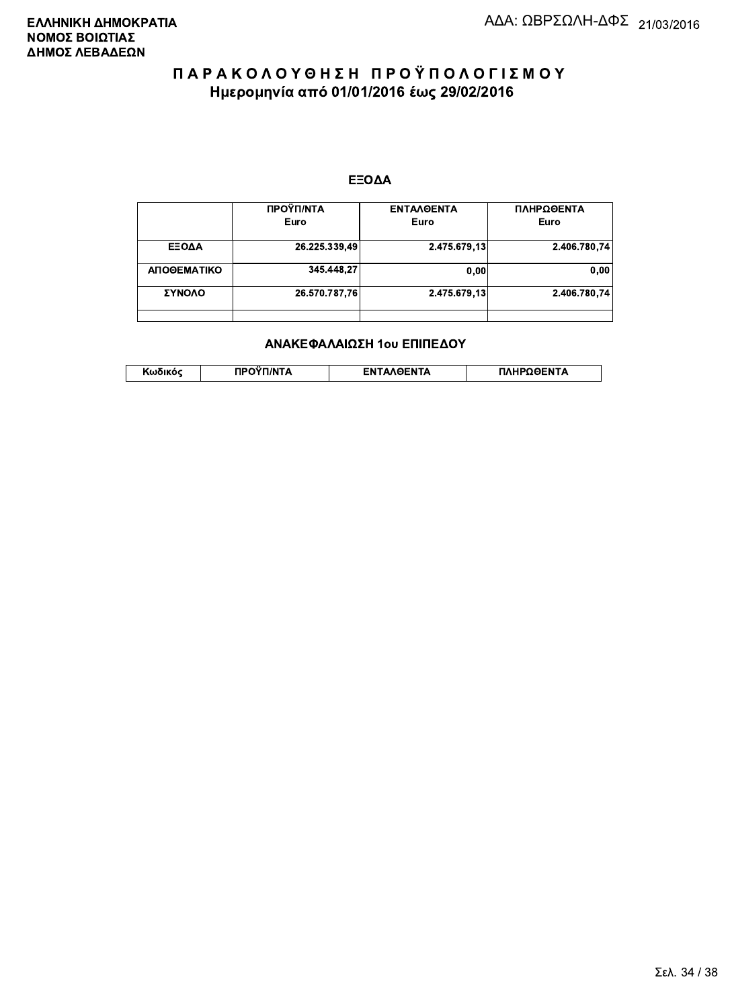#### ΕΞΟΔΑ

|             | ΠΡΟΫΠ/ΝΤΑ<br>Euro | <b>ENTAAGENTA</b><br>Euro | ΠΛΗΡΩΘΕΝΤΑ<br>Euro |
|-------------|-------------------|---------------------------|--------------------|
| ΕΞΟΔΑ       | 26.225.339,49     | 2.475.679,13              | 2.406.780.74       |
| ΑΠΟΘΕΜΑΤΙΚΟ | 345.448.27        | 0.00                      | 0.00               |
| ΣΥΝΟΛΟ      | 26.570.787,76     | 2.475.679,13              | 2.406.780.74       |
|             |                   |                           |                    |

#### ΑΝΑΚΕΦΑΛΑΙΩΣΗ 1ου ΕΠΙΠΕΔΟΥ

|  | י האוהודי | <b>INTA</b> | <b><i>AGENTA</i></b> | ΠΛΗΡΩΘΕΝΤΑ |
|--|-----------|-------------|----------------------|------------|
|--|-----------|-------------|----------------------|------------|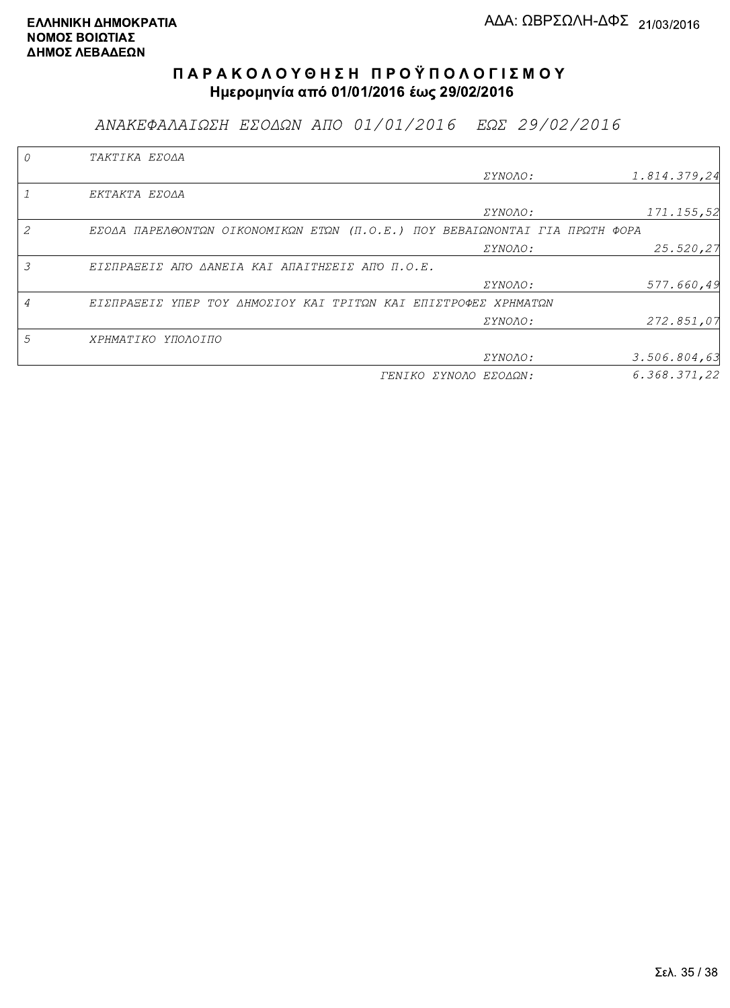ΑΝΑΚΕΦΑΛΑΙΩΣΗ ΕΣΟΔΩΝ ΑΠΟ 01/01/2016 ΕΩΣ 29/02/2016

|   | TAKTIKA EZOAA                                                               |                       |              |
|---|-----------------------------------------------------------------------------|-----------------------|--------------|
|   |                                                                             | <i>EYNOAO:</i>        | 1.814.379,24 |
|   | EKTAKTA EZOAA                                                               |                       |              |
|   |                                                                             | <i>EYNOAO:</i>        | 171.155,52   |
|   | EZOAA ΠΑΡΕΛΘΟΝΤΩΝ ΟΙΚΟΝΟΜΙΚΩΝ ΕΤΩΝ (Π.Ο.Ε.) ΠΟΥ ΒΕΒΑΙΩΝΟΝΤΑΙ ΓΙΑ ΠΡΩΤΗ ΦΟΡΑ |                       |              |
|   |                                                                             | ΣΥΝΟΛΟ:               | 25.520,27    |
| 3 | ΕΙΣΠΡΑΞΕΙΣ ΑΠΌ ΔΑΝΕΙΑ ΚΑΙ ΑΠΑΙΤΗΣΕΙΣ ΑΠΌ Π.Ο.Ε.                             |                       |              |
|   |                                                                             | ΣΥΝΟΛΟ:               | 577.660,49   |
|   | ΕΙΣΠΡΑΞΕΙΣ ΥΠΕΡ ΤΟΥ ΔΗΜΟΣΙΟΥ ΚΑΙ ΤΡΙΤΩΝ ΚΑΙ ΕΠΙΣΤΡΟΦΕΣ ΧΡΗΜΑΤΩΝ             |                       |              |
|   |                                                                             | <i>EYNOAO:</i>        | 272.851,07   |
| 5 | ΧΡΗΜΑΤΙΚΟ ΥΠΟΛΟΙΠΟ                                                          |                       |              |
|   |                                                                             | ΣΥΝΟΛΟ:               | 3.506.804,63 |
|   |                                                                             | ΓΕΝΙΚΟ ΣΥΝΟΛΟ ΕΣΟΔΩΝ: | 6.368.371,22 |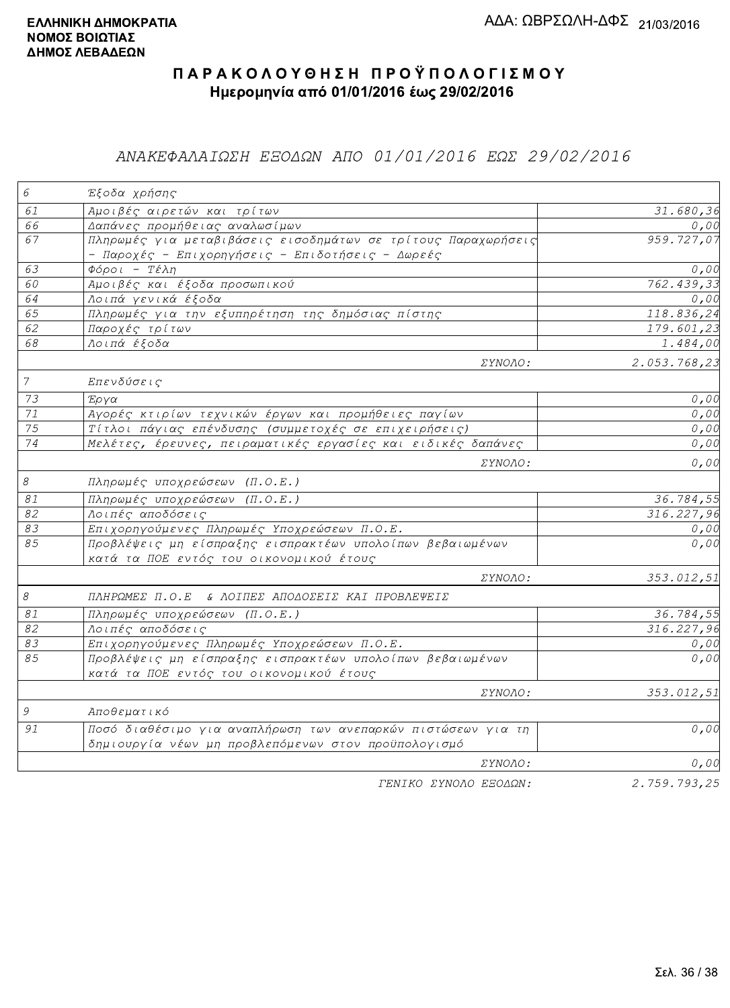### ΑΝΑΚΕΦΑΛΑΙΩΣΗ ΕΞΟΔΩΝ ΑΠΟ 01/01/2016 ΕΩΣ 29/02/2016

| $\epsilon$                 | Έξοδα χρήσης                                                                                                        |                         |
|----------------------------|---------------------------------------------------------------------------------------------------------------------|-------------------------|
| 61                         | Αμοιβές αιρετών και τρίτων                                                                                          | 31.680,36               |
| 66                         | Δαπάνες προμήθειας αναλωσίμων                                                                                       | 0,00                    |
| 67                         | Πληρωμές για μεταβιβάσεις εισοδημάτων σε τρίτους Παραχωρήσεις<br>- Παροχές - Επιχορηγήσεις - Επιδοτήσεις - Δωρεές   | 959.727,07              |
| 63                         | $\Phi$ όροι - Τέλη                                                                                                  | 0,00                    |
| 60                         | Αμοιβές και έξοδα προσωπικού                                                                                        | 762.439,33              |
| 64                         | Λοιπά γενικά έξοδα                                                                                                  | 0,00                    |
| 65                         | Πληρωμές για την εξυπηρέτηση της δημόσιας πίστης                                                                    | 118.836,24              |
| 62                         | Παροχές τρίτων                                                                                                      | 179.601,23              |
| 68                         | Λοιπά έξοδα                                                                                                         | $\overline{1}$ . 484,00 |
|                            | ΣΥΝΟΛΟ:                                                                                                             | 2.053.768,23            |
| $\overline{7}$             | Επενδύσεις                                                                                                          |                         |
| 73                         | Έργα                                                                                                                | 0,00                    |
| $71\,$                     | Αγορές κτιρίων τεχνικών έργων και προμήθειες παγίων                                                                 | 0,00                    |
| 75                         | Τίτλοι πάγιας επένδυσης (συμμετοχές σε επιχειρήσεις)                                                                | 0,00                    |
| 74                         | Μελέτες, έρευνες, πειραματικές εργασίες και ειδικές δαπάνες                                                         | 0,00                    |
|                            | ΣΥΝΟΛΟ:                                                                                                             | 0,00                    |
| $\mathcal S$               | Πληρωμές υποχρεώσεων (Π.Ο.Ε.)                                                                                       |                         |
| $\mathcal{S} \mathcal{I}$  | Πληρωμές υποχρεώσεων (Π.Ο.Ε.)                                                                                       | 36.784,55               |
| 82                         | Λοιπές αποδόσεις                                                                                                    | 316.227,96              |
| 83                         | Επιχορηγούμενες Πληρωμές Υποχρεώσεων Π.Ο.Ε.                                                                         | 0,00                    |
| 85                         | Προβλέψεις μη είσπραξης εισπρακτέων υπολοίπων βεβαιωμένων<br>κατά τα ΠΟΕ εντός του οικονομικού έτους                | 0,00                    |
|                            | ΣΥΝΟΛΟ:                                                                                                             | 353.012,51              |
| $\boldsymbol{\mathcal{S}}$ | ΠΛΗΡΩΜΕΣ Π.Ο.Ε & ΛΟΙΠΕΣ ΑΠΟΔΟΣΕΙΣ ΚΑΙ ΠΡΟΒΛΕΨΕΙΣ                                                                    |                         |
| $\mathcal{S} \mathcal{I}$  | Πληρωμές υποχρεώσεων (Π.Ο.Ε.)                                                                                       | 36.784,55               |
| 82                         | Λοιπές αποδόσεις                                                                                                    | 316.227,96              |
| 83                         | Επιχορηγούμενες Πληρωμές Υποχρεώσεων Π.Ο.Ε.                                                                         | 0,00                    |
| 85                         | Προβλέψεις μη είσπραξης εισπρακτέων υπολοίπων βεβαιωμένων<br>κατά τα ΠΟΕ εντός του οικονομικού έτους                | 0,00                    |
|                            | <i>EYNOAO:</i>                                                                                                      | 353.012,51              |
| $\mathcal G$               | Αποθεματικό                                                                                                         |                         |
| 91                         | Ποσό διαθέσιμο για αναπλήρωση των ανεπαρκών πιστώσεων για τη<br>δημιουργία νέων μη προβλεπόμενων στον προϋπολογισμό | 0,00                    |
|                            | ΣΥΝΟΛΟ:                                                                                                             | 0,00                    |
|                            | ΓΕΝΙΚΟ ΣΥΝΟΛΟ ΕΞΟΔΩΝ:                                                                                               | 2.759.793,25            |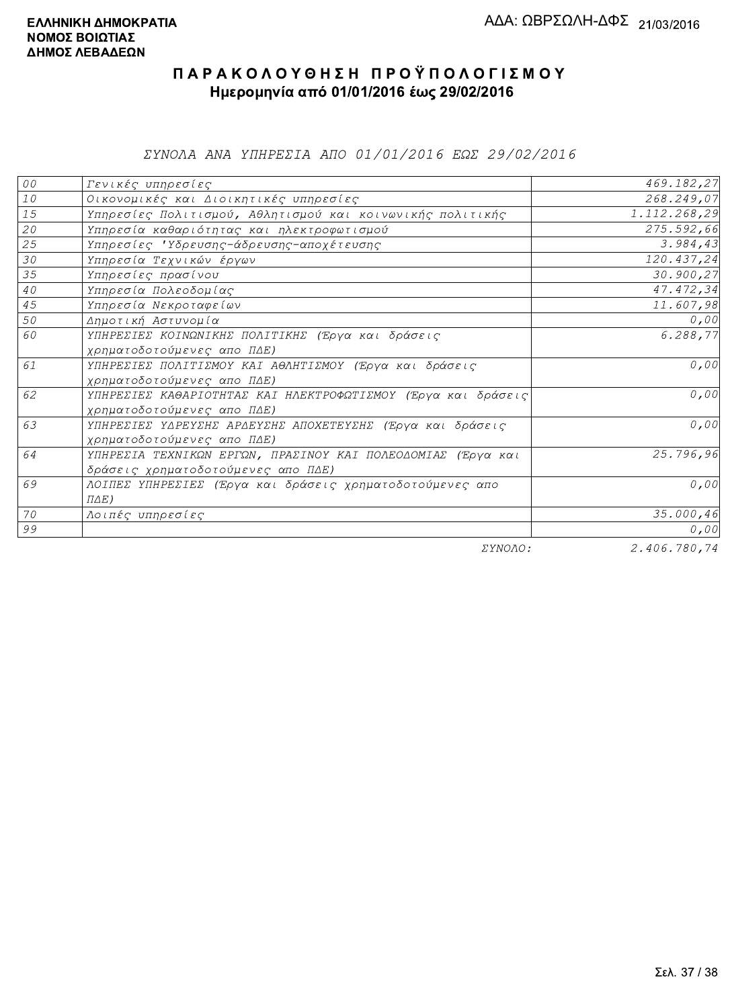ΣΥΝΟΛΑ ΑΝΑ ΥΠΗΡΕΣΙΑ ΑΠΟ 01/01/2016 ΕΩΣ 29/02/2016

| ${\cal O} \, {\cal O}$ | Γενικές υπηρεσίες                                             | 469.182,27   |
|------------------------|---------------------------------------------------------------|--------------|
| $10$                   | Οικονομικές και Διοικητικές υπηρεσίες                         | 268.249,07   |
| 15                     | Υπηρεσίες Πολιτισμού, Αθλητισμού και κοινωνικής πολιτικής     | 1.112.268,29 |
| 20                     | Υπηρεσία καθαριότητας και ηλεκτροφωτισμού                     | 275.592,66   |
| 25                     | Υπηρεσίες 'Υδρευσης-άδρευσης-αποχέτευσης                      | 3.984,43     |
| 30                     | Υπηρεσία Τεχνικών έργων                                       | 120.437,24   |
| 35                     | Υπηρεσίες πρασίνου                                            | 30.900,27    |
| 40                     | Υπηρεσία Πολεοδομίας                                          | 47.472,34    |
| 45                     | Υπηρεσία Νεκροταφείων                                         | 11.607,98    |
| 50                     | Δημοτική Αστυνομία                                            | 0,00         |
| 60                     | ΥΠΗΡΕΣΙΕΣ ΚΟΙΝΩΝΙΚΗΣ ΠΟΛΙΤΙΚΗΣ (Έργα και δράσεις              | 6.288,77     |
|                        | χρηματοδοτούμενες απο ΠΔΕ)                                    |              |
| 61                     | ΥΠΗΡΕΣΙΕΣ ΠΟΛΙΤΙΣΜΟΥ ΚΑΙ ΑΘΛΗΤΙΣΜΟΥ (Έργα και δράσεις         | 0,00         |
|                        | χρηματοδοτούμενες απο ΠΔΕ)                                    |              |
| 62                     | ΥΠΗΡΕΣΙΕΣ ΚΑΘΑΡΙΟΤΗΤΑΣ ΚΑΙ ΗΛΕΚΤΡΟΦΩΤΙΣΜΟΥ (Έργα και δράσεις) | 0,00         |
|                        | χρηματοδοτούμενες απο ΠΔΕ)                                    |              |
| 63                     | ΥΠΗΡΕΣΙΕΣ ΥΔΡΕΥΣΗΣ ΑΡΔΕΥΣΗΣ ΑΠΟΧΕΤΕΥΣΗΣ (Έργα και δράσεις     | 0,00         |
|                        | χρηματοδοτούμενες απο ΠΔΕ)                                    |              |
| 64                     | ΥΠΗΡΕΣΙΑ ΤΕΧΝΙΚΩΝ ΕΡΓΩΝ, ΠΡΑΣΙΝΟΥ ΚΑΙ ΠΟΛΕΟΔΟΜΙΑΣ (Έργα και   | 25.796,96    |
|                        | δράσεις χρηματοδοτούμενες απο ΠΔΕ)                            |              |
| 69                     | ΛΟΙΠΕΣ ΥΠΗΡΕΣΙΕΣ (Έργα και δράσεις χρηματοδοτούμενες απο      | 0,00         |
|                        | $\Pi\Delta E$ )                                               |              |
| 70                     | Λοιπές υπηρεσίες                                              | 35.000,46    |
| 99                     |                                                               | 0,00         |
|                        | ΣΥΝΟΛΟ:                                                       | 2.406.780,74 |

2.406.780,74